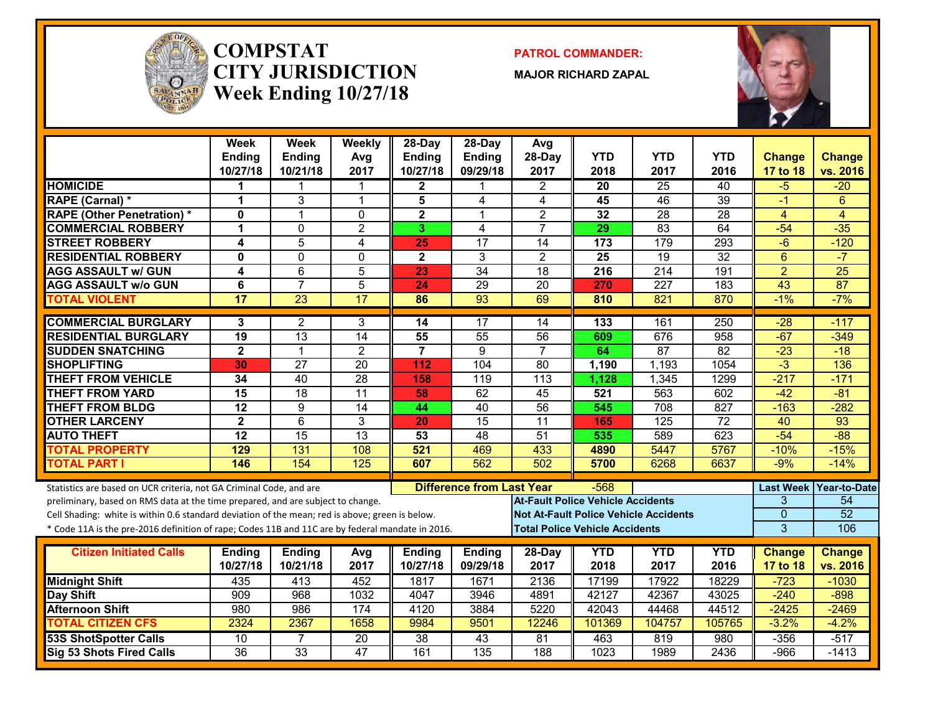

#### **COMPSTATCITY JURISDICTIONWeek Ending 10/27/18**

**PATROL COMMANDER:**

**MAJOR RICHARD ZAPAL**



|                                                                                                  | Week<br><b>Ending</b><br>10/27/18 | Week<br><b>Ending</b><br>10/21/18 | Weekly<br>Avg<br>2017 | 28-Day<br><b>Ending</b><br>10/27/18 | $28$ -Day<br><b>Ending</b><br>09/29/18 | Avg<br>28-Day<br>2017                        | <b>YTD</b><br>2018 | <b>YTD</b><br>2017 | <b>YTD</b><br>2016 | <b>Change</b><br>17 to 18 | <b>Change</b><br>vs. 2016 |
|--------------------------------------------------------------------------------------------------|-----------------------------------|-----------------------------------|-----------------------|-------------------------------------|----------------------------------------|----------------------------------------------|--------------------|--------------------|--------------------|---------------------------|---------------------------|
| <b>HOMICIDE</b>                                                                                  | 1                                 | 1                                 |                       | $\mathbf{2}$                        |                                        | $\overline{2}$                               | 20                 | 25                 | 40                 | -5                        | $-20$                     |
| RAPE (Carnal) *                                                                                  | 1                                 | 3                                 | $\mathbf{1}$          | 5                                   | $\overline{4}$                         | 4                                            | 45                 | $\overline{46}$    | $\overline{39}$    | $-1$                      | 6                         |
| <b>RAPE (Other Penetration)*</b>                                                                 | $\mathbf{0}$                      | $\mathbf{1}$                      | $\Omega$              | $\overline{\mathbf{2}}$             | $\overline{1}$                         | $\overline{2}$                               | 32                 | $\overline{28}$    | 28                 | $\overline{4}$            | $\overline{4}$            |
| <b>COMMERCIAL ROBBERY</b>                                                                        | 1                                 | $\Omega$                          | $\overline{2}$        | 3                                   | $\overline{\mathbf{4}}$                | $\overline{7}$                               | 29                 | $\overline{83}$    | 64                 | $-54$                     | $-35$                     |
| <b>STREET ROBBERY</b>                                                                            | 4                                 | 5                                 | 4                     | 25                                  | $\overline{17}$                        | 14                                           | 173                | 179                | 293                | -6                        | $-120$                    |
| <b>RESIDENTIAL ROBBERY</b>                                                                       | $\mathbf{0}$                      | $\mathbf{0}$                      | $\Omega$              | $\mathbf{2}$                        | 3                                      | $\overline{2}$                               | 25                 | $\overline{19}$    | 32                 | $6\phantom{1}$            | $-7$                      |
| <b>AGG ASSAULT w/ GUN</b>                                                                        | 4                                 | 6                                 | $\overline{5}$        | 23                                  | 34                                     | 18                                           | 216                | $\overline{214}$   | 191                | $\overline{2}$            | $\overline{25}$           |
| <b>AGG ASSAULT w/o GUN</b>                                                                       | 6                                 | $\overline{7}$                    | $\overline{5}$        | 24                                  | $\overline{29}$                        | $\overline{20}$                              | 270                | $\overline{227}$   | 183                | $\overline{43}$           | $\overline{87}$           |
| <b>TOTAL VIOLENT</b>                                                                             | $\overline{17}$                   | $\overline{23}$                   | 17                    | 86                                  | 93                                     | 69                                           | 810                | 821                | 870                | $-1\%$                    | $-7%$                     |
| <b>COMMERCIAL BURGLARY</b>                                                                       | 3                                 | 2                                 | 3                     | 14                                  | 17                                     | 14                                           | 133                | 161                | 250                | $-28$                     | $-117$                    |
| <b>RESIDENTIAL BURGLARY</b>                                                                      | 19                                | 13                                | 14                    | 55                                  | 55                                     | 56                                           | 609                | 676                | $\overline{958}$   | $-67$                     | $-349$                    |
| <b>SUDDEN SNATCHING</b>                                                                          | $\overline{2}$                    | $\mathbf{1}$                      | $\overline{2}$        | $\overline{7}$                      | $\overline{9}$                         | $\overline{7}$                               | 64                 | 87                 | $\overline{82}$    | $-23$                     | $-18$                     |
| <b>SHOPLIFTING</b>                                                                               | 30                                | $\overline{27}$                   | $\overline{20}$       | 112                                 | 104                                    | $\overline{80}$                              | 1,190              | 1,193              | 1054               | $\overline{3}$            | 136                       |
| <b>THEFT FROM VEHICLE</b>                                                                        | 34                                | 40                                | 28                    | 158                                 | $\overline{119}$                       | $\overline{113}$                             | 1,128              | 1,345              | 1299               | $-217$                    | $-171$                    |
| <b>THEFT FROM YARD</b>                                                                           | 15                                | $\overline{18}$                   | $\overline{11}$       | 58                                  | 62                                     | 45                                           | 521                | 563                | 602                | $-42$                     | $-81$                     |
| <b>THEFT FROM BLDG</b>                                                                           | $\overline{12}$                   | 9                                 | $\overline{14}$       | 44                                  | 40                                     | 56                                           | 545                | 708                | 827                | $-163$                    | $-282$                    |
| <b>OTHER LARCENY</b>                                                                             | $\overline{2}$                    | $\overline{6}$                    | 3                     | 20                                  | 15                                     | $\overline{11}$                              | 165                | $\overline{125}$   | $\overline{72}$    | 40                        | $\overline{93}$           |
| <b>AUTO THEFT</b>                                                                                | $\overline{12}$                   | 15                                | 13                    | 53                                  | 48                                     | 51                                           | 535                | 589                | 623                | $-54$                     | $-88$                     |
| <b>TOTAL PROPERTY</b>                                                                            | 129                               | 131                               | 108                   | 521                                 | 469                                    | 433                                          | 4890               | 5447               | 5767               | $-10%$                    | $-15%$                    |
| <b>TOTAL PART I</b>                                                                              | 146                               | 154                               | 125                   | 607                                 | 562                                    | 502                                          | 5700               | 6268               | 6637               | $-9%$                     | $-14%$                    |
| Statistics are based on UCR criteria, not GA Criminal Code, and are                              |                                   |                                   |                       |                                     | <b>Difference from Last Year</b>       |                                              | $-568$             |                    |                    | <b>Last Week</b>          | Year-to-Date              |
| preliminary, based on RMS data at the time prepared, and are subject to change.                  |                                   |                                   |                       |                                     |                                        | <b>At-Fault Police Vehicle Accidents</b>     |                    |                    |                    | 3                         | 54                        |
| Cell Shading: white is within 0.6 standard deviation of the mean; red is above; green is below.  |                                   |                                   |                       |                                     |                                        | <b>Not At-Fault Police Vehicle Accidents</b> |                    |                    |                    | $\overline{0}$            | $\overline{52}$           |
| * Code 11A is the pre-2016 definition of rape; Codes 11B and 11C are by federal mandate in 2016. |                                   |                                   |                       |                                     |                                        | <b>Total Police Vehicle Accidents</b>        |                    |                    |                    | $\overline{3}$            | 106                       |
|                                                                                                  |                                   |                                   |                       |                                     |                                        |                                              |                    |                    |                    |                           |                           |
| <b>Citizen Initiated Calls</b>                                                                   | <b>Ending</b><br>10/27/18         | <b>Ending</b><br>10/21/18         | Avg<br>2017           | <b>Ending</b><br>10/27/18           | <b>Ending</b><br>09/29/18              | 28-Day<br>2017                               | <b>YTD</b><br>2018 | <b>YTD</b><br>2017 | <b>YTD</b><br>2016 | <b>Change</b>             | <b>Change</b><br>vs. 2016 |
|                                                                                                  |                                   |                                   |                       |                                     |                                        |                                              |                    |                    |                    | 17 to 18                  |                           |
| <b>Midnight Shift</b>                                                                            | 435<br>909                        | 413<br>968                        | 452<br>1032           | 1817<br>4047                        | 1671<br>3946                           | 2136<br>4891                                 | 17199<br>42127     | 17922<br>42367     | 18229<br>43025     | $-723$<br>$-240$          | $-1030$<br>$-898$         |
| Day Shift<br><b>Afternoon Shift</b>                                                              | 980                               | 986                               | 174                   | 4120                                | 3884                                   | 5220                                         | 42043              | 44468              | 44512              | $-2425$                   | $-2469$                   |
| <b>TOTAL CITIZEN CFS</b>                                                                         | 2324                              | 2367                              | 1658                  | 9984                                | 9501                                   | 12246                                        | 101369             | 104757             | 105765             | $-3.2%$                   | $-4.2%$                   |
| <b>53S ShotSpotter Calls</b>                                                                     | 10                                | 7                                 | 20                    | 38                                  | 43                                     | 81                                           | 463                | 819                | 980                | $-356$                    | $-517$                    |
| Sig 53 Shots Fired Calls                                                                         | $\overline{36}$                   | $\overline{33}$                   | $\overline{47}$       | 161                                 | 135                                    | 188                                          | 1023               | 1989               | 2436               | $-966$                    | $-1413$                   |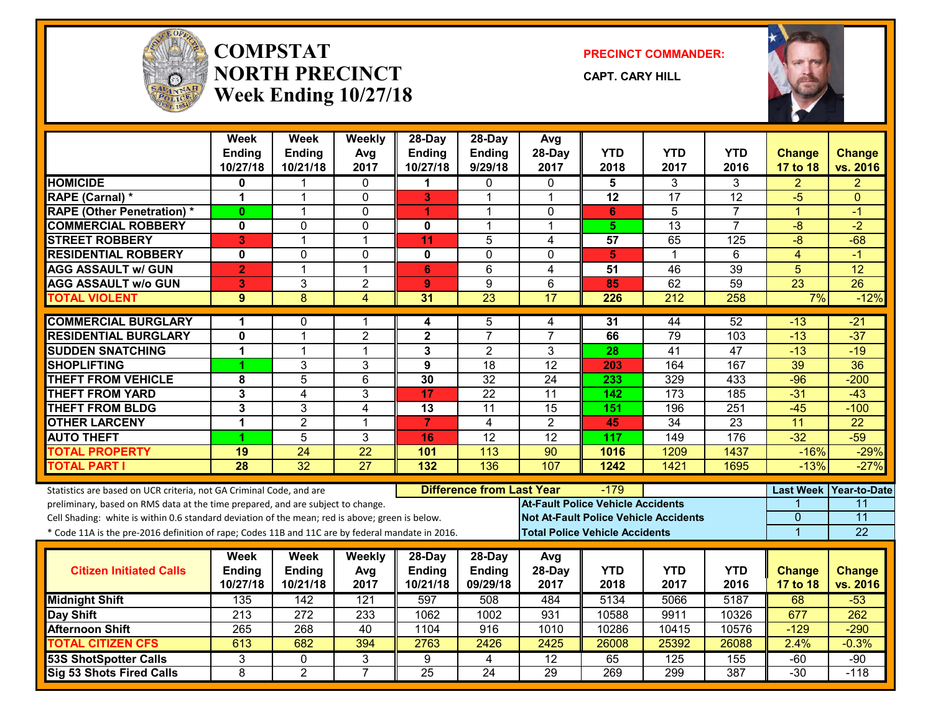

#### **COMPSTATNORTH PRECINCTWeek Ending 10/27/18**

**PRECINCT COMMANDER:**

**CAPT. CARY HILL**



|                                                                                                  | <b>Week</b>      | <b>Week</b>     | Weekly          | 28-Day                  | 28-Day                           | Avg                                      |                                       |                                              |                 |                  |                     |
|--------------------------------------------------------------------------------------------------|------------------|-----------------|-----------------|-------------------------|----------------------------------|------------------------------------------|---------------------------------------|----------------------------------------------|-----------------|------------------|---------------------|
|                                                                                                  | Ending           | <b>Ending</b>   | Avg             | Ending                  | <b>Ending</b>                    | 28-Day                                   | <b>YTD</b>                            | <b>YTD</b>                                   | <b>YTD</b>      | <b>Change</b>    | <b>Change</b>       |
|                                                                                                  | 10/27/18         | 10/21/18        | 2017            | 10/27/18                | 9/29/18                          | 2017                                     | 2018                                  | 2017                                         | 2016            | 17 to 18         | vs. 2016            |
| <b>HOMICIDE</b>                                                                                  | 0                |                 | 0               | 1                       | 0                                | $\Omega$                                 | 5                                     | 3                                            | 3               | $\overline{2}$   | 2                   |
| <b>RAPE (Carnal) *</b>                                                                           | 1                | 1               | $\Omega$        | 3                       | 1                                | $\overline{1}$                           | $\overline{12}$                       | 17                                           | 12              | $-5$             | $\Omega$            |
| <b>RAPE (Other Penetration) *</b>                                                                | $\bf{0}$         | $\mathbf{1}$    | 0               | 4                       | $\mathbf 1$                      | $\mathbf{0}$                             | 6                                     | 5                                            | $\overline{7}$  | $\overline{1}$   | $-1$                |
| <b>COMMERCIAL ROBBERY</b>                                                                        | 0                | $\mathbf{0}$    | $\mathbf 0$     | 0                       | $\mathbf{1}$                     | $\overline{1}$                           | 5 <sup>1</sup>                        | $\overline{13}$                              | $\overline{7}$  | $-8$             | $-2$                |
| <b>STREET ROBBERY</b>                                                                            | 3                | 1               | $\mathbf 1$     | 11                      | 5                                | $\overline{4}$                           | $\overline{57}$                       | 65                                           | 125             | $-\sqrt{8}$      | $-68$               |
| <b>RESIDENTIAL ROBBERY</b>                                                                       | 0                | $\mathbf 0$     | $\mathbf 0$     | 0                       | $\mathbf 0$                      | $\Omega$                                 | 5                                     | 1                                            | 6               | 4                | $-1$                |
| <b>AGG ASSAULT w/ GUN</b>                                                                        | $\overline{2}$   | 1               | $\overline{1}$  | 6                       | $\overline{6}$                   | $\overline{4}$                           | $\overline{51}$                       | 46                                           | 39              | $\overline{5}$   | $\overline{12}$     |
| <b>AGG ASSAULT w/o GUN</b>                                                                       | 3                | 3               | $\overline{2}$  | 9                       | 9                                | 6                                        | 85                                    | 62                                           | 59              | $\overline{23}$  | $\overline{26}$     |
| <b>TOTAL VIOLENT</b>                                                                             | 9                | $\overline{8}$  | 4               | 31                      | 23                               | 17                                       | 226                                   | 212                                          | 258             | 7%               | $-12%$              |
| <b>COMMERCIAL BURGLARY</b>                                                                       | 1                | 0               | 1               | 4                       | 5                                | 4                                        | 31                                    | 44                                           | 52              | $-13$            | $-21$               |
| <b>RESIDENTIAL BURGLARY</b>                                                                      | 0                | $\mathbf 1$     | $\overline{2}$  | $\overline{\mathbf{2}}$ | $\overline{7}$                   | $\overline{7}$                           | 66                                    | 79                                           | 103             | $-13$            | $-37$               |
| <b>SUDDEN SNATCHING</b>                                                                          | 1                | $\mathbf 1$     | $\mathbf{1}$    | 3                       | $\overline{2}$                   | 3                                        | 28                                    | 41                                           | $\overline{47}$ | $-13$            | $-19$               |
| <b>SHOPLIFTING</b>                                                                               |                  | 3               | 3               | 9                       | $\overline{18}$                  | $\overline{12}$                          | 203                                   | 164                                          | 167             | 39               | $\overline{36}$     |
| <b>THEFT FROM VEHICLE</b>                                                                        | 8                | 5               | $6\phantom{1}$  | 30                      | $\overline{32}$                  | 24                                       | 233                                   | 329                                          | 433             | $-96$            | $-200$              |
| <b>THEFT FROM YARD</b>                                                                           | 3                | 4               | 3               | 17                      | $\overline{22}$                  | $\overline{11}$                          | 142                                   | 173                                          | 185             | $-31$            | $-43$               |
| <b>THEFT FROM BLDG</b>                                                                           | 3                | 3               | 4               | 13                      | 11                               | 15                                       | 151                                   | 196                                          | 251             | $-45$            | $-100$              |
| <b>OTHER LARCENY</b>                                                                             | 1                | $\overline{2}$  | $\mathbf{1}$    | $\overline{7}$          | $\overline{4}$                   | 2                                        | 45                                    | 34                                           | 23              | 11               | $\overline{22}$     |
| <b>AUTO THEFT</b>                                                                                | 1                | 5               | 3               | 16                      | 12                               | $\overline{12}$                          | 117                                   | 149                                          | 176             | $-32$            | $-59$               |
| <b>TOTAL PROPERTY</b>                                                                            | $\overline{19}$  | 24              | $\overline{22}$ | 101                     | $\overline{113}$                 | $\overline{90}$                          | 1016                                  | 1209                                         | 1437            | $-16%$           | $-29%$              |
| <b>TOTAL PART I</b>                                                                              | 28               | $\overline{32}$ | $\overline{27}$ | 132                     | 136                              | 107                                      | 1242                                  | 1421                                         | 1695            | $-13%$           | $-27%$              |
| Statistics are based on UCR criteria, not GA Criminal Code, and are                              |                  |                 |                 |                         | <b>Difference from Last Year</b> |                                          | $-179$                                |                                              |                 | <b>Last Week</b> | <b>Year-to-Date</b> |
| preliminary, based on RMS data at the time prepared, and are subject to change.                  |                  |                 |                 |                         |                                  | <b>At-Fault Police Vehicle Accidents</b> |                                       |                                              |                 |                  | 11                  |
| Cell Shading: white is within 0.6 standard deviation of the mean; red is above; green is below.  |                  |                 |                 |                         |                                  |                                          |                                       | <b>Not At-Fault Police Vehicle Accidents</b> |                 | $\mathbf{0}$     | $\overline{11}$     |
| * Code 11A is the pre-2016 definition of rape; Codes 11B and 11C are by federal mandate in 2016. |                  |                 |                 |                         |                                  |                                          | <b>Total Police Vehicle Accidents</b> |                                              |                 | $\overline{1}$   | 22                  |
|                                                                                                  |                  |                 |                 |                         |                                  |                                          |                                       |                                              |                 |                  |                     |
|                                                                                                  | Week             | <b>Week</b>     | Weekly          | 28-Day                  | $28$ -Day                        | Avg                                      |                                       |                                              |                 |                  |                     |
| <b>Citizen Initiated Calls</b>                                                                   | <b>Ending</b>    | <b>Ending</b>   | Avg             | <b>Ending</b>           | <b>Ending</b>                    | 28-Day                                   | <b>YTD</b>                            | <b>YTD</b>                                   | <b>YTD</b>      | <b>Change</b>    | <b>Change</b>       |
|                                                                                                  | 10/27/18         | 10/21/18        | 2017            | 10/21/18                | 09/29/18                         | 2017                                     | 2018                                  | 2017                                         | 2016            | 17 to 18         | vs. 2016            |
| <b>Midnight Shift</b>                                                                            | 135              | 142             | 121             | 597                     | 508                              | 484                                      | 5134                                  | 5066                                         | 5187            | 68               | $-53$               |
| <b>Day Shift</b>                                                                                 | 213              | 272             | 233             | 1062                    | 1002                             | 931                                      | 10588                                 | 9911                                         | 10326           | 677              | 262                 |
| <b>Afternoon Shift</b>                                                                           | $\overline{265}$ | 268             | 40              | 1104                    | $\overline{916}$                 | 1010                                     | 10286                                 | 10415                                        | 10576           | $-129$           | $-290$              |
| <b>TOTAL CITIZEN CFS</b>                                                                         | 613              | 682             | 394             | 2763                    | 2426                             | 2425                                     | 26008                                 | 25392                                        | 26088           | 2.4%             | $-0.3%$             |
| <b>53S ShotSpotter Calls</b>                                                                     | 3                | $\mathbf{0}$    | 3               | 9                       | 4                                | $\overline{12}$                          | 65                                    | 125                                          | 155             | $-60$            | $-90$               |
| Sig 53 Shots Fired Calls                                                                         | 8                | $\overline{2}$  | $\overline{7}$  | $\overline{25}$         | $\overline{24}$                  | 29                                       | 269                                   | 299                                          | 387             | $-30$            | $-118$              |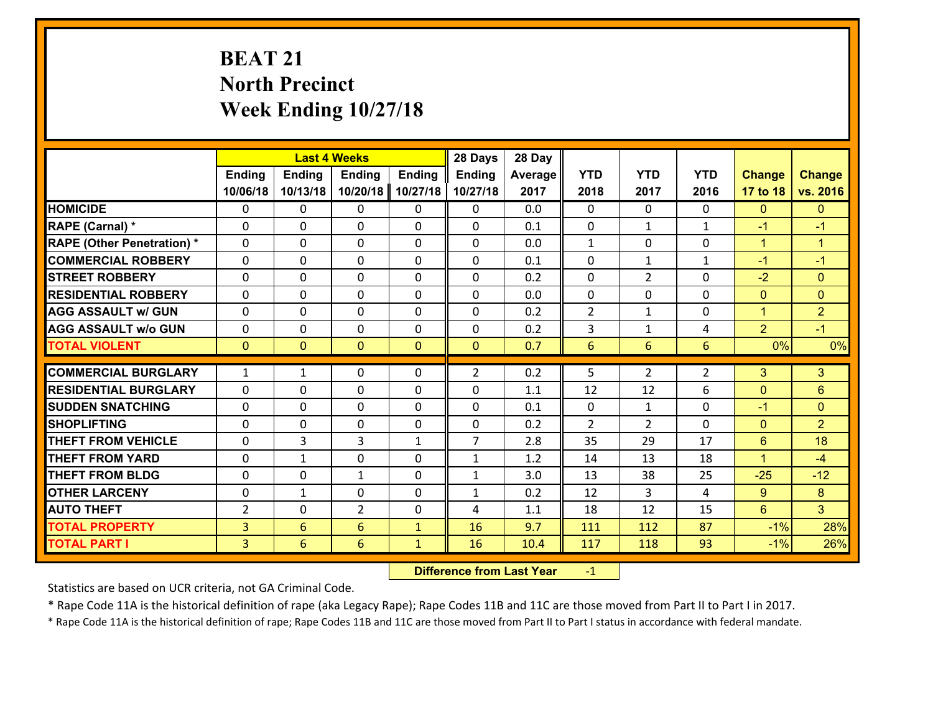# **BEAT 21 North Precinct Week Ending 10/27/18**

|                                   |                |                | <b>Last 4 Weeks</b> |               | 28 Days        | 28 Day  |                |                |                |                |                      |
|-----------------------------------|----------------|----------------|---------------------|---------------|----------------|---------|----------------|----------------|----------------|----------------|----------------------|
|                                   | <b>Ending</b>  | <b>Ending</b>  | <b>Ending</b>       | <b>Ending</b> | <b>Ending</b>  | Average | <b>YTD</b>     | <b>YTD</b>     | <b>YTD</b>     | <b>Change</b>  | <b>Change</b>        |
|                                   | 10/06/18       | 10/13/18       | 10/20/18            | 10/27/18      | 10/27/18       | 2017    | 2018           | 2017           | 2016           | 17 to 18       | vs. 2016             |
| <b>HOMICIDE</b>                   | $\Omega$       | 0              | $\Omega$            | 0             | $\Omega$       | 0.0     | $\Omega$       | $\Omega$       | $\Omega$       | $\mathbf{0}$   | $\mathbf{0}$         |
| RAPE (Carnal) *                   | 0              | 0              | $\mathbf{0}$        | 0             | $\Omega$       | 0.1     | $\mathbf{0}$   | $\mathbf{1}$   | $\mathbf{1}$   | $-1$           | $-1$                 |
| <b>RAPE (Other Penetration) *</b> | $\Omega$       | 0              | $\mathbf{0}$        | $\Omega$      | $\Omega$       | 0.0     | $\mathbf{1}$   | $\Omega$       | $\Omega$       | $\mathbf{1}$   | $\blacktriangleleft$ |
| <b>COMMERCIAL ROBBERY</b>         | 0              | 0              | 0                   | 0             | $\Omega$       | 0.1     | $\mathbf{0}$   | $\mathbf{1}$   | $\mathbf{1}$   | $-1$           | $-1$                 |
| <b>STREET ROBBERY</b>             | $\Omega$       | 0              | $\mathbf 0$         | 0             | 0              | 0.2     | $\mathbf 0$    | $\overline{2}$ | 0              | $-2$           | $\mathbf{0}$         |
| <b>RESIDENTIAL ROBBERY</b>        | $\Omega$       | $\Omega$       | $\mathbf 0$         | $\Omega$      | 0              | 0.0     | $\mathbf 0$    | $\Omega$       | $\Omega$       | $\mathbf{0}$   | $\overline{0}$       |
| <b>AGG ASSAULT w/ GUN</b>         | $\Omega$       | 0              | $\mathbf 0$         | $\Omega$      | 0              | 0.2     | $\overline{2}$ | $\mathbf{1}$   | 0              | $\mathbf{1}$   | $\overline{2}$       |
| <b>AGG ASSAULT w/o GUN</b>        | 0              | 0              | $\mathbf 0$         | 0             | 0              | 0.2     | 3              | $\mathbf{1}$   | 4              | $\overline{2}$ | $-1$                 |
| <b>TOTAL VIOLENT</b>              | $\mathbf{0}$   | $\overline{0}$ | $\mathbf{O}$        | $\mathbf{0}$  | $\mathbf{0}$   | 0.7     | $6\phantom{1}$ | 6              | 6              | 0%             | 0%                   |
| <b>COMMERCIAL BURGLARY</b>        | $\mathbf{1}$   | 1              | $\mathbf{0}$        | $\Omega$      | $\overline{2}$ | 0.2     | 5              | $\overline{2}$ | $\overline{2}$ | 3              | 3                    |
| <b>RESIDENTIAL BURGLARY</b>       | 0              | 0              | $\mathbf 0$         | 0             | 0              | 1.1     | 12             | 12             | 6              | $\mathbf{0}$   | 6                    |
| <b>SUDDEN SNATCHING</b>           | 0              | 0              | $\mathbf 0$         | 0             | 0              | 0.1     | $\mathbf 0$    | $\mathbf{1}$   | 0              | $-1$           | $\mathbf{0}$         |
| <b>SHOPLIFTING</b>                | $\Omega$       | 0              | $\mathbf 0$         | 0             | 0              | 0.2     | $\overline{2}$ | $\overline{2}$ | $\Omega$       | $\overline{0}$ | $\overline{2}$       |
| <b>THEFT FROM VEHICLE</b>         | $\Omega$       | 3              | 3                   | $\mathbf{1}$  | $\overline{7}$ | 2.8     | 35             | 29             | 17             | $6\phantom{1}$ | 18                   |
| <b>THEFT FROM YARD</b>            | 0              | $\mathbf{1}$   | $\mathbf 0$         | 0             | $\mathbf{1}$   | 1.2     | 14             | 13             | 18             | $\mathbf{1}$   | $-4$                 |
| <b>THEFT FROM BLDG</b>            | 0              | 0              | 1                   | 0             | $\mathbf{1}$   | 3.0     | 13             | 38             | 25             | $-25$          | $-12$                |
| <b>OTHER LARCENY</b>              | 0              | 1              | $\mathbf 0$         | 0             | $\mathbf{1}$   | 0.2     | 12             | 3              | 4              | $9^{\circ}$    | 8                    |
| <b>AUTO THEFT</b>                 | $\overline{2}$ | 0              | $\overline{2}$      | 0             | 4              | 1.1     | 18             | 12             | 15             | $6^{\circ}$    | 3 <sup>1</sup>       |
| <b>TOTAL PROPERTY</b>             | $\overline{3}$ | 6              | 6                   | $\mathbf{1}$  | 16             | 9.7     | 111            | 112            | 87             | $-1%$          | 28%                  |
| <b>TOTAL PART I</b>               | $\overline{3}$ | 6              | 6                   | $\mathbf{1}$  | 16             | 10.4    | 117            | 118            | 93             | $-1%$          | 26%                  |
|                                   |                |                |                     |               |                |         |                |                |                |                |                      |

 **Difference from Last Year**r -1

Statistics are based on UCR criteria, not GA Criminal Code.

\* Rape Code 11A is the historical definition of rape (aka Legacy Rape); Rape Codes 11B and 11C are those moved from Part II to Part I in 2017.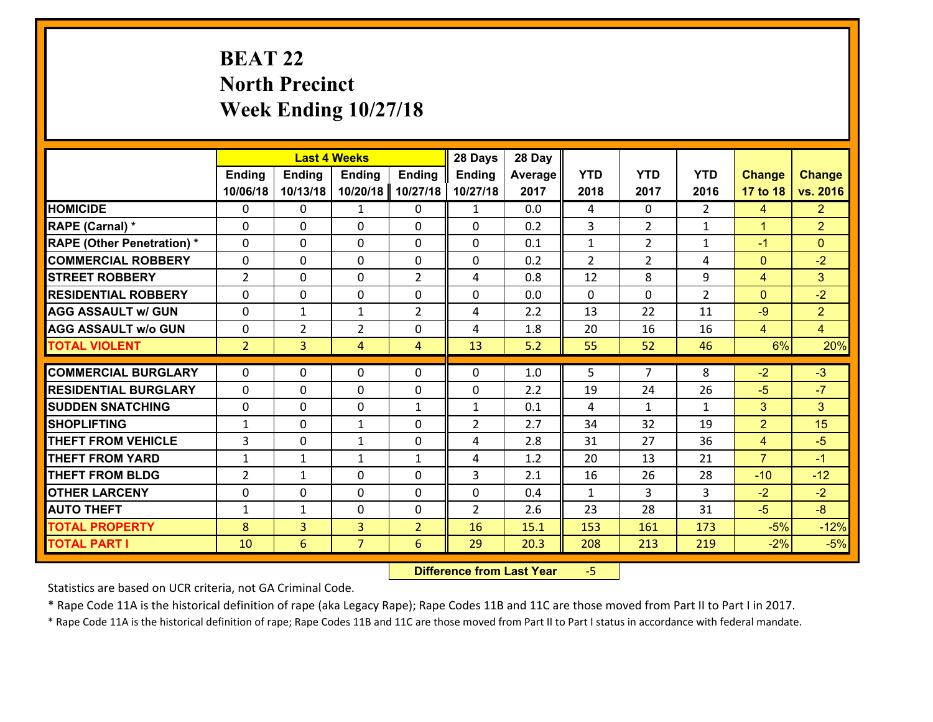# **BEAT 22 North Precinct Week Ending 10/27/18**

|                                               |                |                | <b>Last 4 Weeks</b> |                | 28 Days                        | 28 Day     |                |                    |                    |                     |                |
|-----------------------------------------------|----------------|----------------|---------------------|----------------|--------------------------------|------------|----------------|--------------------|--------------------|---------------------|----------------|
|                                               | <b>Ending</b>  | <b>Ending</b>  | <b>Ending</b>       | <b>Ending</b>  | <b>Ending</b>                  | Average    | <b>YTD</b>     | <b>YTD</b>         | <b>YTD</b>         | <b>Change</b>       | <b>Change</b>  |
|                                               | 10/06/18       | 10/13/18       | 10/20/18            | 10/27/18       | 10/27/18                       | 2017       | 2018           | 2017               | 2016               | 17 to 18            | vs. 2016       |
| <b>HOMICIDE</b>                               | $\Omega$       | 0              | 1                   | 0              | $\mathbf{1}$                   | 0.0        | 4              | $\Omega$           | $\mathcal{L}$      | $\overline{4}$      | 2 <sup>1</sup> |
| RAPE (Carnal) *                               | 0              | 0              | $\mathbf{0}$        | 0              | $\Omega$                       | 0.2        | 3              | $\overline{2}$     | $\mathbf{1}$       | $\mathbf{1}$        | $\overline{2}$ |
| <b>RAPE (Other Penetration) *</b>             | $\Omega$       | 0              | $\mathbf{0}$        | $\Omega$       | $\Omega$                       | 0.1        | $\mathbf{1}$   | $\overline{2}$     | $\mathbf{1}$       | $-1$                | $\mathbf{0}$   |
| <b>COMMERCIAL ROBBERY</b>                     | 0              | 0              | 0                   | 0              | $\Omega$                       | 0.2        | $\overline{2}$ | $\overline{2}$     | 4                  | $\mathbf{0}$        | $-2$           |
| <b>STREET ROBBERY</b>                         | $\overline{2}$ | 0              | $\mathbf 0$         | $\overline{2}$ | 4                              | 0.8        | 12             | 8                  | 9                  | $\overline{4}$      | 3              |
| <b>RESIDENTIAL ROBBERY</b>                    | $\Omega$       | $\Omega$       | $\mathbf 0$         | $\Omega$       | 0                              | 0.0        | $\Omega$       | $\Omega$           | $\overline{2}$     | $\mathbf{0}$        | $-2$           |
| <b>AGG ASSAULT w/ GUN</b>                     | 0              | $\mathbf{1}$   | $\mathbf{1}$        | $\overline{2}$ | 4                              | 2.2        | 13             | 22                 | 11                 | $-9$                | $\overline{2}$ |
| <b>AGG ASSAULT w/o GUN</b>                    | 0              | $\overline{2}$ | $\overline{2}$      | 0              | 4                              | 1.8        | 20             | 16                 | 16                 | $\overline{4}$      | $\overline{4}$ |
| <b>TOTAL VIOLENT</b>                          | 2 <sup>1</sup> | $\overline{3}$ | 4                   | $\overline{4}$ | 13                             | 5.2        | 55             | 52                 | 46                 | 6%                  | 20%            |
| <b>COMMERCIAL BURGLARY</b>                    | $\Omega$       | 0              | $\mathbf{0}$        | $\Omega$       | $\Omega$                       | 1.0        | 5              | $\overline{7}$     | 8                  | $-2$                | $-3$           |
|                                               |                |                |                     |                |                                |            |                |                    |                    |                     | $-7$           |
| <b>RESIDENTIAL BURGLARY</b>                   | 0              | 0              | $\mathbf 0$         | 0              | 0                              | 2.2        | 19             | 24                 | 26                 | $-5$                |                |
| <b>SUDDEN SNATCHING</b><br><b>SHOPLIFTING</b> | 0              | 0              | $\mathbf 0$         | $\mathbf{1}$   | $\mathbf{1}$<br>$\overline{2}$ | 0.1<br>2.7 | 4              | $\mathbf{1}$<br>32 | $\mathbf{1}$<br>19 | 3<br>$\overline{2}$ | 3<br>15        |
|                                               | $\mathbf{1}$   | 0              | 1                   | 0              |                                |            | 34             |                    |                    |                     |                |
| <b>THEFT FROM VEHICLE</b>                     | $\overline{3}$ | 0              | 1                   | 0              | 4                              | 2.8        | 31             | 27                 | 36                 | $\overline{4}$      | $-5$           |
| <b>THEFT FROM YARD</b>                        | $\mathbf{1}$   | $\mathbf{1}$   | 1                   | $\mathbf{1}$   | 4                              | 1.2        | 20             | 13                 | 21                 | $\overline{7}$      | $-1$           |
| <b>THEFT FROM BLDG</b>                        | $\overline{2}$ | 1              | $\mathbf 0$         | 0              | 3                              | 2.1        | 16             | 26                 | 28                 | $-10$               | $-12$          |
| <b>OTHER LARCENY</b>                          | 0              | 0              | $\mathbf 0$         | 0              | 0                              | 0.4        | $\mathbf{1}$   | 3                  | 3                  | $-2$                | $-2$           |
| <b>AUTO THEFT</b>                             | $\mathbf{1}$   | 1              | $\mathbf{0}$        | 0              | $\overline{2}$                 | 2.6        | 23             | 28                 | 31                 | $-5$                | $-8$           |
| <b>TOTAL PROPERTY</b>                         | 8              | 3              | $\overline{3}$      | $\overline{2}$ | 16                             | 15.1       | 153            | 161                | 173                | $-5%$               | $-12%$         |
| <b>TOTAL PART I</b>                           | 10             | 6              | $\overline{7}$      | 6              | 29                             | 20.3       | 208            | 213                | 219                | $-2%$               | $-5%$          |

 **Difference from Last Year**‐5

Statistics are based on UCR criteria, not GA Criminal Code.

\* Rape Code 11A is the historical definition of rape (aka Legacy Rape); Rape Codes 11B and 11C are those moved from Part II to Part I in 2017.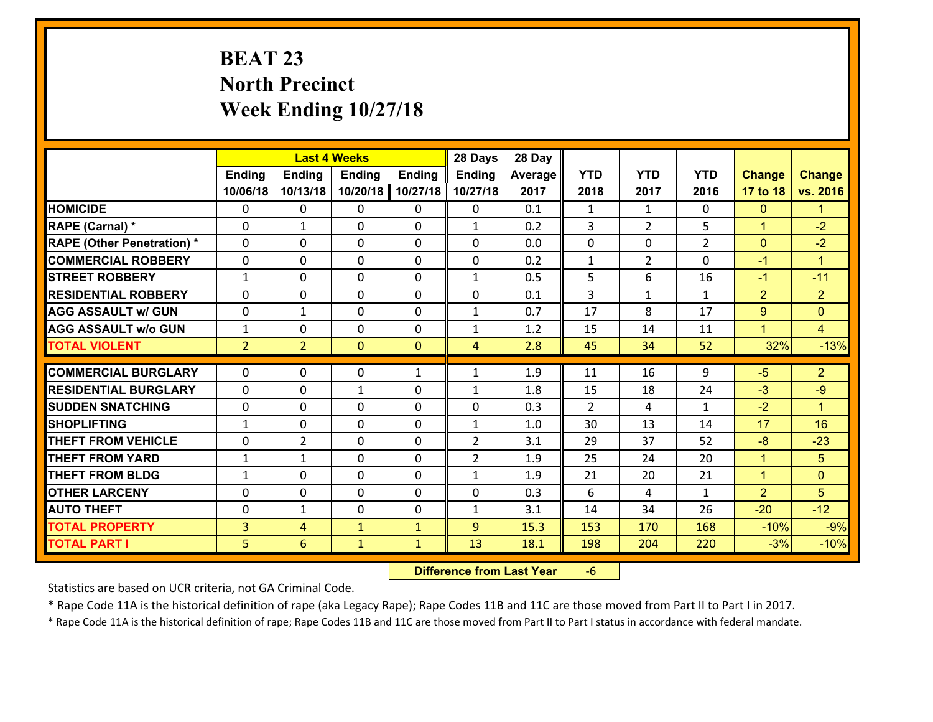# **BEAT 23 North Precinct Week Ending 10/27/18**

|                                   |                | <b>Last 4 Weeks</b> |               |                | 28 Days        | 28 Day  |               |                |                |                |                      |
|-----------------------------------|----------------|---------------------|---------------|----------------|----------------|---------|---------------|----------------|----------------|----------------|----------------------|
|                                   | <b>Ending</b>  | <b>Ending</b>       | <b>Ending</b> | <b>Ending</b>  | Ending         | Average | <b>YTD</b>    | <b>YTD</b>     | <b>YTD</b>     | <b>Change</b>  | <b>Change</b>        |
|                                   | 10/06/18       | 10/13/18            | 10/20/18      | 10/27/18       | 10/27/18       | 2017    | 2018          | 2017           | 2016           | 17 to 18       | vs. 2016             |
| <b>HOMICIDE</b>                   | $\Omega$       | 0                   | $\mathbf{0}$  | $\Omega$       | 0              | 0.1     | 1             | $\mathbf{1}$   | $\Omega$       | $\mathbf{0}$   | $\mathbf{1}$         |
| RAPE (Carnal) *                   | $\Omega$       | $\mathbf{1}$        | $\mathbf{0}$  | 0              | $\mathbf{1}$   | 0.2     | 3             | $\overline{2}$ | 5              | $\mathbf{1}$   | $-2$                 |
| <b>RAPE (Other Penetration) *</b> | 0              | 0                   | $\mathbf 0$   | 0              | 0              | 0.0     | 0             | 0              | $\overline{2}$ | $\overline{0}$ | $-2$                 |
| <b>COMMERCIAL ROBBERY</b>         | 0              | 0                   | 0             | 0              | 0              | 0.2     | $\mathbf{1}$  | $\overline{2}$ | $\Omega$       | $-1$           | $\mathbf{1}$         |
| <b>STREET ROBBERY</b>             | $\mathbf{1}$   | 0                   | $\mathbf 0$   | 0              | $\mathbf{1}$   | 0.5     | 5             | 6              | 16             | $-1$           | $-11$                |
| <b>RESIDENTIAL ROBBERY</b>        | 0              | 0                   | $\mathbf 0$   | 0              | 0              | 0.1     | 3             | $\mathbf{1}$   | $\mathbf{1}$   | $\overline{2}$ | $\overline{2}$       |
| <b>AGG ASSAULT w/ GUN</b>         | 0              | $\mathbf{1}$        | $\mathbf 0$   | 0              | $\mathbf{1}$   | 0.7     | 17            | 8              | 17             | 9              | $\overline{0}$       |
| <b>AGG ASSAULT w/o GUN</b>        | $\mathbf{1}$   | 0                   | $\mathbf 0$   | 0              | $\mathbf{1}$   | 1.2     | 15            | 14             | 11             | $\mathbf{1}$   | $\overline{4}$       |
| <b>TOTAL VIOLENT</b>              | 2 <sup>1</sup> | $\overline{2}$      | $\mathbf{0}$  | $\overline{0}$ | $\overline{4}$ | 2.8     | 45            | 34             | 52             | 32%            | $-13%$               |
| <b>COMMERCIAL BURGLARY</b>        | $\Omega$       | 0                   | $\mathbf{0}$  |                |                | 1.9     | 11            | 16             | 9              | $-5$           | $\overline{2}$       |
|                                   |                |                     |               | $\mathbf{1}$   | $\mathbf{1}$   |         |               |                |                |                |                      |
| <b>RESIDENTIAL BURGLARY</b>       | $\Omega$       | 0                   | $\mathbf{1}$  | 0              | $\mathbf{1}$   | 1.8     | 15            | 18             | 24             | $-3$           | $-9$                 |
| <b>SUDDEN SNATCHING</b>           | 0              | 0                   | $\mathbf{0}$  | $\Omega$       | 0              | 0.3     | $\mathcal{P}$ | 4              | $\mathbf{1}$   | $-2$           | $\blacktriangleleft$ |
| <b>SHOPLIFTING</b>                | $\mathbf{1}$   | $\Omega$            | $\Omega$      | $\Omega$       | $\mathbf{1}$   | 1.0     | 30            | 13             | 14             | 17             | 16                   |
| <b>THEFT FROM VEHICLE</b>         | 0              | $\overline{2}$      | $\mathbf 0$   | 0              | $\overline{2}$ | 3.1     | 29            | 37             | 52             | $-8$           | $-23$                |
| <b>THEFT FROM YARD</b>            | $\mathbf{1}$   | 1                   | 0             | 0              | $\overline{2}$ | 1.9     | 25            | 24             | 20             | $\mathbf{1}$   | $5\phantom{.}$       |
| <b>THEFT FROM BLDG</b>            | $\mathbf{1}$   | 0                   | $\mathbf 0$   | 0              | $\mathbf{1}$   | 1.9     | 21            | 20             | 21             | $\mathbf{1}$   | $\mathbf{0}$         |
| <b>OTHER LARCENY</b>              | 0              | 0                   | $\mathbf 0$   | 0              | 0              | 0.3     | 6             | 4              | $\mathbf{1}$   | $\overline{2}$ | 5                    |
| <b>AUTO THEFT</b>                 | 0              | $\mathbf{1}$        | 0             | 0              | $\mathbf{1}$   | 3.1     | 14            | 34             | 26             | $-20$          | $-12$                |
| <b>TOTAL PROPERTY</b>             | $\overline{3}$ | 4                   | $\mathbf{1}$  | $\mathbf{1}$   | 9              | 15.3    | 153           | 170            | 168            | $-10%$         | $-9%$                |
| <b>TOTAL PART I</b>               | 5              | 6                   | $\mathbf{1}$  | $\mathbf{1}$   | 13             | 18.1    | 198           | 204            | 220            | $-3%$          | $-10%$               |

 **Difference from Last Year**‐6

Statistics are based on UCR criteria, not GA Criminal Code.

\* Rape Code 11A is the historical definition of rape (aka Legacy Rape); Rape Codes 11B and 11C are those moved from Part II to Part I in 2017.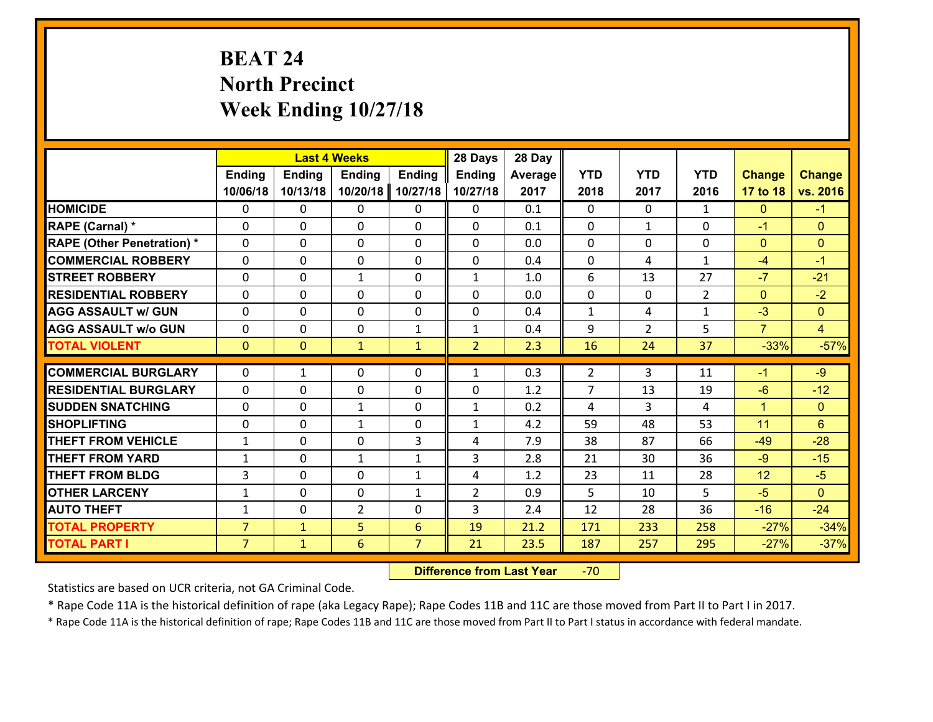# **BEAT 24 North Precinct Week Ending 10/27/18**

|                                   |                | <b>Last 4 Weeks</b> |                 |                | 28 Days        | 28 Day  |                |                |                |                |                |
|-----------------------------------|----------------|---------------------|-----------------|----------------|----------------|---------|----------------|----------------|----------------|----------------|----------------|
|                                   | <b>Ending</b>  | <b>Ending</b>       | <b>Ending</b>   | <b>Ending</b>  | <b>Ending</b>  | Average | <b>YTD</b>     | <b>YTD</b>     | <b>YTD</b>     | <b>Change</b>  | <b>Change</b>  |
|                                   | 10/06/18       | 10/13/18            | 10/20/18        | 10/27/18       | 10/27/18       | 2017    | 2018           | 2017           | 2016           | 17 to 18       | vs. 2016       |
| <b>HOMICIDE</b>                   | $\Omega$       | 0                   | 0               | 0              | 0              | 0.1     | $\Omega$       | $\Omega$       | $\mathbf{1}$   | $\mathbf{0}$   | $-1$           |
| RAPE (Carnal) *                   | $\Omega$       | 0                   | $\mathbf{0}$    | 0              | $\Omega$       | 0.1     | $\Omega$       | $\mathbf{1}$   | $\Omega$       | $-1$           | $\mathbf{0}$   |
| <b>RAPE (Other Penetration) *</b> | 0              | 0                   | $\mathbf 0$     | 0              | 0              | 0.0     | 0              | 0              | 0              | $\mathbf{0}$   | $\mathbf{0}$   |
| <b>COMMERCIAL ROBBERY</b>         | 0              | 0                   | $\mathbf 0$     | 0              | 0              | 0.4     | $\mathbf 0$    | 4              | $\mathbf{1}$   | $-4$           | $-1$           |
| <b>STREET ROBBERY</b>             | 0              | 0                   | $\mathbf{1}$    | 0              | $\mathbf{1}$   | 1.0     | 6              | 13             | 27             | $-7$           | $-21$          |
| <b>RESIDENTIAL ROBBERY</b>        | $\Omega$       | 0                   | $\mathbf 0$     | 0              | 0              | 0.0     | $\mathbf 0$    | $\mathbf{0}$   | $\overline{2}$ | $\mathbf{0}$   | $-2$           |
| <b>AGG ASSAULT w/ GUN</b>         | 0              | 0                   | $\mathbf 0$     | 0              | 0              | 0.4     | $\mathbf 1$    | 4              | $\mathbf{1}$   | $-3$           | $\overline{0}$ |
| <b>AGG ASSAULT w/o GUN</b>        | 0              | 0                   | $\mathbf 0$     | $\mathbf{1}$   | $\mathbf{1}$   | 0.4     | 9              | $\overline{2}$ | 5              | $\overline{7}$ | $\overline{4}$ |
| <b>TOTAL VIOLENT</b>              | $\mathbf{O}$   | $\overline{0}$      | $\mathbf{1}$    | $\mathbf{1}$   | $\overline{2}$ | 2.3     | 16             | 24             | 37             | $-33%$         | $-57%$         |
|                                   | $\Omega$       |                     |                 |                |                |         |                |                |                |                |                |
| <b>COMMERCIAL BURGLARY</b>        |                | 1                   | $\mathbf{0}$    | 0              | $\mathbf{1}$   | 0.3     | 2              | 3              | 11             | $-1$           | $-9$           |
| <b>RESIDENTIAL BURGLARY</b>       | $\Omega$       | 0                   | 0               | 0              | 0              | 1.2     | $\overline{7}$ | 13             | 19             | $-6$           | $-12$          |
| <b>SUDDEN SNATCHING</b>           | 0              | 0                   | 1               | 0              | $\mathbf{1}$   | 0.2     | 4              | 3              | 4              | $\mathbf{1}$   | $\overline{0}$ |
| <b>SHOPLIFTING</b>                | 0              | 0                   | $\mathbf{1}$    | 0              | $\mathbf{1}$   | 4.2     | 59             | 48             | 53             | 11             | $6\phantom{1}$ |
| <b>THEFT FROM VEHICLE</b>         | $\mathbf{1}$   | 0                   | $\mathbf 0$     | 3              | 4              | 7.9     | 38             | 87             | 66             | $-49$          | $-28$          |
| <b>THEFT FROM YARD</b>            | $\mathbf{1}$   | 0                   | $\mathbf{1}$    | $\mathbf{1}$   | 3              | 2.8     | 21             | 30             | 36             | $-9$           | $-15$          |
| <b>THEFT FROM BLDG</b>            | 3              | 0                   | $\mathbf 0$     | $\mathbf{1}$   | 4              | 1.2     | 23             | 11             | 28             | 12             | $-5$           |
| <b>OTHER LARCENY</b>              | $\mathbf{1}$   | 0                   | $\mathbf 0$     | $\mathbf{1}$   | $\overline{2}$ | 0.9     | 5              | 10             | 5              | $-5$           | $\overline{0}$ |
| <b>AUTO THEFT</b>                 | $\mathbf{1}$   | 0                   | $\overline{2}$  | 0              | 3              | 2.4     | 12             | 28             | 36             | $-16$          | $-24$          |
| <b>TOTAL PROPERTY</b>             | $\overline{7}$ | $\mathbf{1}$        | 5               | 6              | 19             | 21.2    | 171            | 233            | 258            | $-27%$         | $-34%$         |
| <b>TOTAL PART I</b>               | $\overline{7}$ | $\mathbf{1}$        | $6\overline{6}$ | $\overline{7}$ | 21             | 23.5    | 187            | 257            | 295            | $-27%$         | $-37%$         |

 **Difference from Last Year**r -70

Statistics are based on UCR criteria, not GA Criminal Code.

\* Rape Code 11A is the historical definition of rape (aka Legacy Rape); Rape Codes 11B and 11C are those moved from Part II to Part I in 2017.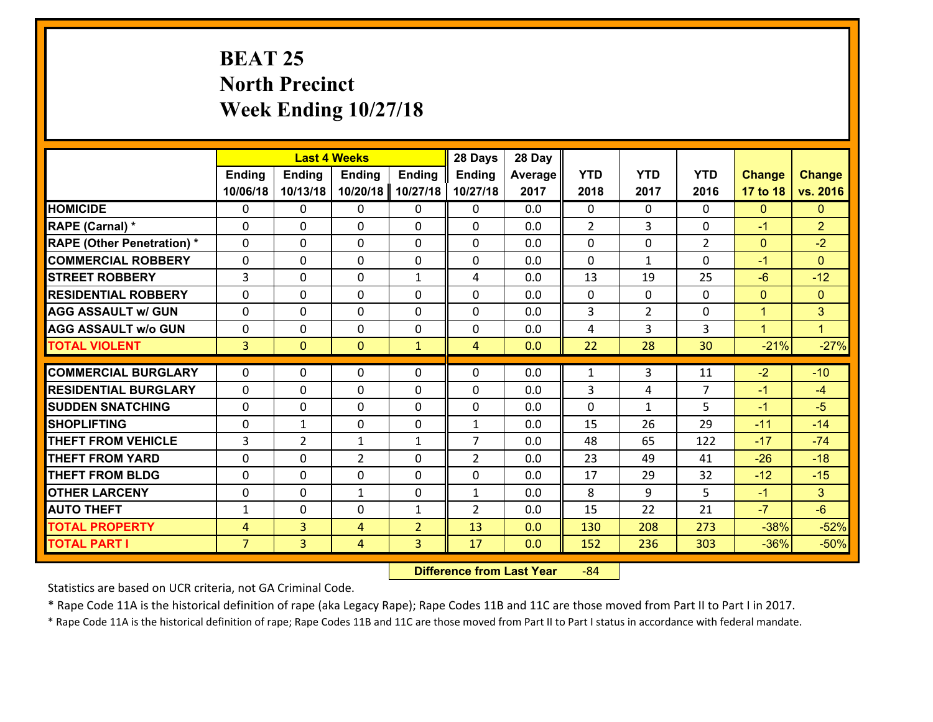# **BEAT 25 North Precinct Week Ending 10/27/18**

|                                   |                |                | <b>Last 4 Weeks</b> |                | 28 Days        | 28 Day  |                |                |                |                |                |
|-----------------------------------|----------------|----------------|---------------------|----------------|----------------|---------|----------------|----------------|----------------|----------------|----------------|
|                                   | Ending         | <b>Ending</b>  | Ending              | <b>Ending</b>  | <b>Ending</b>  | Average | <b>YTD</b>     | <b>YTD</b>     | <b>YTD</b>     | <b>Change</b>  | <b>Change</b>  |
|                                   | 10/06/18       | 10/13/18       | 10/20/18            | 10/27/18       | 10/27/18       | 2017    | 2018           | 2017           | 2016           | 17 to 18       | vs. 2016       |
| <b>HOMICIDE</b>                   | $\Omega$       | 0              | 0                   | 0              | 0              | 0.0     | $\Omega$       | $\Omega$       | 0              | $\mathbf{0}$   | $\mathbf{0}$   |
| RAPE (Carnal) *                   | 0              | 0              | $\mathbf{0}$        | 0              | 0              | 0.0     | $\overline{2}$ | 3              | 0              | $-1$           | $\overline{2}$ |
| <b>RAPE (Other Penetration) *</b> | $\Omega$       | 0              | $\mathbf{0}$        | $\Omega$       | 0              | 0.0     | 0              | $\Omega$       | $\overline{2}$ | $\mathbf{0}$   | $-2$           |
| <b>COMMERCIAL ROBBERY</b>         | 0              | 0              | 0                   | 0              | 0              | 0.0     | $\mathbf{0}$   | $\mathbf{1}$   | $\Omega$       | $-1$           | $\mathbf{0}$   |
| <b>STREET ROBBERY</b>             | 3              | 0              | $\mathbf{0}$        | $\mathbf{1}$   | 4              | 0.0     | 13             | 19             | 25             | $-6$           | $-12$          |
| <b>RESIDENTIAL ROBBERY</b>        | $\Omega$       | $\Omega$       | $\mathbf 0$         | $\Omega$       | 0              | 0.0     | $\mathbf 0$    | $\mathbf{0}$   | 0              | $\mathbf{0}$   | $\mathbf{0}$   |
| <b>AGG ASSAULT w/ GUN</b>         | $\Omega$       | 0              | $\mathbf 0$         | $\Omega$       | 0              | 0.0     | 3              | $\overline{2}$ | 0              | $\mathbf{1}$   | 3              |
| <b>AGG ASSAULT w/o GUN</b>        | 0              | 0              | $\mathbf 0$         | 0              | 0              | 0.0     | 4              | $\overline{3}$ | 3              | $\overline{1}$ | L              |
| <b>TOTAL VIOLENT</b>              | 3 <sup>1</sup> | $\overline{0}$ | $\mathbf{O}$        | $\mathbf{1}$   | $\overline{4}$ | 0.0     | 22             | 28             | 30             | $-21%$         | $-27%$         |
| <b>COMMERCIAL BURGLARY</b>        | $\Omega$       |                |                     |                |                |         |                |                |                |                |                |
|                                   |                | 0              | $\mathbf{0}$        | 0              | 0              | 0.0     | 1              | 3              | 11             | $-2$           | $-10$          |
| <b>RESIDENTIAL BURGLARY</b>       | $\Omega$       | 0              | $\mathbf{0}$        | 0              | $\Omega$       | 0.0     | 3              | 4              | $\overline{7}$ | $-1$           | $-4$           |
| <b>SUDDEN SNATCHING</b>           | $\Omega$       | 0              | 0                   | $\Omega$       | 0              | 0.0     | $\Omega$       | $\mathbf{1}$   | 5              | $-1$           | $-5$           |
| <b>SHOPLIFTING</b>                | $\Omega$       | 1              | $\mathbf 0$         | $\Omega$       | $\mathbf{1}$   | 0.0     | 15             | 26             | 29             | $-11$          | $-14$          |
| <b>THEFT FROM VEHICLE</b>         | 3              | $\overline{2}$ | 1                   | $\mathbf{1}$   | $\overline{7}$ | 0.0     | 48             | 65             | 122            | $-17$          | $-74$          |
| <b>THEFT FROM YARD</b>            | 0              | 0              | $\overline{2}$      | $\Omega$       | $\overline{2}$ | 0.0     | 23             | 49             | 41             | $-26$          | $-18$          |
| <b>THEFT FROM BLDG</b>            | 0              | 0              | $\mathbf 0$         | 0              | 0              | 0.0     | 17             | 29             | 32             | $-12$          | $-15$          |
| <b>OTHER LARCENY</b>              | $\mathbf 0$    | 0              | 1                   | 0              | $\mathbf{1}$   | 0.0     | 8              | 9              | 5              | $-1$           | 3 <sup>1</sup> |
| <b>AUTO THEFT</b>                 | $\mathbf{1}$   | 0              | 0                   | $\mathbf{1}$   | $\overline{2}$ | 0.0     | 15             | 22             | 21             | $-7$           | $-6$           |
| <b>TOTAL PROPERTY</b>             | $\overline{4}$ | 3              | 4                   | $\overline{2}$ | 13             | 0.0     | 130            | 208            | 273            | $-38%$         | $-52%$         |
| <b>TOTAL PART I</b>               | $\overline{7}$ | $\overline{3}$ | 4                   | 3              | 17             | 0.0     | 152            | 236            | 303            | $-36%$         | $-50%$         |

 **Difference from Last Year**r -84

Statistics are based on UCR criteria, not GA Criminal Code.

\* Rape Code 11A is the historical definition of rape (aka Legacy Rape); Rape Codes 11B and 11C are those moved from Part II to Part I in 2017.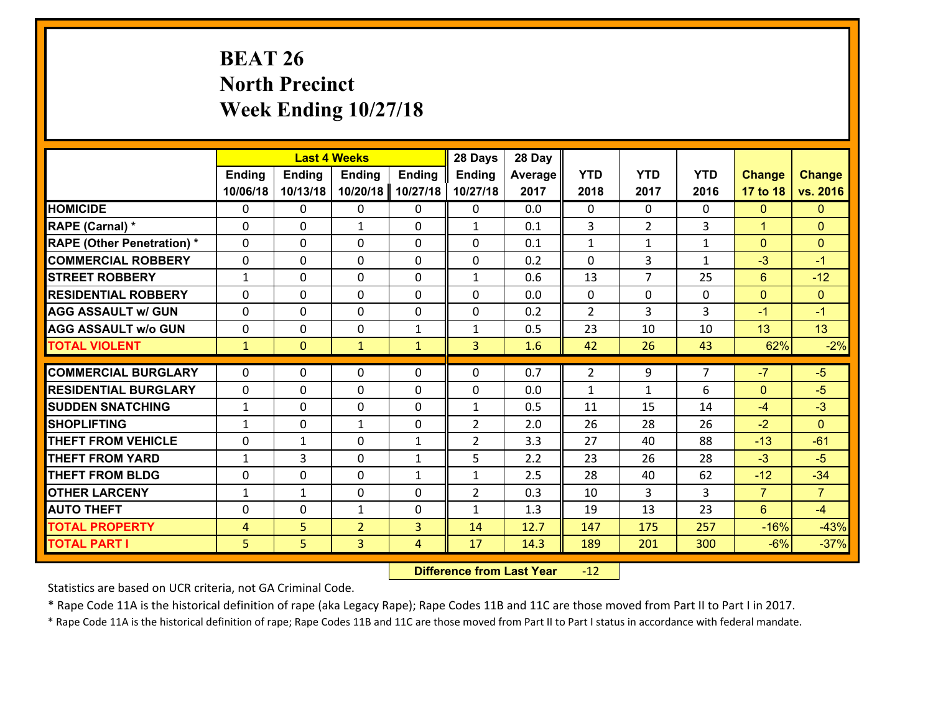# **BEAT 26 North Precinct Week Ending 10/27/18**

|                                   |                |                | <b>Last 4 Weeks</b> |               | 28 Days        | 28 Day  |                |                |                |                |                |
|-----------------------------------|----------------|----------------|---------------------|---------------|----------------|---------|----------------|----------------|----------------|----------------|----------------|
|                                   | Ending         | Ending         | <b>Ending</b>       | <b>Ending</b> | <b>Ending</b>  | Average | <b>YTD</b>     | <b>YTD</b>     | <b>YTD</b>     | <b>Change</b>  | <b>Change</b>  |
|                                   | 10/06/18       | 10/13/18       | 10/20/18            | 10/27/18      | 10/27/18       | 2017    | 2018           | 2017           | 2016           | 17 to 18       | vs. 2016       |
| <b>HOMICIDE</b>                   | $\Omega$       | 0              | 0                   | $\Omega$      | 0              | 0.0     | $\Omega$       | $\Omega$       | 0              | $\mathbf{0}$   | $\mathbf{0}$   |
| RAPE (Carnal) *                   | 0              | 0              | $\mathbf{1}$        | 0             | $\mathbf{1}$   | 0.1     | 3              | $\overline{2}$ | 3              | $\mathbf{1}$   | $\mathbf{0}$   |
| <b>RAPE (Other Penetration) *</b> | $\Omega$       | 0              | $\mathbf{0}$        | $\Omega$      | 0              | 0.1     | $\mathbf{1}$   | $\mathbf{1}$   | $\mathbf{1}$   | $\mathbf{0}$   | $\mathbf{0}$   |
| <b>COMMERCIAL ROBBERY</b>         | 0              | 0              | $\mathbf{0}$        | $\Omega$      | 0              | 0.2     | $\Omega$       | 3              | $\mathbf{1}$   | $-3$           | $-1$           |
| <b>STREET ROBBERY</b>             | $\mathbf{1}$   | 0              | $\mathbf{0}$        | $\Omega$      | $\mathbf{1}$   | 0.6     | 13             | $\overline{7}$ | 25             | 6              | $-12$          |
| <b>RESIDENTIAL ROBBERY</b>        | $\Omega$       | $\Omega$       | $\mathbf 0$         | $\Omega$      | 0              | 0.0     | $\mathbf 0$    | $\mathbf 0$    | 0              | $\mathbf{0}$   | $\overline{0}$ |
| <b>AGG ASSAULT w/ GUN</b>         | $\Omega$       | 0              | $\mathbf 0$         | $\Omega$      | $\mathbf 0$    | 0.2     | $\overline{2}$ | $\overline{3}$ | 3              | $-1$           | $-1$           |
| <b>AGG ASSAULT w/o GUN</b>        | 0              | 0              | $\mathbf 0$         | $\mathbf{1}$  | $\mathbf{1}$   | 0.5     | 23             | 10             | 10             | 13             | 13             |
| <b>TOTAL VIOLENT</b>              | $\mathbf{1}$   | $\overline{0}$ | $\mathbf{1}$        | $\mathbf{1}$  | $\overline{3}$ | 1.6     | 42             | 26             | 43             | 62%            | $-2%$          |
| <b>COMMERCIAL BURGLARY</b>        |                |                |                     |               |                |         |                |                | $\overline{7}$ | $-7$           |                |
|                                   | $\Omega$       | 0              | $\mathbf{0}$        | 0             | 0              | 0.7     | $\overline{2}$ | 9              |                |                | $-5$           |
| <b>RESIDENTIAL BURGLARY</b>       | $\Omega$       | 0              | $\mathbf{0}$        | 0             | 0              | 0.0     | $\mathbf{1}$   | $\mathbf{1}$   | 6              | $\mathbf{0}$   | $-5$           |
| <b>SUDDEN SNATCHING</b>           | $\mathbf{1}$   | 0              | 0                   | $\Omega$      | $\mathbf{1}$   | 0.5     | 11             | 15             | 14             | $-4$           | $-3$           |
| <b>SHOPLIFTING</b>                | $\mathbf{1}$   | $\Omega$       | $\mathbf{1}$        | $\Omega$      | $\overline{2}$ | 2.0     | 26             | 28             | 26             | $-2$           | $\Omega$       |
| <b>THEFT FROM VEHICLE</b>         | $\Omega$       | 1              | $\mathbf 0$         | $\mathbf{1}$  | $\overline{2}$ | 3.3     | 27             | 40             | 88             | $-13$          | $-61$          |
| <b>THEFT FROM YARD</b>            | $\mathbf{1}$   | 3              | $\mathbf 0$         | $\mathbf{1}$  | 5              | 2.2     | 23             | 26             | 28             | $-3$           | $-5$           |
| <b>THEFT FROM BLDG</b>            | 0              | 0              | $\mathbf 0$         | $\mathbf{1}$  | $\mathbf{1}$   | 2.5     | 28             | 40             | 62             | $-12$          | $-34$          |
| <b>OTHER LARCENY</b>              | $\mathbf{1}$   | $\mathbf{1}$   | $\mathbf 0$         | 0             | $\overline{2}$ | 0.3     | 10             | $\overline{3}$ | 3              | $\overline{7}$ | $\overline{7}$ |
| <b>AUTO THEFT</b>                 | 0              | 0              | 1                   | 0             | $\mathbf{1}$   | 1.3     | 19             | 13             | 23             | $6\phantom{1}$ | $-4$           |
| <b>TOTAL PROPERTY</b>             | $\overline{4}$ | 5              | $\overline{2}$      | 3             | 14             | 12.7    | 147            | 175            | 257            | $-16%$         | $-43%$         |
| <b>TOTAL PART I</b>               | 5              | 5              | 3                   | 4             | 17             | 14.3    | 189            | 201            | 300            | $-6%$          | $-37%$         |

 **Difference from Last Year**r -12

Statistics are based on UCR criteria, not GA Criminal Code.

\* Rape Code 11A is the historical definition of rape (aka Legacy Rape); Rape Codes 11B and 11C are those moved from Part II to Part I in 2017.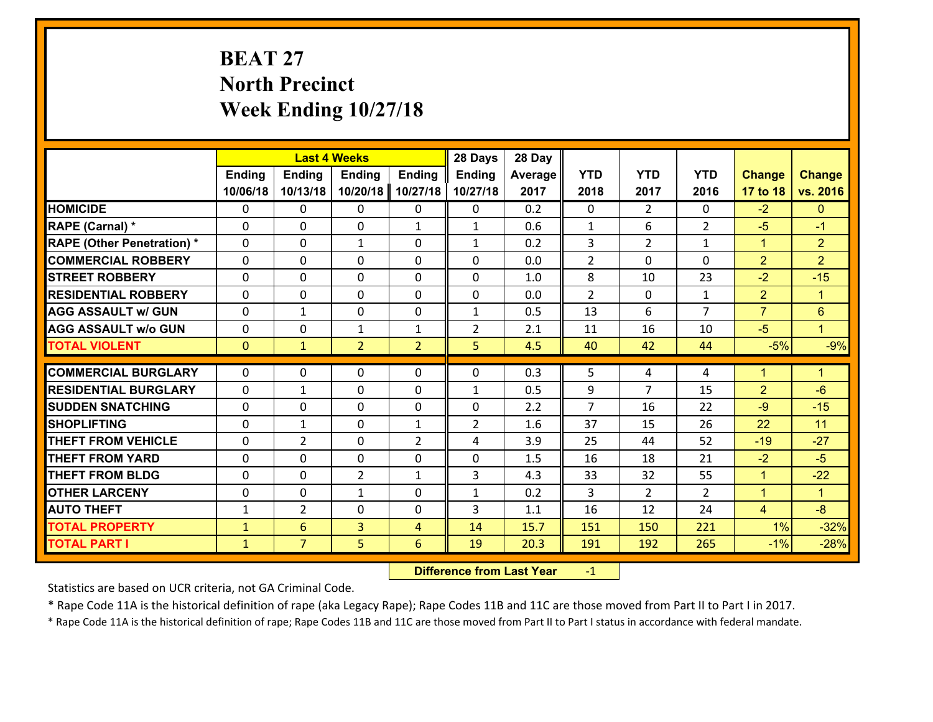# **BEAT 27 North Precinct Week Ending 10/27/18**

|                                   |               | <b>Last 4 Weeks</b> |                |                | 28 Days        | 28 Day  |                |                |                |                |                      |
|-----------------------------------|---------------|---------------------|----------------|----------------|----------------|---------|----------------|----------------|----------------|----------------|----------------------|
|                                   | <b>Ending</b> | <b>Ending</b>       | <b>Ending</b>  | <b>Ending</b>  | <b>Ending</b>  | Average | <b>YTD</b>     | <b>YTD</b>     | <b>YTD</b>     | <b>Change</b>  | <b>Change</b>        |
|                                   | 10/06/18      | 10/13/18            | 10/20/18       | 10/27/18       | 10/27/18       | 2017    | 2018           | 2017           | 2016           | 17 to 18       | vs. 2016             |
| <b>HOMICIDE</b>                   | $\Omega$      | 0                   | $\Omega$       | 0              | 0              | 0.2     | $\Omega$       | $\overline{2}$ | 0              | $-2$           | $\mathbf{0}$         |
| RAPE (Carnal) *                   | 0             | 0                   | $\mathbf{0}$   | $\mathbf{1}$   | $\mathbf{1}$   | 0.6     | $\mathbf{1}$   | 6              | $\overline{2}$ | $-5$           | $-1$                 |
| <b>RAPE (Other Penetration) *</b> | $\Omega$      | 0                   | $\mathbf{1}$   | $\Omega$       | $\mathbf{1}$   | 0.2     | 3              | $\overline{2}$ | $\mathbf{1}$   | $\mathbf{1}$   | $\overline{2}$       |
| <b>COMMERCIAL ROBBERY</b>         | 0             | 0                   | 0              | 0              | 0              | 0.0     | $\overline{2}$ | 0              | $\Omega$       | $\overline{2}$ | $\overline{2}$       |
| <b>STREET ROBBERY</b>             | $\Omega$      | 0                   | $\mathbf 0$    | $\Omega$       | 0              | 1.0     | 8              | 10             | 23             | $-2$           | $-15$                |
| <b>RESIDENTIAL ROBBERY</b>        | $\Omega$      | 0                   | $\mathbf 0$    | $\Omega$       | 0              | 0.0     | $\overline{2}$ | $\mathbf 0$    | $\mathbf{1}$   | $\overline{2}$ | $\blacktriangleleft$ |
| <b>AGG ASSAULT w/ GUN</b>         | 0             | 1                   | $\mathbf 0$    | 0              | $\mathbf{1}$   | 0.5     | 13             | 6              | $\overline{7}$ | $\overline{7}$ | $6\phantom{a}$       |
| <b>AGG ASSAULT w/o GUN</b>        | 0             | 0                   | $\mathbf{1}$   | $\mathbf{1}$   | $\overline{2}$ | 2.1     | 11             | 16             | 10             | $-5$           | $\blacksquare$       |
| <b>TOTAL VIOLENT</b>              | $\mathbf{0}$  | $\mathbf{1}$        | $\overline{2}$ | $\overline{2}$ | 5              | 4.5     | 40             | 42             | 44             | $-5%$          | $-9%$                |
| <b>COMMERCIAL BURGLARY</b>        | $\Omega$      | 0                   | $\mathbf{0}$   | $\Omega$       | $\Omega$       | 0.3     | 5              | 4              | 4              | $\overline{1}$ | $\blacktriangleleft$ |
|                                   |               |                     |                |                |                |         |                | 7              |                |                | $-6$                 |
| <b>RESIDENTIAL BURGLARY</b>       | 0             | 1                   | $\mathbf 0$    | 0              | $\mathbf{1}$   | 0.5     | 9              |                | 15             | $\overline{2}$ |                      |
| <b>SUDDEN SNATCHING</b>           | 0             | 0                   | $\mathbf 0$    | 0              | 0              | 2.2     | $\overline{7}$ | 16             | 22<br>26       | $-9$           | $-15$<br>11          |
| <b>SHOPLIFTING</b>                | 0             | 1                   | $\mathbf 0$    | $\mathbf{1}$   | $\overline{2}$ | 1.6     | 37             | 15             |                | 22             |                      |
| <b>THEFT FROM VEHICLE</b>         | 0             | $\overline{2}$      | $\mathbf 0$    | $\overline{2}$ | 4              | 3.9     | 25             | 44             | 52             | $-19$          | $-27$                |
| <b>THEFT FROM YARD</b>            | 0             | 0                   | $\mathbf 0$    | 0              | 0              | 1.5     | 16             | 18             | 21             | $-2$           | $-5$                 |
| <b>THEFT FROM BLDG</b>            | 0             | 0                   | $\overline{2}$ | $\mathbf{1}$   | 3              | 4.3     | 33             | 32             | 55             | $\mathbf{1}$   | $-22$                |
| <b>OTHER LARCENY</b>              | 0             | 0                   | $\mathbf{1}$   | 0              | $\mathbf{1}$   | 0.2     | 3              | $\overline{2}$ | $\overline{2}$ | $\mathbf{1}$   | $\mathbf{1}$         |
| <b>AUTO THEFT</b>                 | $\mathbf{1}$  | $\overline{2}$      | $\mathbf{0}$   | 0              | 3              | 1.1     | 16             | 12             | 24             | $\overline{4}$ | $-8$                 |
| <b>TOTAL PROPERTY</b>             | $\mathbf{1}$  | 6                   | $\overline{3}$ | 4              | 14             | 15.7    | 151            | 150            | 221            | 1%             | $-32%$               |
| <b>TOTAL PART I</b>               | $\mathbf{1}$  | $\overline{7}$      | 5              | 6              | 19             | 20.3    | 191            | 192            | 265            | $-1%$          | $-28%$               |

 **Difference from Last Year**r -1

Statistics are based on UCR criteria, not GA Criminal Code.

\* Rape Code 11A is the historical definition of rape (aka Legacy Rape); Rape Codes 11B and 11C are those moved from Part II to Part I in 2017.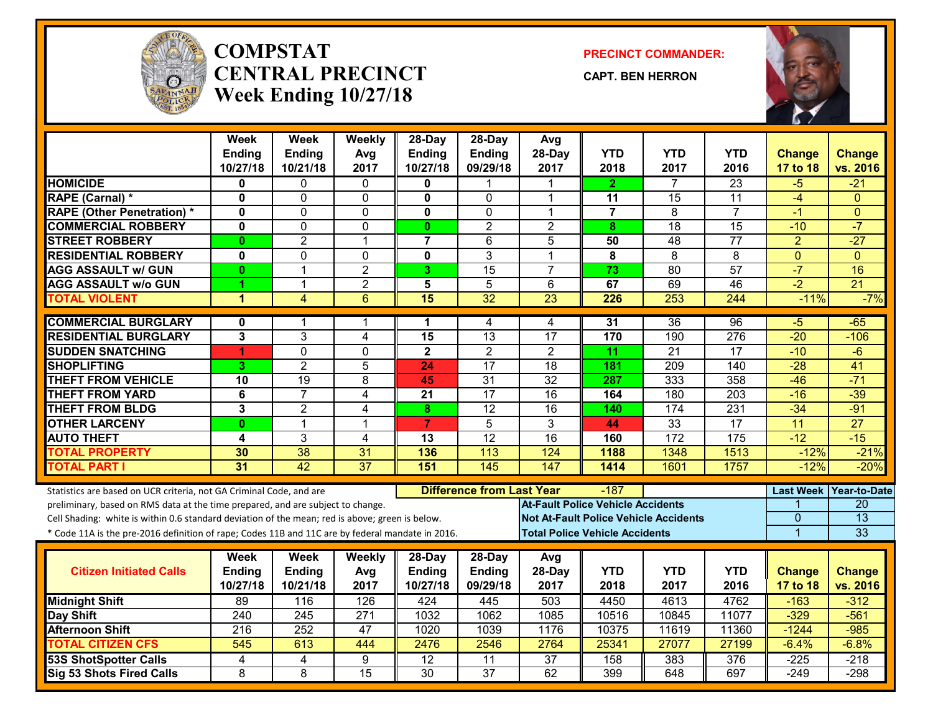

#### **COMPSTATCENTRAL PRECINCTWeek Ending 10/27/18**

**PRECINCT COMMANDER:**

**CAPT. BEN HERRON**



|                                                                                                                                                        | <b>Week</b>             | <b>Week</b>     | Weekly          | 28-Day                  | 28-Day                           | Avg                                      |                 |                                              |                 |                  |                 |
|--------------------------------------------------------------------------------------------------------------------------------------------------------|-------------------------|-----------------|-----------------|-------------------------|----------------------------------|------------------------------------------|-----------------|----------------------------------------------|-----------------|------------------|-----------------|
|                                                                                                                                                        | <b>Ending</b>           | Ending          | Avg             | <b>Ending</b>           | <b>Ending</b>                    | 28-Day                                   | <b>YTD</b>      | <b>YTD</b>                                   | <b>YTD</b>      | <b>Change</b>    | <b>Change</b>   |
|                                                                                                                                                        | 10/27/18                | 10/21/18        | 2017            | 10/27/18                | 09/29/18                         | 2017                                     | 2018            | 2017                                         | 2016            | 17 to 18         | vs. 2016        |
| <b>HOMICIDE</b>                                                                                                                                        | 0                       | 0               | 0               | 0                       |                                  |                                          | 2.              | 7                                            | $\overline{23}$ | -5               | $-21$           |
| <b>RAPE (Carnal) *</b>                                                                                                                                 | $\mathbf 0$             | $\Omega$        | $\mathbf 0$     | $\mathbf 0$             | $\mathbf 0$                      | 1                                        | 11              | 15                                           | 11              | $-4$             | $\Omega$        |
| <b>RAPE (Other Penetration) *</b>                                                                                                                      | 0                       | $\Omega$        | $\mathbf{0}$    | $\mathbf 0$             | $\mathbf 0$                      | 1                                        | $\overline{7}$  | 8                                            | $\overline{7}$  | $-1$             | $\mathbf{0}$    |
| <b>COMMERCIAL ROBBERY</b>                                                                                                                              | $\mathbf{0}$            | 0               | $\Omega$        | $\mathbf{0}$            | $\overline{2}$                   | $\overline{2}$                           | 8               | 18                                           | $\overline{15}$ | $-10$            | $-7$            |
| <b>STREET ROBBERY</b>                                                                                                                                  | $\mathbf{0}$            | $\overline{2}$  | 1               | $\overline{7}$          | 6                                | 5                                        | 50              | 48                                           | 77              | $\overline{a}$   | $-27$           |
| <b>RESIDENTIAL ROBBERY</b>                                                                                                                             | $\mathbf 0$             | 0               | $\mathbf 0$     | $\mathbf 0$             | $\overline{3}$                   | 1                                        | 8               | $\overline{8}$                               | $\overline{8}$  | $\mathbf{0}$     | $\Omega$        |
| <b>AGG ASSAULT w/ GUN</b>                                                                                                                              | $\mathbf{0}$            | $\mathbf{1}$    | $\overline{c}$  | 3                       | $\overline{15}$                  | $\overline{7}$                           | 73              | 80                                           | $\overline{57}$ | $-7$             | 16              |
| <b>AGG ASSAULT w/o GUN</b>                                                                                                                             | 1                       | $\mathbf{1}$    | $\overline{2}$  | $\overline{\mathbf{5}}$ | $\overline{5}$                   | $\overline{6}$                           | 67              | 69                                           | 46              | $-2$             | 21              |
| <b>TOTAL VIOLENT</b>                                                                                                                                   | $\blacktriangleleft$    | $\overline{4}$  | 6               | 15                      | 32                               | 23                                       | 226             | 253                                          | 244             | $-11%$           | $-7%$           |
| <b>COMMERCIAL BURGLARY</b>                                                                                                                             | 0                       | 1               | 1               | 1                       | 4                                | $\overline{4}$                           | 31              | 36                                           | 96              | $-5$             | $-65$           |
| <b>RESIDENTIAL BURGLARY</b>                                                                                                                            | $\overline{\mathbf{3}}$ | 3               | 4               | 15                      | $\overline{13}$                  | $\overline{17}$                          | 170             | 190                                          | 276             | $-20$            | $-106$          |
| <b>SUDDEN SNATCHING</b>                                                                                                                                | 1                       | $\overline{0}$  | $\overline{0}$  | $\overline{2}$          | $\overline{2}$                   | $\overline{2}$                           | $\overline{11}$ | $\overline{21}$                              | 17              | $-10$            | $-6$            |
| <b>SHOPLIFTING</b>                                                                                                                                     | 3                       | $\overline{2}$  | 5               | 24                      | 17                               | 18                                       | 181             | 209                                          | 140             | $-28$            | 41              |
| <b>THEFT FROM VEHICLE</b>                                                                                                                              | 10                      | 19              | 8               | 45                      | $\overline{31}$                  | $\overline{32}$                          | 287             | 333                                          | 358             | $-46$            | $-71$           |
| <b>THEFT FROM YARD</b>                                                                                                                                 | 6                       | $\overline{7}$  | 4               | 21                      | $\overline{17}$                  | 16                                       | 164             | 180                                          | 203             | $-16$            | $-39$           |
| <b>THEFT FROM BLDG</b>                                                                                                                                 | 3                       | $\overline{2}$  | 4               | 8                       | $\overline{12}$                  | 16                                       | 140             | 174                                          | 231             | $-34$            | $-91$           |
| <b>OTHER LARCENY</b>                                                                                                                                   | $\mathbf{0}$            | $\mathbf{1}$    | 1               | $\overline{7}$          | 5                                | 3                                        | 44              | 33                                           | $\overline{17}$ | $\overline{11}$  | $\overline{27}$ |
| <b>AUTO THEFT</b>                                                                                                                                      | 4                       | 3               | 4               | 13                      | $\overline{12}$                  | $\overline{16}$                          | 160             | 172                                          | 175             | $-12$            | $-15$           |
| <b>TOTAL PROPERTY</b>                                                                                                                                  | 30                      | 38              | 31              | 136                     | 113                              | 124                                      | 1188            | 1348                                         | 1513            | $-12%$           | $-21%$          |
| <b>TOTAL PART I</b>                                                                                                                                    | $\overline{31}$         | $\overline{42}$ | $\overline{37}$ | 151                     | $\frac{145}{ }$                  | 147                                      | 1414            | 1601                                         | 1757            | $-12%$           | $-20%$          |
|                                                                                                                                                        |                         |                 |                 |                         | <b>Difference from Last Year</b> |                                          | $-187$          |                                              |                 | <b>Last Week</b> | Year-to-Date    |
| Statistics are based on UCR criteria, not GA Criminal Code, and are<br>preliminary, based on RMS data at the time prepared, and are subject to change. |                         |                 |                 |                         |                                  | <b>At-Fault Police Vehicle Accidents</b> |                 |                                              |                 |                  | $\overline{20}$ |
| Cell Shading: white is within 0.6 standard deviation of the mean; red is above; green is below.                                                        |                         |                 |                 |                         |                                  |                                          |                 | <b>Not At-Fault Police Vehicle Accidents</b> |                 | $\Omega$         | $\overline{13}$ |
| * Code 11A is the pre-2016 definition of rape; Codes 11B and 11C are by federal mandate in 2016.                                                       |                         |                 |                 |                         |                                  | <b>Total Police Vehicle Accidents</b>    |                 |                                              |                 | $\overline{1}$   | 33              |
|                                                                                                                                                        |                         |                 |                 |                         |                                  |                                          |                 |                                              |                 |                  |                 |
|                                                                                                                                                        | Week                    | Week            | <b>Weekly</b>   | 28-Day                  | 28-Day                           | Avg                                      |                 |                                              |                 |                  |                 |
| <b>Citizen Initiated Calls</b>                                                                                                                         | Ending                  | Ending          | Avg             | <b>Ending</b>           | <b>Ending</b>                    | 28-Day                                   | <b>YTD</b>      | <b>YTD</b>                                   | <b>YTD</b>      | Change           | <b>Change</b>   |
|                                                                                                                                                        | 10/27/18                | 10/21/18        | 2017            | 10/27/18                | 09/29/18                         | 2017                                     | 2018            | 2017                                         | 2016            | 17 to 18         | vs. 2016        |
| <b>Midnight Shift</b>                                                                                                                                  | 89                      | 116             | 126             | 424                     | 445                              | 503                                      | 4450            | 4613                                         | 4762            | $-163$           | $-312$          |
| Day Shift                                                                                                                                              | 240                     | 245             | 271             | 1032                    | 1062                             | 1085                                     | 10516           | 10845                                        | 11077           | $-329$           | $-561$          |
| <b>Afternoon Shift</b>                                                                                                                                 | 216                     | 252             | 47              | 1020                    | 1039                             | 1176                                     | 10375           | 11619                                        | 11360           | $-1244$          | $-985$          |
| <b>TOTAL CITIZEN CFS</b>                                                                                                                               | 545                     | 613             | 444             | 2476                    | 2546                             | 2764                                     | 25341           | 27077                                        | 27199           | $-6.4%$          | $-6.8%$         |
| <b>53S ShotSpotter Calls</b>                                                                                                                           | 4                       | 4               | 9               | $\overline{12}$         | $\overline{11}$                  | 37                                       | 158             | 383                                          | 376             | $-225$           | $-218$          |
| Sig 53 Shots Fired Calls                                                                                                                               | 8                       | 8               | $\overline{15}$ | 30                      | $\overline{37}$                  | 62                                       | 399             | 648                                          | 697             | $-249$           | $-298$          |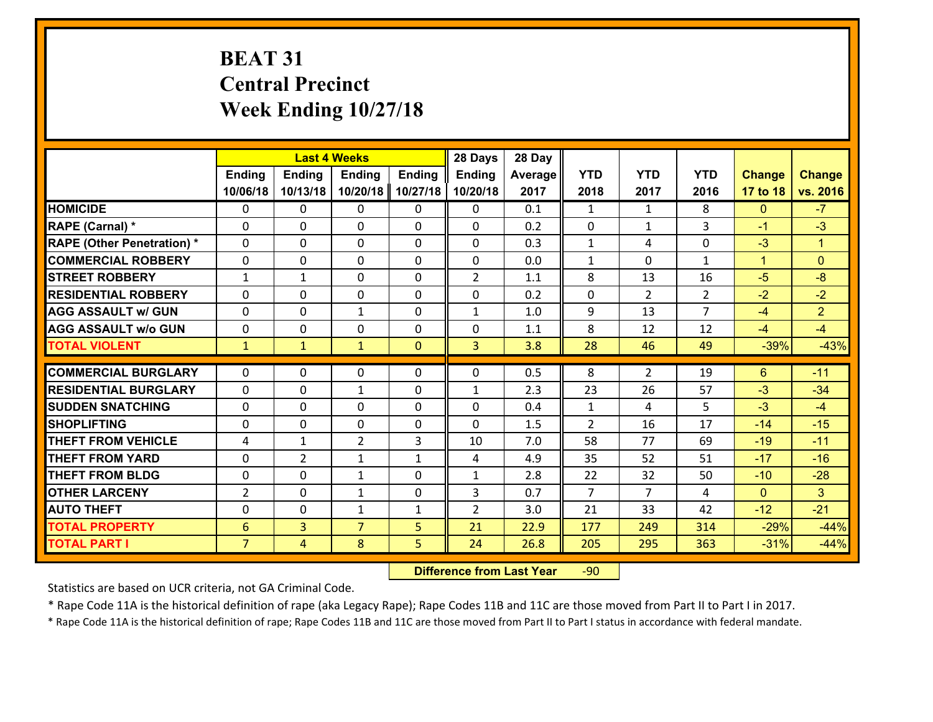# **BEAT 31 Central Precinct Week Ending 10/27/18**

|                                   |                 | <b>Last 4 Weeks</b> |                |               | 28 Days        | 28 Day  |                |                |                |               |                      |
|-----------------------------------|-----------------|---------------------|----------------|---------------|----------------|---------|----------------|----------------|----------------|---------------|----------------------|
|                                   | Ending          | <b>Ending</b>       | <b>Ending</b>  | <b>Ending</b> | <b>Ending</b>  | Average | <b>YTD</b>     | <b>YTD</b>     | <b>YTD</b>     | <b>Change</b> | <b>Change</b>        |
|                                   | 10/06/18        | 10/13/18            | 10/20/18       | 10/27/18      | 10/20/18       | 2017    | 2018           | 2017           | 2016           | 17 to 18      | vs. 2016             |
| <b>HOMICIDE</b>                   | 0               | 0                   | 0              | 0             | 0              | 0.1     | $\mathbf{1}$   | $\mathbf{1}$   | 8              | $\mathbf{0}$  | $-7$                 |
| RAPE (Carnal) *                   | $\Omega$        | 0                   | 0              | $\Omega$      | 0              | 0.2     | $\mathbf 0$    | $\mathbf{1}$   | 3              | $-1$          | $-3$                 |
| <b>RAPE (Other Penetration) *</b> | $\Omega$        | $\Omega$            | $\Omega$       | $\Omega$      | $\Omega$       | 0.3     | $\mathbf{1}$   | 4              | $\Omega$       | $-3$          | $\blacktriangleleft$ |
| <b>COMMERCIAL ROBBERY</b>         | $\Omega$        | $\Omega$            | $\mathbf 0$    | $\Omega$      | 0              | 0.0     | $\mathbf{1}$   | $\Omega$       | $\mathbf{1}$   | $\mathbf{1}$  | $\Omega$             |
| <b>STREET ROBBERY</b>             | $\mathbf{1}$    | 1                   | $\mathbf{0}$   | 0             | $\overline{2}$ | 1.1     | 8              | 13             | 16             | $-5$          | $-8$                 |
| <b>RESIDENTIAL ROBBERY</b>        | 0               | 0                   | $\mathbf 0$    | 0             | 0              | 0.2     | $\mathbf 0$    | $\overline{2}$ | $\overline{2}$ | $-2$          | $-2$                 |
| <b>AGG ASSAULT w/ GUN</b>         | 0               | 0                   | $\mathbf{1}$   | 0             | $\mathbf{1}$   | 1.0     | 9              | 13             | $\overline{7}$ | $-4$          | $\overline{2}$       |
| <b>AGG ASSAULT w/o GUN</b>        | 0               | 0                   | $\mathbf 0$    | 0             | 0              | 1.1     | 8              | 12             | 12             | $-4$          | $-4$                 |
| <b>TOTAL VIOLENT</b>              | $\mathbf{1}$    | $\mathbf{1}$        | $\mathbf{1}$   | $\mathbf{0}$  | $\overline{3}$ | 3.8     | 28             | 46             | 49             | $-39%$        | $-43%$               |
|                                   |                 |                     |                |               |                |         |                |                |                |               |                      |
| <b>COMMERCIAL BURGLARY</b>        | $\Omega$        | 0                   | $\mathbf{0}$   | $\Omega$      | $\Omega$       | 0.5     | 8              | $\overline{2}$ | 19             | 6             | $-11$                |
| <b>RESIDENTIAL BURGLARY</b>       | $\Omega$        | 0                   | 1              | 0             | $\mathbf{1}$   | 2.3     | 23             | 26             | 57             | $-3$          | $-34$                |
| <b>SUDDEN SNATCHING</b>           | $\Omega$        | 0                   | $\mathbf 0$    | $\Omega$      | 0              | 0.4     | $\mathbf{1}$   | 4              | 5              | $-3$          | $-4$                 |
| <b>SHOPLIFTING</b>                | 0               | 0                   | $\mathbf 0$    | 0             | 0              | 1.5     | 2              | 16             | 17             | $-14$         | $-15$                |
| <b>THEFT FROM VEHICLE</b>         | 4               | $\mathbf{1}$        | $\overline{2}$ | 3             | 10             | 7.0     | 58             | 77             | 69             | $-19$         | $-11$                |
| <b>THEFT FROM YARD</b>            | 0               | $\overline{2}$      | $\mathbf{1}$   | $\mathbf{1}$  | 4              | 4.9     | 35             | 52             | 51             | $-17$         | $-16$                |
| <b>THEFT FROM BLDG</b>            | 0               | 0                   | 1              | 0             | $\mathbf{1}$   | 2.8     | 22             | 32             | 50             | $-10$         | $-28$                |
| <b>OTHER LARCENY</b>              | $\overline{2}$  | 0                   | 1              | 0             | 3              | 0.7     | $\overline{7}$ | $\overline{7}$ | 4              | $\mathbf{0}$  | 3 <sup>1</sup>       |
| <b>AUTO THEFT</b>                 | 0               | 0                   | 1              | $\mathbf{1}$  | $\overline{2}$ | 3.0     | 21             | 33             | 42             | $-12$         | $-21$                |
| <b>TOTAL PROPERTY</b>             | $6\phantom{1}6$ | $\overline{3}$      | $\overline{7}$ | 5             | 21             | 22.9    | 177            | 249            | 314            | $-29%$        | $-44%$               |
| <b>TOTAL PART I</b>               | $\overline{7}$  | $\overline{4}$      | 8              | 5             | 24             | 26.8    | 205            | 295            | 363            | $-31%$        | $-44%$               |

 **Difference from Last Year**r -90

Statistics are based on UCR criteria, not GA Criminal Code.

\* Rape Code 11A is the historical definition of rape (aka Legacy Rape); Rape Codes 11B and 11C are those moved from Part II to Part I in 2017.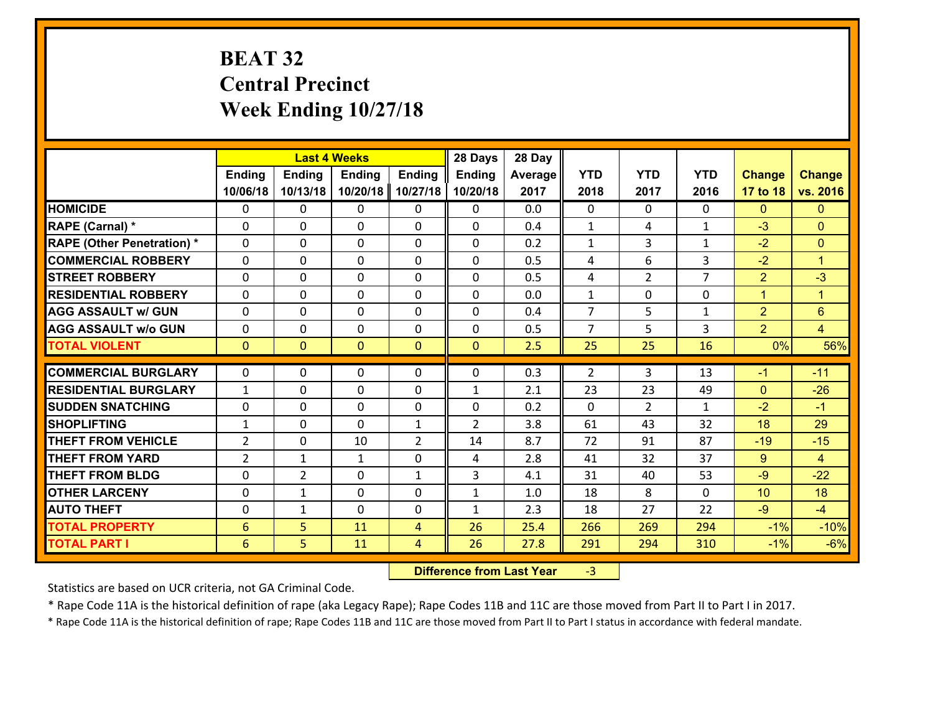# **BEAT 32 Central Precinct Week Ending 10/27/18**

|                                              |                      | <b>Last 4 Weeks</b> |               |                     | 28 Days        | 28 Day       |                |                |                |                |                      |
|----------------------------------------------|----------------------|---------------------|---------------|---------------------|----------------|--------------|----------------|----------------|----------------|----------------|----------------------|
|                                              | <b>Ending</b>        | <b>Ending</b>       | <b>Ending</b> | <b>Ending</b>       | <b>Ending</b>  | Average      | <b>YTD</b>     | <b>YTD</b>     | <b>YTD</b>     | <b>Change</b>  | <b>Change</b>        |
|                                              | 10/06/18             | 10/13/18            | 10/20/18      | 10/27/18            | 10/20/18       | 2017         | 2018           | 2017           | 2016           | 17 to 18       | vs. 2016             |
| <b>HOMICIDE</b>                              | $\mathbf{0}$         | 0                   | $\mathbf{0}$  | 0                   | 0              | 0.0          | $\Omega$       | $\Omega$       | $\Omega$       | $\mathbf{0}$   | $\mathbf{0}$         |
| RAPE (Carnal) *                              | $\Omega$             | 0                   | $\mathbf{0}$  | 0                   | $\Omega$       | 0.4          | 1              | 4              | $\mathbf{1}$   | $-3$           | $\mathbf{0}$         |
| <b>RAPE (Other Penetration) *</b>            | $\Omega$             | $\Omega$            | $\Omega$      | $\Omega$            | $\Omega$       | 0.2          | $\mathbf{1}$   | 3              | $\mathbf{1}$   | $-2$           | $\mathbf{0}$         |
| <b>COMMERCIAL ROBBERY</b>                    | 0                    | 0                   | $\mathbf 0$   | 0                   | 0              | 0.5          | 4              | 6              | 3              | $-2$           | $\blacktriangleleft$ |
| <b>STREET ROBBERY</b>                        | $\Omega$             | 0                   | $\mathbf 0$   | $\Omega$            | 0              | 0.5          | 4              | $\overline{2}$ | $\overline{7}$ | $\overline{2}$ | $-3$                 |
| <b>RESIDENTIAL ROBBERY</b>                   | $\Omega$             | $\Omega$            | $\mathbf 0$   | $\Omega$            | 0              | 0.0          | $\mathbf{1}$   | 0              | $\Omega$       | $\mathbf{1}$   | $\blacktriangleleft$ |
| <b>AGG ASSAULT w/ GUN</b>                    | $\Omega$             | 0                   | $\mathbf 0$   | $\Omega$            | $\Omega$       | 0.4          | $\overline{7}$ | 5              | $\mathbf{1}$   | $\overline{2}$ | $6\phantom{1}$       |
| <b>AGG ASSAULT w/o GUN</b>                   | 0                    | 0                   | $\mathbf 0$   | 0                   | 0              | 0.5          | $\overline{7}$ | 5              | 3              | 2              | $\overline{4}$       |
| <b>TOTAL VIOLENT</b>                         | $\mathbf{0}$         | $\overline{0}$      | $\mathbf{0}$  | $\mathbf{0}$        | $\mathbf{0}$   | 2.5          | 25             | 25             | 16             | 0%             | 56%                  |
| <b>COMMERCIAL BURGLARY</b>                   | $\Omega$             | 0                   | 0             | 0                   | $\Omega$       | 0.3          | 2              | 3              | 13             | $-1$           | $-11$                |
| <b>RESIDENTIAL BURGLARY</b>                  | $\mathbf{1}$         | 0                   | $\mathbf{0}$  | 0                   | 1              | 2.1          | 23             | 23             | 49             | $\mathbf{0}$   | $-26$                |
| <b>SUDDEN SNATCHING</b>                      | $\mathbf{0}$         | 0                   | $\mathbf{0}$  | $\Omega$            | $\Omega$       | 0.2          | $\Omega$       | $\mathfrak{D}$ | $\mathbf{1}$   | $-2$           | $-1$                 |
| <b>SHOPLIFTING</b>                           |                      |                     |               |                     |                |              |                |                |                |                |                      |
|                                              |                      |                     |               |                     |                |              |                |                |                |                |                      |
|                                              | $\mathbf{1}$         | 0                   | $\mathbf 0$   | $\mathbf{1}$        | $\overline{2}$ | 3.8          | 61             | 43             | 32             | 18             | 29                   |
| <b>THEFT FROM VEHICLE</b>                    | $\overline{2}$       | 0                   | 10            | $\overline{2}$      | 14             | 8.7          | 72             | 91             | 87             | $-19$          | $-15$                |
| <b>THEFT FROM YARD</b>                       | $\overline{2}$       | 1                   | $\mathbf{1}$  | 0                   | 4              | 2.8          | 41             | 32             | 37             | 9              | $\overline{4}$       |
| <b>THEFT FROM BLDG</b>                       | 0                    | $\overline{2}$      | $\mathbf 0$   | $\mathbf{1}$        | 3              | 4.1          | 31             | 40             | 53             | $-9$           | $-22$                |
| <b>OTHER LARCENY</b>                         | 0                    | 1                   | $\mathbf 0$   | 0                   | $\mathbf{1}$   | 1.0          | 18             | 8              | $\Omega$       | 10             | 18                   |
| <b>AUTO THEFT</b>                            | 0                    | $\mathbf{1}$        | $\mathbf 0$   | 0                   | $\mathbf{1}$   | 2.3          | 18             | 27             | 22             | $-9$           | $-4$                 |
| <b>TOTAL PROPERTY</b><br><b>TOTAL PART I</b> | $6\phantom{1}6$<br>6 | 5<br>5              | 11<br>11      | $\overline{4}$<br>4 | 26<br>26       | 25.4<br>27.8 | 266<br>291     | 269<br>294     | 294<br>310     | $-1%$<br>$-1%$ | $-10%$<br>$-6%$      |

 **Difference from Last Year**r -3

Statistics are based on UCR criteria, not GA Criminal Code.

\* Rape Code 11A is the historical definition of rape (aka Legacy Rape); Rape Codes 11B and 11C are those moved from Part II to Part I in 2017.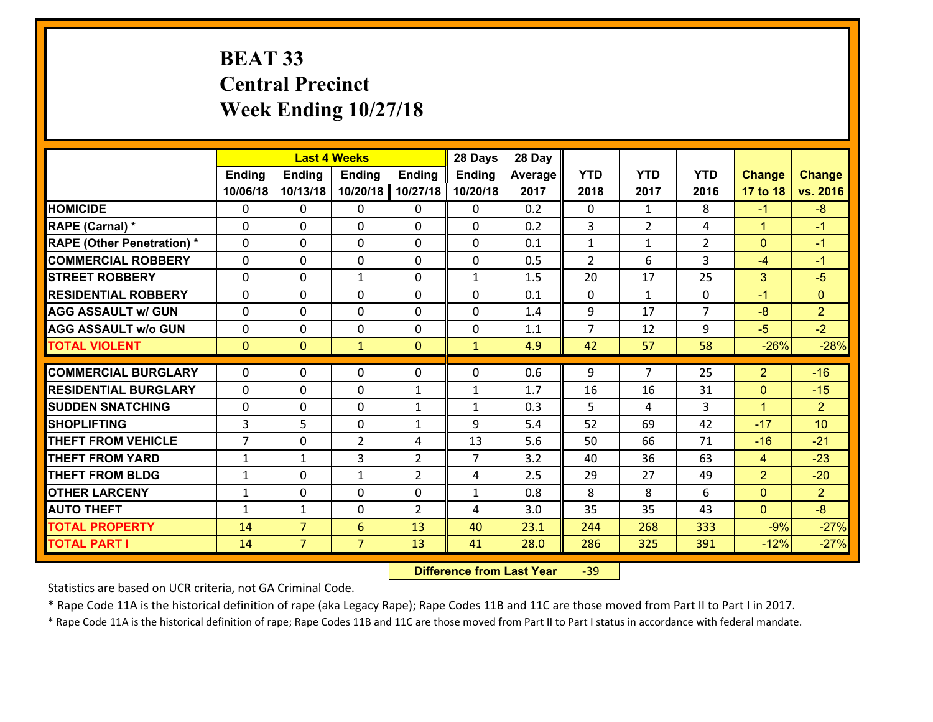# **BEAT 33 Central Precinct Week Ending 10/27/18**

|                                   |                | <b>Last 4 Weeks</b> |                |                | 28 Days        | 28 Day  |                |                |                |                |                 |
|-----------------------------------|----------------|---------------------|----------------|----------------|----------------|---------|----------------|----------------|----------------|----------------|-----------------|
|                                   | <b>Ending</b>  | <b>Ending</b>       | <b>Ending</b>  | <b>Ending</b>  | <b>Ending</b>  | Average | <b>YTD</b>     | <b>YTD</b>     | <b>YTD</b>     | <b>Change</b>  | <b>Change</b>   |
|                                   | 10/06/18       | 10/13/18            | 10/20/18       | 10/27/18       | 10/20/18       | 2017    | 2018           | 2017           | 2016           | 17 to 18       | vs. 2016        |
| <b>HOMICIDE</b>                   | 0              | $\Omega$            | $\Omega$       | 0              | $\Omega$       | 0.2     | $\Omega$       | $\mathbf{1}$   | 8              | $-1$           | $-8$            |
| RAPE (Carnal) *                   | $\Omega$       | 0                   | $\mathbf{0}$   | 0              | 0              | 0.2     | 3              | $\overline{2}$ | 4              | $\mathbf{1}$   | $-1$            |
| <b>RAPE (Other Penetration) *</b> | $\Omega$       | 0                   | $\mathbf{0}$   | $\Omega$       | 0              | 0.1     | $\mathbf{1}$   | $\mathbf{1}$   | $\overline{2}$ | $\mathbf{0}$   | $-1$            |
| <b>COMMERCIAL ROBBERY</b>         | $\Omega$       | 0                   | 0              | $\Omega$       | $\mathbf{0}$   | 0.5     | $\overline{2}$ | 6              | 3              | $-4$           | $-1$            |
| <b>STREET ROBBERY</b>             | 0              | 0                   | $\mathbf{1}$   | 0              | $\mathbf{1}$   | 1.5     | 20             | 17             | 25             | 3              | $-5$            |
| <b>RESIDENTIAL ROBBERY</b>        | $\Omega$       | $\Omega$            | $\mathbf 0$    | $\Omega$       | $\Omega$       | 0.1     | $\Omega$       | $\mathbf{1}$   | $\Omega$       | $-1$           | $\mathbf{0}$    |
| <b>AGG ASSAULT w/ GUN</b>         | 0              | $\Omega$            | $\mathbf 0$    | $\Omega$       | 0              | 1.4     | 9              | 17             | $\overline{7}$ | $-8$           | $\overline{2}$  |
| <b>AGG ASSAULT w/o GUN</b>        | 0              | 0                   | $\mathbf 0$    | 0              | 0              | 1.1     | $\overline{7}$ | 12             | 9              | $-5$           | $-2$            |
| <b>TOTAL VIOLENT</b>              | $\mathbf{0}$   | $\mathbf{0}$        | $\mathbf{1}$   | $\mathbf 0$    | $\mathbf{1}$   | 4.9     | 42             | 57             | 58             | $-26%$         | $-28%$          |
| <b>COMMERCIAL BURGLARY</b>        | $\Omega$       | $\Omega$            | $\Omega$       | $\Omega$       | 0              | 0.6     | 9              | $\overline{7}$ | 25             | $\overline{2}$ | $-16$           |
| <b>RESIDENTIAL BURGLARY</b>       | 0              | 0                   | $\mathbf 0$    | $\mathbf{1}$   | $\mathbf{1}$   | 1.7     | 16             | 16             | 31             | $\mathbf{0}$   | $-15$           |
| <b>SUDDEN SNATCHING</b>           | 0              | 0                   | $\mathbf 0$    | $\mathbf{1}$   | $\mathbf{1}$   | 0.3     | 5              | 4              | 3              | $\mathbf{1}$   | $\overline{2}$  |
| <b>SHOPLIFTING</b>                | 3              | 5                   | $\mathbf 0$    | $\mathbf{1}$   | 9              | 5.4     | 52             | 69             | 42             | $-17$          | 10 <sup>1</sup> |
| <b>THEFT FROM VEHICLE</b>         | $\overline{7}$ | 0                   | $\overline{2}$ | 4              | 13             | 5.6     | 50             | 66             | 71             | $-16$          | $-21$           |
| <b>THEFT FROM YARD</b>            | $\mathbf{1}$   | $\mathbf{1}$        | 3              | $\overline{2}$ | $\overline{7}$ | 3.2     | 40             | 36             | 63             | $\overline{4}$ | $-23$           |
| <b>THEFT FROM BLDG</b>            | $\mathbf{1}$   | 0                   | $\mathbf{1}$   | $\overline{2}$ | 4              | 2.5     | 29             | 27             | 49             | $\overline{2}$ | $-20$           |
| <b>OTHER LARCENY</b>              | $\mathbf 1$    | 0                   | $\mathbf 0$    | 0              | $\mathbf{1}$   | 0.8     | 8              | 8              | 6              | $\mathbf{0}$   | $\overline{2}$  |
| <b>AUTO THEFT</b>                 | $\mathbf{1}$   | $\mathbf{1}$        | $\mathbf{0}$   | 2              | 4              | 3.0     | 35             | 35             | 43             | $\mathbf{0}$   | $-8$            |
| <b>TOTAL PROPERTY</b>             | 14             | $\overline{7}$      | 6              | 13             | 40             | 23.1    | 244            | 268            | 333            | $-9%$          | $-27%$          |
| <b>TOTAL PART I</b>               | 14             | $\overline{7}$      | $\overline{7}$ | 13             | 41             | 28.0    | 286            | 325            | 391            | $-12%$         | $-27%$          |

 **Difference from Last Year**r -39

Statistics are based on UCR criteria, not GA Criminal Code.

\* Rape Code 11A is the historical definition of rape (aka Legacy Rape); Rape Codes 11B and 11C are those moved from Part II to Part I in 2017.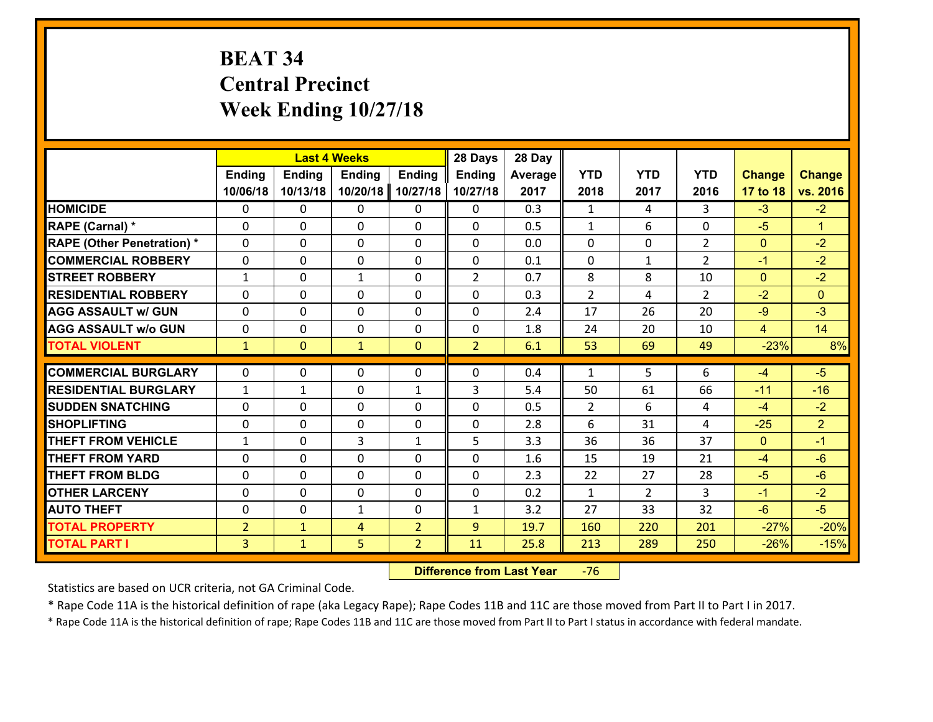# **BEAT 34 Central Precinct Week Ending 10/27/18**

|                                   |                | <b>Last 4 Weeks</b> |               |                | 28 Days        | 28 Day  |                |                |                |                |                      |
|-----------------------------------|----------------|---------------------|---------------|----------------|----------------|---------|----------------|----------------|----------------|----------------|----------------------|
|                                   | <b>Ending</b>  | <b>Ending</b>       | <b>Ending</b> | <b>Ending</b>  | <b>Ending</b>  | Average | <b>YTD</b>     | <b>YTD</b>     | <b>YTD</b>     | <b>Change</b>  | <b>Change</b>        |
|                                   | 10/06/18       | 10/13/18            | 10/20/18      | 10/27/18       | 10/27/18       | 2017    | 2018           | 2017           | 2016           | 17 to 18       | vs. 2016             |
| <b>HOMICIDE</b>                   | $\Omega$       | 0                   | $\Omega$      | 0              | $\Omega$       | 0.3     | 1              | 4              | 3              | $-3$           | $-2$                 |
| RAPE (Carnal) *                   | 0              | 0                   | $\mathbf{0}$  | 0              | $\Omega$       | 0.5     | $\mathbf{1}$   | 6              | $\Omega$       | $-5$           | $\blacktriangleleft$ |
| <b>RAPE (Other Penetration) *</b> | $\Omega$       | 0                   | $\mathbf{0}$  | $\Omega$       | $\Omega$       | 0.0     | $\Omega$       | $\Omega$       | $\overline{2}$ | $\mathbf{0}$   | $-2$                 |
| <b>COMMERCIAL ROBBERY</b>         | 0              | 0                   | 0             | 0              | $\Omega$       | 0.1     | $\mathbf{0}$   | $\mathbf{1}$   | $\mathcal{L}$  | $-1$           | $-2$                 |
| <b>STREET ROBBERY</b>             | $\mathbf{1}$   | 0                   | 1             | 0              | $\overline{2}$ | 0.7     | 8              | 8              | 10             | $\overline{0}$ | $-2$                 |
| <b>RESIDENTIAL ROBBERY</b>        | $\Omega$       | $\Omega$            | $\mathbf 0$   | $\Omega$       | 0              | 0.3     | $\overline{2}$ | 4              | $\overline{2}$ | $-2$           | $\Omega$             |
| <b>AGG ASSAULT w/ GUN</b>         | $\Omega$       | 0                   | $\mathbf 0$   | $\Omega$       | 0              | 2.4     | 17             | 26             | 20             | $-9$           | $-3$                 |
| <b>AGG ASSAULT w/o GUN</b>        | 0              | 0                   | $\mathbf 0$   | 0              | 0              | 1.8     | 24             | 20             | 10             | $\overline{4}$ | 14                   |
| <b>TOTAL VIOLENT</b>              | $\mathbf{1}$   | $\overline{0}$      | $\mathbf{1}$  | $\mathbf{0}$   | $\overline{2}$ | 6.1     | 53             | 69             | 49             | $-23%$         | 8%                   |
| <b>COMMERCIAL BURGLARY</b>        | $\Omega$       | 0                   | $\mathbf{0}$  | $\Omega$       | $\Omega$       | 0.4     | $\mathbf{1}$   | 5.             | 6              | $-4$           | $-5$                 |
|                                   |                |                     |               |                |                |         |                |                |                |                |                      |
| <b>RESIDENTIAL BURGLARY</b>       | $\mathbf{1}$   | 1                   | $\mathbf 0$   | $\mathbf{1}$   | 3              | 5.4     | 50             | 61             | 66             | $-11$          | $-16$                |
| <b>SUDDEN SNATCHING</b>           | 0              | 0                   | $\mathbf 0$   | 0              | 0              | 0.5     | $\overline{2}$ | 6              | 4              | $-4$           | $-2$                 |
| <b>SHOPLIFTING</b>                | 0              | 0                   | $\mathbf 0$   | 0              | 0              | 2.8     | 6              | 31             | 4              | $-25$          | $\overline{2}$       |
| <b>THEFT FROM VEHICLE</b>         | $\mathbf{1}$   | 0                   | 3             | $\mathbf{1}$   | 5              | 3.3     | 36             | 36             | 37             | $\mathbf{0}$   | $-1$                 |
| <b>THEFT FROM YARD</b>            | 0              | 0                   | $\mathbf 0$   | 0              | 0              | 1.6     | 15             | 19             | 21             | $-4$           | $-6$                 |
| <b>THEFT FROM BLDG</b>            | 0              | 0                   | $\mathbf 0$   | 0              | 0              | 2.3     | 22             | 27             | 28             | $-5$           | $-6$                 |
| <b>OTHER LARCENY</b>              | 0              | 0                   | $\mathbf 0$   | 0              | 0              | 0.2     | $\mathbf{1}$   | $\overline{2}$ | 3              | $-1$           | $-2$                 |
| <b>AUTO THEFT</b>                 | 0              | 0                   | $\mathbf{1}$  | 0              | $\mathbf{1}$   | 3.2     | 27             | 33             | 32             | $-6$           | $-5$                 |
| <b>TOTAL PROPERTY</b>             | $\overline{2}$ | $\mathbf{1}$        | 4             | $\overline{2}$ | 9              | 19.7    | 160            | 220            | 201            | $-27%$         | $-20%$               |
| <b>TOTAL PART I</b>               | $\overline{3}$ | $\mathbf{1}$        | 5             | $\overline{2}$ | 11             | 25.8    | 213            | 289            | 250            | $-26%$         | $-15%$               |

 **Difference from Last Year**r -76

Statistics are based on UCR criteria, not GA Criminal Code.

\* Rape Code 11A is the historical definition of rape (aka Legacy Rape); Rape Codes 11B and 11C are those moved from Part II to Part I in 2017.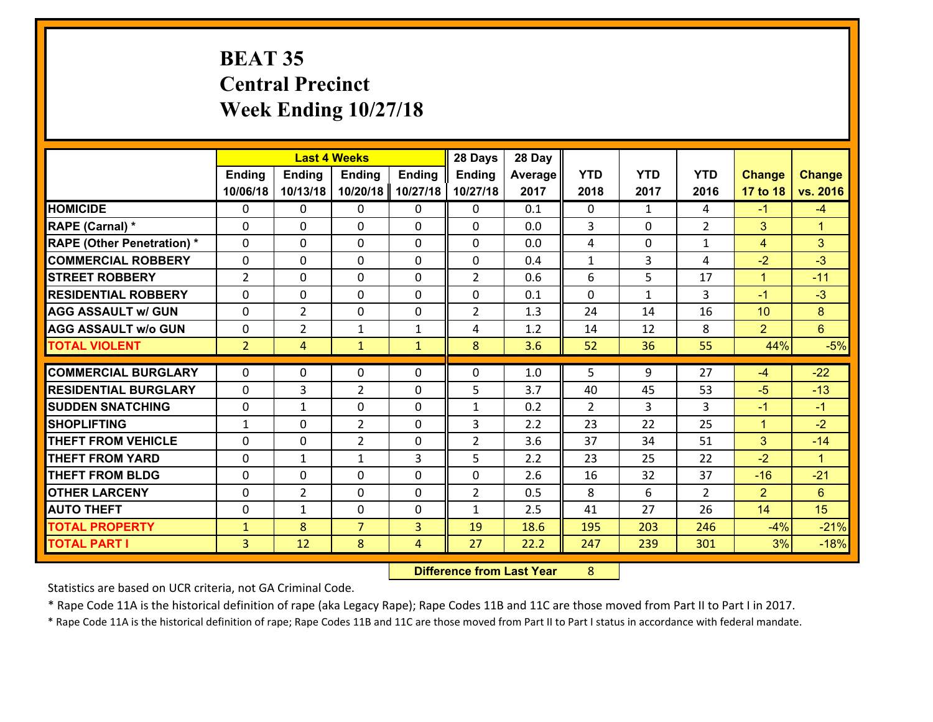# **BEAT 35 Central Precinct Week Ending 10/27/18**

|                                                |                |                     | <b>Last 4 Weeks</b>        |               | 28 Days             | 28 Day     |               |              |                      |                         |                               |
|------------------------------------------------|----------------|---------------------|----------------------------|---------------|---------------------|------------|---------------|--------------|----------------------|-------------------------|-------------------------------|
|                                                | Ending         | <b>Ending</b>       | <b>Ending</b>              | <b>Ending</b> | <b>Ending</b>       | Average    | <b>YTD</b>    | <b>YTD</b>   | <b>YTD</b>           | <b>Change</b>           | <b>Change</b>                 |
|                                                | 10/06/18       | 10/13/18            | 10/20/18                   | 10/27/18      | 10/27/18            | 2017       | 2018          | 2017         | 2016                 | 17 to 18                | vs. 2016                      |
| <b>HOMICIDE</b>                                | $\mathbf{0}$   | 0                   | $\mathbf{0}$               | 0             | 0                   | 0.1        | $\Omega$      | $\mathbf{1}$ | 4                    | $-1$                    | $-4$                          |
| RAPE (Carnal) *                                | $\Omega$       | 0                   | $\mathbf{0}$               | 0             | 0                   | 0.0        | 3             | $\Omega$     | $\overline{2}$       | 3                       | $\blacktriangleleft$          |
| <b>RAPE (Other Penetration) *</b>              | $\Omega$       | $\Omega$            | $\Omega$                   | $\Omega$      | $\Omega$            | 0.0        | 4             | $\Omega$     | $\mathbf{1}$         | $\overline{4}$          | 3                             |
| <b>COMMERCIAL ROBBERY</b>                      | 0              | 0                   | $\mathbf 0$                | $\Omega$      | 0                   | 0.4        | $\mathbf{1}$  | 3            | 4                    | $-2$                    | $-3$                          |
| <b>STREET ROBBERY</b>                          | $\overline{2}$ | 0                   | $\mathbf 0$                | $\Omega$      | $\overline{2}$      | 0.6        | 6             | 5            | 17                   | $\mathbf{1}$            | $-11$                         |
| <b>RESIDENTIAL ROBBERY</b>                     | $\Omega$       | $\Omega$            | $\mathbf 0$                | $\Omega$      | 0                   | 0.1        | $\Omega$      | $\mathbf{1}$ | 3                    | $-1$                    | $-3$                          |
| <b>AGG ASSAULT w/ GUN</b>                      | $\Omega$       | $\overline{2}$      | $\mathbf 0$                | $\Omega$      | $\overline{2}$      | 1.3        | 24            | 14           | 16                   | 10                      | 8                             |
| <b>AGG ASSAULT w/o GUN</b>                     | 0              | $\overline{2}$      | $\mathbf{1}$               | $\mathbf{1}$  | 4                   | 1.2        | 14            | 12           | 8                    | 2                       | $6\overline{6}$               |
| <b>TOTAL VIOLENT</b>                           | 2 <sup>2</sup> | $\overline{4}$      | $\mathbf{1}$               | $\mathbf{1}$  | 8                   | 3.6        | 52            | 36           | 55                   | 44%                     | $-5%$                         |
| <b>COMMERCIAL BURGLARY</b>                     | $\Omega$       | 0                   | 0                          | 0             | $\Omega$            |            | 5             | 9            |                      |                         | $-22$                         |
|                                                |                |                     |                            |               |                     |            |               |              |                      |                         |                               |
|                                                |                |                     |                            |               |                     | 1.0        |               |              | 27                   | $-4$                    |                               |
| <b>RESIDENTIAL BURGLARY</b>                    | $\Omega$       | 3                   | $\overline{2}$             | 0             | 5                   | 3.7        | 40            | 45           | 53                   | $-5$                    | $-13$                         |
| <b>SUDDEN SNATCHING</b>                        | 0              | $\mathbf{1}$        | $\mathbf{0}$               | $\Omega$      | $\mathbf{1}$        | 0.2        | $\mathcal{L}$ | 3.           | 3                    | $-1$                    | $-1$                          |
| <b>SHOPLIFTING</b>                             | $\mathbf{1}$   | 0                   | $\overline{2}$             | 0             | 3                   | 2.2        | 23            | 22           | 25                   | $\mathbf{1}$            | $-2$                          |
| <b>THEFT FROM VEHICLE</b>                      | $\Omega$       | 0                   | $\overline{2}$             | $\Omega$      | $\overline{2}$      | 3.6        | 37            | 34           | 51                   | 3                       | $-14$<br>$\blacktriangleleft$ |
| <b>THEFT FROM YARD</b>                         | 0              | 1                   | 1                          | 3<br>0        | 5                   | 2.2        | 23            | 25           | 22                   | $-2$                    |                               |
| <b>THEFT FROM BLDG</b><br><b>OTHER LARCENY</b> | 0<br>0         | 0<br>$\overline{2}$ | $\mathbf 0$<br>$\mathbf 0$ | 0             | 0<br>$\overline{2}$ | 2.6<br>0.5 | 16<br>8       | 32<br>6      | 37<br>$\overline{2}$ | $-16$<br>$\overline{2}$ | $-21$<br>6                    |
| <b>AUTO THEFT</b>                              | 0              | 1                   | $\mathbf 0$                | 0             | $\mathbf{1}$        | 2.5        | 41            | 27           | 26                   | 14                      | 15                            |
| <b>TOTAL PROPERTY</b>                          | $\mathbf{1}$   | 8                   | $\overline{7}$             | 3             | 19                  | 18.6       | 195           | 203          | 246                  | $-4%$                   |                               |
| <b>TOTAL PART I</b>                            | $\overline{3}$ | 12                  | 8                          | 4             | 27                  | 22.2       | 247           | 239          | 301                  | 3%                      | $-21%$<br>$-18%$              |

 **Difference from Last Year**r 8

Statistics are based on UCR criteria, not GA Criminal Code.

\* Rape Code 11A is the historical definition of rape (aka Legacy Rape); Rape Codes 11B and 11C are those moved from Part II to Part I in 2017.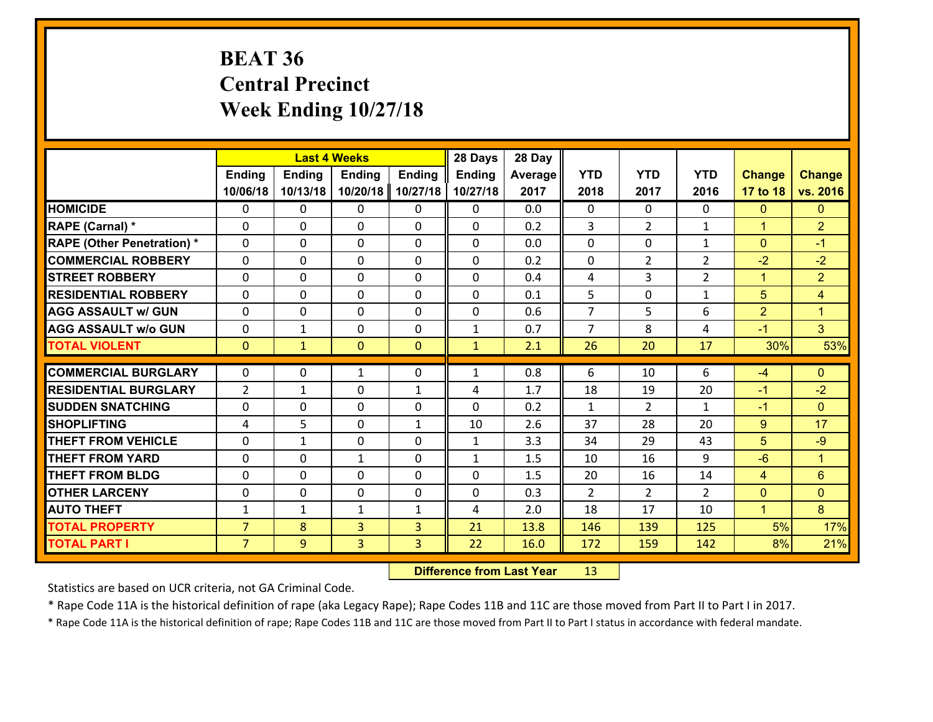# **BEAT 36 Central Precinct Week Ending 10/27/18**

|                                   |                |               | <b>Last 4 Weeks</b> |                | 28 Days       | 28 Day  |                |                |                |                |                      |
|-----------------------------------|----------------|---------------|---------------------|----------------|---------------|---------|----------------|----------------|----------------|----------------|----------------------|
|                                   | Ending         | <b>Ending</b> | <b>Ending</b>       | <b>Ending</b>  | <b>Ending</b> | Average | <b>YTD</b>     | <b>YTD</b>     | <b>YTD</b>     | <b>Change</b>  | <b>Change</b>        |
|                                   | 10/06/18       | 10/13/18      | 10/20/18            | 10/27/18       | 10/27/18      | 2017    | 2018           | 2017           | 2016           | 17 to 18       | vs. 2016             |
| <b>HOMICIDE</b>                   | $\Omega$       | 0             | 0                   | 0              | 0             | 0.0     | $\Omega$       | $\Omega$       | 0              | $\mathbf{0}$   | $\mathbf{0}$         |
| RAPE (Carnal) *                   | $\Omega$       | 0             | $\mathbf 0$         | 0              | 0             | 0.2     | 3              | $\overline{2}$ | $\mathbf{1}$   | $\mathbf{1}$   | $\overline{2}$       |
| <b>RAPE (Other Penetration) *</b> | $\Omega$       | 0             | $\mathbf{0}$        | $\Omega$       | $\Omega$      | 0.0     | $\Omega$       | $\Omega$       | $\mathbf{1}$   | $\mathbf{0}$   | $-1$                 |
| <b>COMMERCIAL ROBBERY</b>         | $\Omega$       | 0             | $\mathbf{0}$        | $\Omega$       | $\Omega$      | 0.2     | $\Omega$       | $\overline{2}$ | $\overline{2}$ | $-2$           | $-2$                 |
| <b>STREET ROBBERY</b>             | $\Omega$       | 0             | $\mathbf{0}$        | $\Omega$       | $\Omega$      | 0.4     | 4              | 3              | $\overline{2}$ | $\mathbf{1}$   | $\overline{2}$       |
| <b>RESIDENTIAL ROBBERY</b>        | $\Omega$       | 0             | $\mathbf{0}$        | $\Omega$       | $\Omega$      | 0.1     | 5              | $\Omega$       | $\mathbf{1}$   | 5              | $\overline{4}$       |
| <b>AGG ASSAULT w/ GUN</b>         | 0              | 0             | $\mathbf 0$         | $\Omega$       | 0             | 0.6     | $\overline{7}$ | 5              | 6              | $\overline{2}$ | $\blacktriangleleft$ |
| <b>AGG ASSAULT w/o GUN</b>        | 0              | 1             | 0                   | 0              | $\mathbf{1}$  | 0.7     | $\overline{7}$ | 8              | 4              | $-1$           | 3 <sup>1</sup>       |
| <b>TOTAL VIOLENT</b>              | $\mathbf{0}$   | $\mathbf{1}$  | $\mathbf{0}$        | $\overline{0}$ | $\mathbf{1}$  | 2.1     | 26             | 20             | 17             | 30%            | 53%                  |
|                                   |                |               |                     |                |               |         |                |                |                |                |                      |
|                                   |                |               |                     |                |               |         |                |                |                |                |                      |
| <b>COMMERCIAL BURGLARY</b>        | $\mathbf{0}$   | 0             | 1                   | 0              | 1             | 0.8     | 6              | 10             | 6              | $-4$           | $\mathbf{0}$         |
| <b>RESIDENTIAL BURGLARY</b>       | $\overline{2}$ | 1             | $\mathbf 0$         | $\mathbf{1}$   | 4             | 1.7     | 18             | 19             | 20             | $-1$           | $-2$                 |
| <b>SUDDEN SNATCHING</b>           | 0              | 0             | $\mathbf{0}$        | 0              | $\Omega$      | 0.2     | $\mathbf{1}$   | $\overline{2}$ | $\mathbf{1}$   | $-1$           | $\mathbf{0}$         |
| <b>SHOPLIFTING</b>                | 4              | 5             | $\mathbf 0$         | $\mathbf{1}$   | 10            | 2.6     | 37             | 28             | 20             | 9              | 17                   |
| <b>THEFT FROM VEHICLE</b>         | 0              | 1             | $\mathbf 0$         | 0              | $\mathbf{1}$  | 3.3     | 34             | 29             | 43             | 5              | $-9$                 |
| <b>THEFT FROM YARD</b>            | 0              | 0             | $\mathbf{1}$        | $\Omega$       | $\mathbf{1}$  | 1.5     | 10             | 16             | 9              | $-6$           | $\blacktriangleleft$ |
| <b>THEFT FROM BLDG</b>            | $\Omega$       | 0             | $\Omega$            | $\Omega$       | $\Omega$      | 1.5     | 20             | 16             | 14             | $\overline{4}$ | 6                    |
| <b>OTHER LARCENY</b>              | 0              | 0             | $\mathbf{0}$        | $\Omega$       | $\Omega$      | 0.3     | 2              | $\overline{2}$ | $\mathcal{P}$  | $\mathbf 0$    | $\mathbf{0}$         |
| <b>AUTO THEFT</b>                 | 1              | 1             | 1                   | $\mathbf{1}$   | 4             | 2.0     | 18             | 17             | 10             | $\mathbf{1}$   | 8                    |
| <b>TOTAL PROPERTY</b>             | $\overline{7}$ | 8             | $\overline{3}$      | 3              | 21            | 13.8    | 146            | 139            | 125            | 5%             | 17%                  |
| <b>TOTAL PART I</b>               | $\overline{7}$ | 9             | 3                   | 3              | 22            | 16.0    | 172            | 159            | 142            | 8%             | 21%                  |

 **Difference from Last Year**r 13

Statistics are based on UCR criteria, not GA Criminal Code.

\* Rape Code 11A is the historical definition of rape (aka Legacy Rape); Rape Codes 11B and 11C are those moved from Part II to Part I in 2017.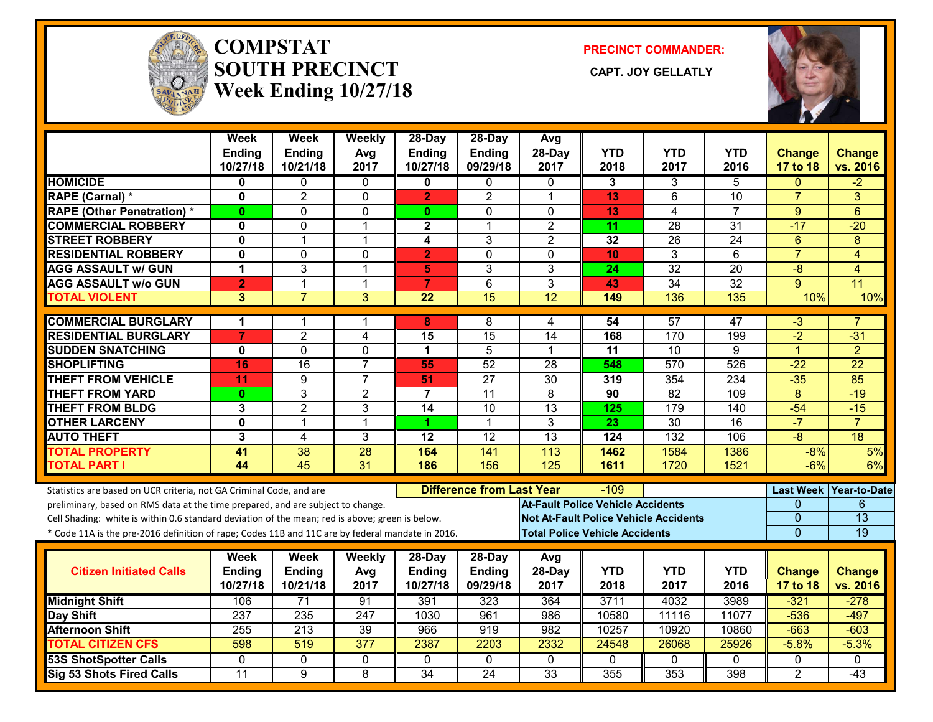

#### **COMPSTATSOUTH PRECINCT** CAPT. JOY GELLATLY **Week Ending 10/27/18**

**PRECINCT COMMANDER:**



|                                                                                                  | Week<br>Ending<br>10/27/18 | Week<br>Ending<br>10/21/18 | Weekly<br>Avg<br>2017 | 28-Day<br>Ending<br>10/27/18 | 28-Day<br><b>Ending</b><br>09/29/18 | Avg<br>28-Day<br>2017                    | <b>YTD</b><br>2018 | <b>YTD</b><br>2017                           | <b>YTD</b><br>2016 | <b>Change</b><br>17 to 18 | <b>Change</b><br>vs. 2016 |
|--------------------------------------------------------------------------------------------------|----------------------------|----------------------------|-----------------------|------------------------------|-------------------------------------|------------------------------------------|--------------------|----------------------------------------------|--------------------|---------------------------|---------------------------|
| <b>HOMICIDE</b>                                                                                  | 0                          | 0                          | 0                     | 0                            | $\mathbf{0}$                        | 0                                        | 3                  | 3                                            | 5                  | $\Omega$                  | $-2$                      |
| RAPE (Carnal) *                                                                                  | $\mathbf{0}$               | $\overline{2}$             | $\mathbf 0$           | $\overline{2}$               | $\overline{2}$                      | $\mathbf 1$                              | 13                 | 6                                            | 10                 | $\overline{7}$            | 3                         |
| <b>RAPE (Other Penetration) *</b>                                                                | $\mathbf{0}$               | $\Omega$                   | $\Omega$              | $\mathbf{0}$                 | 0                                   | $\Omega$                                 | 13                 | 4                                            | $\overline{7}$     | 9                         | 6                         |
| <b>COMMERCIAL ROBBERY</b>                                                                        | 0                          | 0                          | $\mathbf{1}$          | $\mathbf{2}$                 | 1                                   | $\overline{2}$                           | 11                 | $\overline{28}$                              | $\overline{31}$    | $-17$                     | $-20$                     |
| <b>STREET ROBBERY</b>                                                                            | 0                          | 1                          | $\mathbf 1$           | 4                            | 3                                   | $\overline{2}$                           | 32                 | 26                                           | 24                 | 6                         | 8                         |
| <b>RESIDENTIAL ROBBERY</b>                                                                       | $\mathbf{0}$               | 0                          | $\mathbf 0$           | $\overline{\mathbf{2}}$      | $\Omega$                            | $\Omega$                                 | 10                 | 3                                            | 6                  | $\overline{7}$            | $\overline{4}$            |
| <b>AGG ASSAULT w/ GUN</b>                                                                        | 1                          | 3                          | $\mathbf{1}$          | 5                            | 3                                   | 3                                        | 24                 | $\overline{32}$                              | 20                 | $-8$                      | $\overline{4}$            |
| <b>AGG ASSAULT w/o GUN</b>                                                                       | $\overline{2}$             | $\mathbf{1}$               | $\mathbf{1}$          | $\overline{7}$               | 6                                   | 3                                        | 43                 | 34                                           | 32                 | 9                         | 11                        |
| <b>TOTAL VIOLENT</b>                                                                             | $\overline{3}$             | $\overline{7}$             | $\overline{3}$        | $\overline{22}$              | 15                                  | $\overline{12}$                          | 149                | 136                                          | 135                | 10%                       | 10%                       |
| <b>COMMERCIAL BURGLARY</b>                                                                       | 1                          | 1                          | 1                     | 8                            | 8                                   | 4                                        | 54                 | 57                                           | 47                 | $-3$                      |                           |
| <b>RESIDENTIAL BURGLARY</b>                                                                      | $\overline{7}$             | $\overline{2}$             | 4                     | 15                           | $\overline{15}$                     | 14                                       | 168                | 170                                          | 199                | $-2$                      | $-31$                     |
| <b>SUDDEN SNATCHING</b>                                                                          | 0                          | $\overline{0}$             | 0                     | $\mathbf 1$                  | $\overline{5}$                      | 1                                        | 11                 | $\overline{10}$                              | 9                  | $\mathbf{1}$              | $\overline{2}$            |
| <b>SHOPLIFTING</b>                                                                               | 16                         | 16                         | $\overline{7}$        | 55                           | $\overline{52}$                     | 28                                       | 548                | 570                                          | 526                | $-22$                     | $\overline{22}$           |
| <b>THEFT FROM VEHICLE</b>                                                                        | 11                         | 9                          | $\overline{7}$        | 51                           | 27                                  | 30                                       | 319                | 354                                          | 234                | $-35$                     | 85                        |
| <b>THEFT FROM YARD</b>                                                                           | $\bf{0}$                   | $\overline{3}$             | $\overline{2}$        | $\overline{7}$               | 11                                  | $\overline{8}$                           | $\overline{90}$    | $\overline{82}$                              | 109                | $\overline{8}$            | $-19$                     |
| <b>THEFT FROM BLDG</b>                                                                           | 3                          | $\overline{2}$             | 3                     | 14                           | 10                                  | $\overline{13}$                          | 125                | 179                                          | 140                | $-54$                     | $-15$                     |
| <b>OTHER LARCENY</b>                                                                             | $\mathbf{0}$               | 1                          | $\mathbf{1}$          | 1.                           | $\mathbf{1}$                        | $\overline{3}$                           | $\overline{23}$    | $\overline{30}$                              | $\overline{16}$    | $-7$                      | $\overline{7}$            |
| <b>AUTO THEFT</b>                                                                                | 3                          | 4                          | 3                     | $\overline{12}$              | 12                                  | 13                                       | 124                | 132                                          | 106                | $\overline{-8}$           | $\overline{18}$           |
| <b>TOTAL PROPERTY</b>                                                                            | $\overline{41}$            | $\overline{38}$            | $\overline{28}$       | 164                          | 141                                 | 113                                      | 1462               | 1584                                         | 1386               | $-8%$                     | 5%                        |
| <b>TOTAL PART I</b>                                                                              | 44                         | $\overline{45}$            | 31                    | 186                          | 156                                 | $\overline{125}$                         | 1611               | 1720                                         | 1521               | $-6%$                     | 6%                        |
| Statistics are based on UCR criteria, not GA Criminal Code, and are                              |                            |                            |                       |                              | <b>Difference from Last Year</b>    |                                          | $-109$             |                                              |                    |                           | Last Week   Year-to-Date  |
| preliminary, based on RMS data at the time prepared, and are subject to change.                  |                            |                            |                       |                              |                                     | <b>At-Fault Police Vehicle Accidents</b> |                    |                                              |                    | $\Omega$                  | 6                         |
| Cell Shading: white is within 0.6 standard deviation of the mean; red is above; green is below.  |                            |                            |                       |                              |                                     |                                          |                    | <b>Not At-Fault Police Vehicle Accidents</b> |                    | $\overline{0}$            | $\overline{13}$           |
| * Code 11A is the pre-2016 definition of rape; Codes 11B and 11C are by federal mandate in 2016. |                            |                            |                       |                              |                                     | <b>Total Police Vehicle Accidents</b>    |                    |                                              |                    | $\Omega$                  | 19                        |
|                                                                                                  | Week                       | Week                       | Weekly                | 28-Day                       | 28-Day                              | Avg                                      |                    |                                              |                    |                           |                           |
| <b>Citizen Initiated Calls</b>                                                                   | <b>Ending</b>              | Ending                     | Avg                   | <b>Ending</b>                | <b>Ending</b>                       | 28-Day                                   | <b>YTD</b>         | <b>YTD</b>                                   | <b>YTD</b>         | <b>Change</b>             | <b>Change</b>             |
|                                                                                                  | 10/27/18                   | 10/21/18                   | 2017                  | 10/27/18                     | 09/29/18                            | 2017                                     | 2018               | 2017                                         | 2016               | 17 to 18                  | vs. 2016                  |
| <b>Midnight Shift</b>                                                                            | 106                        | $\overline{71}$            | 91                    | 391                          | $\overline{323}$                    | 364                                      | 3711               | 4032                                         | 3989               | $-321$                    | $-278$                    |
| Day Shift                                                                                        | 237                        | 235                        | 247                   | 1030                         | 961                                 | 986                                      | 10580              | 11116                                        | 11077              | $-536$                    | $-497$                    |
| <b>Afternoon Shift</b>                                                                           | 255                        | 213                        | 39                    | 966                          | 919                                 | 982                                      | 10257              | 10920                                        | 10860              | $-663$                    | $-603$                    |
| <b>TOTAL CITIZEN CFS</b>                                                                         | 598                        | 519                        | $\overline{377}$      | 2387                         | 2203                                | 2332                                     | 24548              | 26068                                        | 25926              | $-5.8%$                   | $-5.3%$                   |
| <b>53S ShotSpotter Calls</b>                                                                     | $\mathbf{0}$               | $\Omega$                   | 0                     | $\Omega$                     | $\mathbf{0}$                        | $\Omega$                                 | $\mathbf{0}$       | $\Omega$                                     | $\Omega$           | $\mathbf{0}$              | $\Omega$                  |
| Sig 53 Shots Fired Calls                                                                         | $\overline{11}$            | 9                          | 8                     | $\overline{34}$              | $\overline{24}$                     | $\overline{33}$                          | 355                | 353                                          | 398                | $\overline{2}$            | $-43$                     |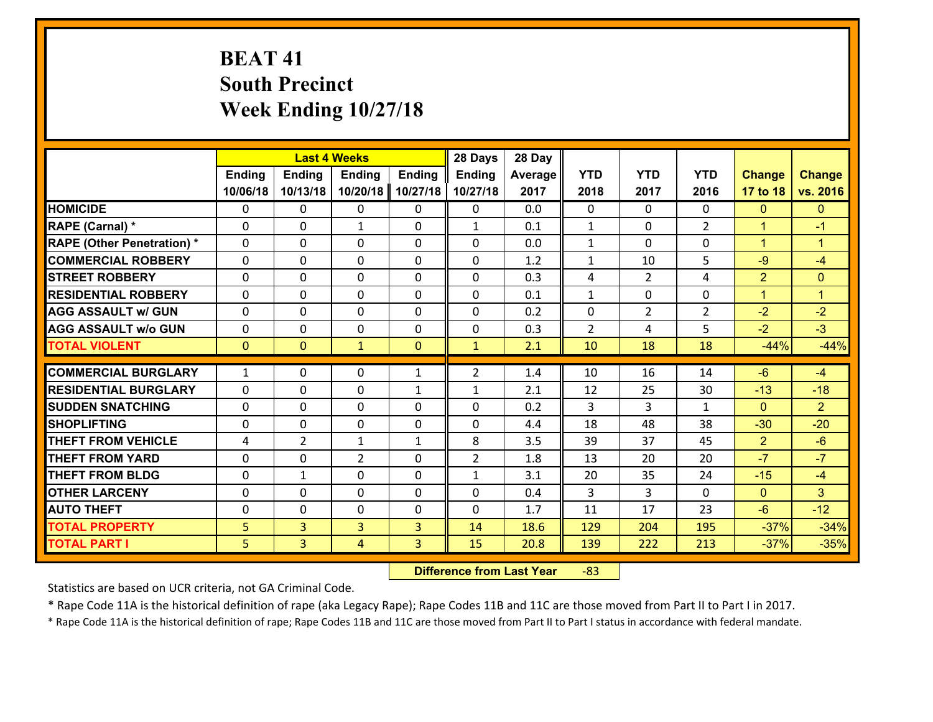# **BEAT 41 South Precinct Week Ending 10/27/18**

|                                   |                |                | <b>Last 4 Weeks</b> |               | 28 Days        | 28 Day  |                |                |                |                |                      |
|-----------------------------------|----------------|----------------|---------------------|---------------|----------------|---------|----------------|----------------|----------------|----------------|----------------------|
|                                   | <b>Ending</b>  | <b>Ending</b>  | <b>Ending</b>       | <b>Ending</b> | Ending         | Average | <b>YTD</b>     | <b>YTD</b>     | <b>YTD</b>     | <b>Change</b>  | <b>Change</b>        |
|                                   | 10/06/18       | 10/13/18       | 10/20/18            | 10/27/18      | 10/27/18       | 2017    | 2018           | 2017           | 2016           | 17 to 18       | vs. 2016             |
| <b>HOMICIDE</b>                   | $\Omega$       | 0              | $\mathbf{0}$        | 0             | 0              | 0.0     | $\Omega$       | $\Omega$       | $\Omega$       | $\mathbf{0}$   | $\mathbf{0}$         |
| RAPE (Carnal) *                   | $\Omega$       | 0              | $\mathbf{1}$        | 0             | $\mathbf{1}$   | 0.1     | 1              | $\Omega$       | $\overline{2}$ | $\mathbf{1}$   | $-1$                 |
| <b>RAPE (Other Penetration) *</b> | 0              | 0              | $\mathbf 0$         | 0             | 0              | 0.0     | $\mathbf{1}$   | $\Omega$       | 0              | $\mathbf{1}$   | $\blacktriangleleft$ |
| <b>COMMERCIAL ROBBERY</b>         | 0              | 0              | 0                   | 0             | $\Omega$       | 1.2     | $\mathbf{1}$   | 10             | 5              | $-9$           | $-4$                 |
| <b>STREET ROBBERY</b>             | $\Omega$       | 0              | $\mathbf 0$         | $\Omega$      | 0              | 0.3     | 4              | $\overline{2}$ | 4              | $\overline{2}$ | $\mathbf{0}$         |
| <b>RESIDENTIAL ROBBERY</b>        | 0              | 0              | $\mathbf 0$         | 0             | 0              | 0.1     | $\mathbf{1}$   | $\mathbf 0$    | 0              | $\mathbf{1}$   | $\mathbf{1}$         |
| <b>AGG ASSAULT w/ GUN</b>         | 0              | 0              | $\mathbf 0$         | 0             | 0              | 0.2     | $\mathbf 0$    | $\overline{2}$ | $\overline{2}$ | $-2$           | $-2$                 |
| <b>AGG ASSAULT w/o GUN</b>        | 0              | 0              | $\mathbf 0$         | 0             | 0              | 0.3     | $\overline{2}$ | 4              | 5              | $-2$           | $-3$                 |
| <b>TOTAL VIOLENT</b>              | $\mathbf{0}$   | $\overline{0}$ | $\mathbf{1}$        | $\mathbf{0}$  | $\mathbf{1}$   | 2.1     | 10             | 18             | 18             | $-44%$         | $-44%$               |
| <b>COMMERCIAL BURGLARY</b>        | $\mathbf{1}$   | 0              | $\mathbf{0}$        |               | $\overline{2}$ | 1.4     | 10             | 16             | 14             | $-6$           | $-4$                 |
|                                   |                |                |                     | $\mathbf{1}$  |                |         |                |                |                |                |                      |
| <b>RESIDENTIAL BURGLARY</b>       | $\Omega$       | 0              | $\mathbf 0$         | $\mathbf{1}$  | $\mathbf{1}$   | 2.1     | 12             | 25             | 30             | $-13$          | $-18$                |
| <b>SUDDEN SNATCHING</b>           | 0              | 0              | $\mathbf{0}$        | $\Omega$      | 0              | 0.2     | 3              | 3              | $\mathbf{1}$   | $\Omega$       | $\overline{2}$       |
| <b>SHOPLIFTING</b>                | $\Omega$       | $\Omega$       | $\mathbf 0$         | $\Omega$      | $\Omega$       | 4.4     | 18             | 48             | 38             | $-30$          | $-20$                |
| <b>THEFT FROM VEHICLE</b>         | 4              | $\overline{2}$ | $\mathbf{1}$        | $\mathbf{1}$  | 8              | 3.5     | 39             | 37             | 45             | $\overline{2}$ | $-6$                 |
| <b>THEFT FROM YARD</b>            | $\mathbf{0}$   | 0              | $\overline{2}$      | 0             | $\overline{2}$ | 1.8     | 13             | 20             | 20             | $-7$           | $-7$                 |
| <b>THEFT FROM BLDG</b>            | 0              | 1              | $\mathbf 0$         | 0             | $\mathbf{1}$   | 3.1     | 20             | 35             | 24             | $-15$          | $-4$                 |
| <b>OTHER LARCENY</b>              | 0              | 0              | $\mathbf 0$         | 0             | 0              | 0.4     | 3              | 3              | $\Omega$       | $\mathbf{0}$   | 3                    |
| <b>AUTO THEFT</b>                 | 0              | 0              | 0                   | 0             | 0              | 1.7     | 11             | 17             | 23             | $-6$           | $-12$                |
| <b>TOTAL PROPERTY</b>             | 5 <sup>1</sup> | $\overline{3}$ | 3                   | 3             | 14             | 18.6    | 129            | 204            | 195            | $-37%$         | $-34%$               |
| <b>TOTAL PART I</b>               | 5              | $\overline{3}$ | 4                   | 3             | 15             | 20.8    | 139            | 222            | 213            | $-37%$         | $-35%$               |

 **Difference from Last Year**r -83

Statistics are based on UCR criteria, not GA Criminal Code.

\* Rape Code 11A is the historical definition of rape (aka Legacy Rape); Rape Codes 11B and 11C are those moved from Part II to Part I in 2017.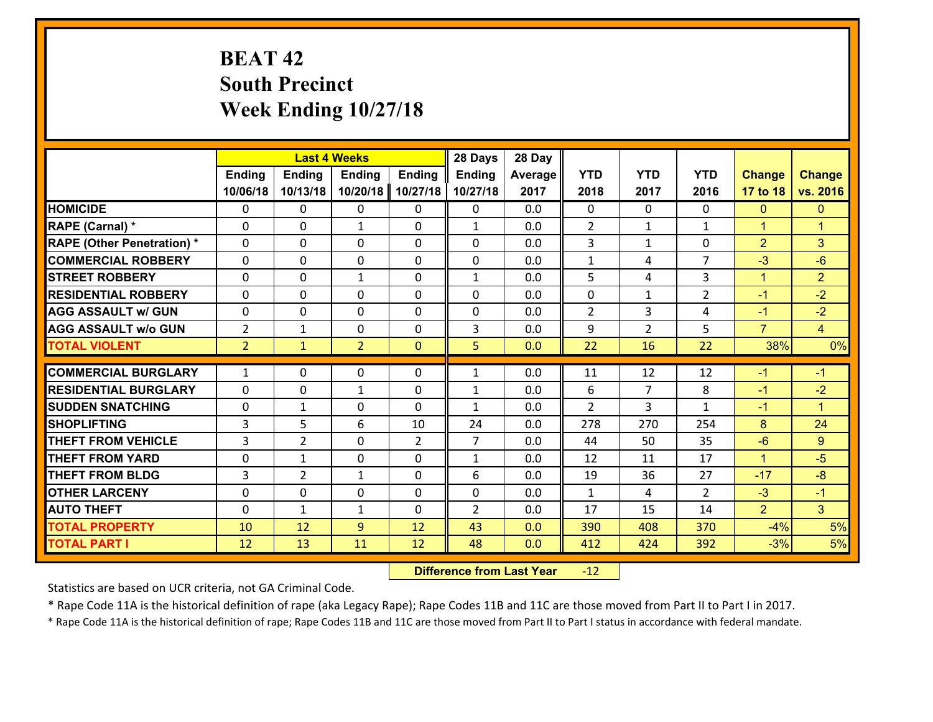# **BEAT 42 South Precinct Week Ending 10/27/18**

|                                              |                | <b>Last 4 Weeks</b> |                   |                | 28 Days        | 28 Day     |                |                |                |                |                      |
|----------------------------------------------|----------------|---------------------|-------------------|----------------|----------------|------------|----------------|----------------|----------------|----------------|----------------------|
|                                              | <b>Ending</b>  | <b>Ending</b>       | <b>Ending</b>     | <b>Ending</b>  | <b>Ending</b>  | Average    | <b>YTD</b>     | <b>YTD</b>     | <b>YTD</b>     | <b>Change</b>  | <b>Change</b>        |
|                                              | 10/06/18       | 10/13/18            | 10/20/18          | 10/27/18       | 10/27/18       | 2017       | 2018           | 2017           | 2016           | 17 to 18       | vs. 2016             |
| <b>HOMICIDE</b>                              | $\mathbf{0}$   | 0                   | 0                 | 0              | 0              | 0.0        | $\Omega$       | $\Omega$       | $\Omega$       | $\mathbf{0}$   | $\mathbf{0}$         |
| RAPE (Carnal) *                              | $\Omega$       | 0                   | $\mathbf{1}$      | 0              | $\mathbf{1}$   | 0.0        | 2              | $\mathbf{1}$   | $\mathbf{1}$   | $\mathbf{1}$   | $\overline{1}$       |
| <b>RAPE (Other Penetration) *</b>            | $\Omega$       | 0                   | $\Omega$          | $\Omega$       | $\Omega$       | 0.0        | 3              | $\mathbf{1}$   | $\Omega$       | $\overline{2}$ | 3                    |
| <b>COMMERCIAL ROBBERY</b>                    | 0              | 0                   | $\mathbf 0$       | 0              | 0              | 0.0        | $\mathbf{1}$   | 4              | $\overline{7}$ | $-3$           | $-6$                 |
| <b>STREET ROBBERY</b>                        | $\Omega$       | 0                   | 1                 | $\Omega$       | $\mathbf{1}$   | 0.0        | 5              | 4              | 3              | $\mathbf{1}$   | $\overline{2}$       |
| <b>RESIDENTIAL ROBBERY</b>                   | $\Omega$       | $\Omega$            | $\mathbf 0$       | $\Omega$       | $\Omega$       | 0.0        | 0              | $\mathbf{1}$   | $\overline{2}$ | $-1$           | $-2$                 |
| <b>AGG ASSAULT w/ GUN</b>                    | $\Omega$       | 0                   | $\mathbf 0$       | $\Omega$       | 0              | 0.0        | $\overline{2}$ | 3              | 4              | $-1$           | $-2$                 |
| <b>AGG ASSAULT w/o GUN</b>                   | $\overline{2}$ | 1                   | $\mathbf 0$       | 0              | 3              | 0.0        | 9              | $\overline{2}$ | 5              | $\overline{7}$ | $\overline{4}$       |
| <b>TOTAL VIOLENT</b>                         | 2 <sup>1</sup> | $\mathbf{1}$        | $\overline{2}$    | $\mathbf{0}$   | 5              | 0.0        | 22             | 16             | 22             | 38%            | 0%                   |
| <b>COMMERCIAL BURGLARY</b>                   | $\mathbf{1}$   | 0                   | 0                 | 0              | $\mathbf{1}$   | 0.0        | 11             | 12             | 12             | $-1$           | $-1$                 |
| <b>RESIDENTIAL BURGLARY</b>                  | $\Omega$       | 0                   |                   | 0              |                | 0.0        | 6              | $\overline{7}$ | 8              | $-1$           | $-2$                 |
| <b>SUDDEN SNATCHING</b>                      | 0              | 1                   | 1<br>$\mathbf{0}$ |                | 1              |            |                |                |                |                |                      |
|                                              |                |                     |                   |                |                |            |                |                |                |                |                      |
|                                              |                |                     |                   | 0              | $\mathbf{1}$   | 0.0        | $\mathcal{L}$  | 3.             | $\mathbf{1}$   | $-1$           | $\blacktriangleleft$ |
| <b>SHOPLIFTING</b>                           | 3              | 5                   | 6                 | 10             | 24             | 0.0        | 278            | 270            | 254            | 8              | 24                   |
| <b>THEFT FROM VEHICLE</b>                    | 3              | $\overline{2}$      | $\mathbf{0}$      | $\overline{2}$ | $\overline{7}$ | 0.0        | 44             | 50             | 35             | $-6$           | 9                    |
| <b>THEFT FROM YARD</b>                       | 0              | 1                   | $\mathbf 0$       | $\Omega$       | $\mathbf{1}$   | 0.0        | 12             | 11             | 17             | $\mathbf{1}$   | $-5$                 |
| <b>THEFT FROM BLDG</b>                       | 3              | $\overline{2}$      | $\mathbf{1}$      | 0              | 6              | 0.0        | 19             | 36             | 27             | $-17$          | $-8$                 |
| <b>OTHER LARCENY</b>                         | 0              | 0                   | $\mathbf 0$       | 0              | 0              | 0.0        | $\mathbf{1}$   | 4              | $\mathcal{L}$  | $-3$           | $-1$                 |
| <b>AUTO THEFT</b>                            | 0              | $\mathbf{1}$        | 1                 | 0              | $\overline{2}$ | 0.0        | 17             | 15             | 14             | $\overline{2}$ | 3 <sup>1</sup>       |
| <b>TOTAL PROPERTY</b><br><b>TOTAL PART I</b> | 10<br>12       | 12<br>13            | 9<br>11           | 12<br>12       | 43<br>48       | 0.0<br>0.0 | 390<br>412     | 408<br>424     | 370<br>392     | $-4%$<br>$-3%$ | 5%<br>5%             |

 **Difference from Last Year**r -12

Statistics are based on UCR criteria, not GA Criminal Code.

\* Rape Code 11A is the historical definition of rape (aka Legacy Rape); Rape Codes 11B and 11C are those moved from Part II to Part I in 2017.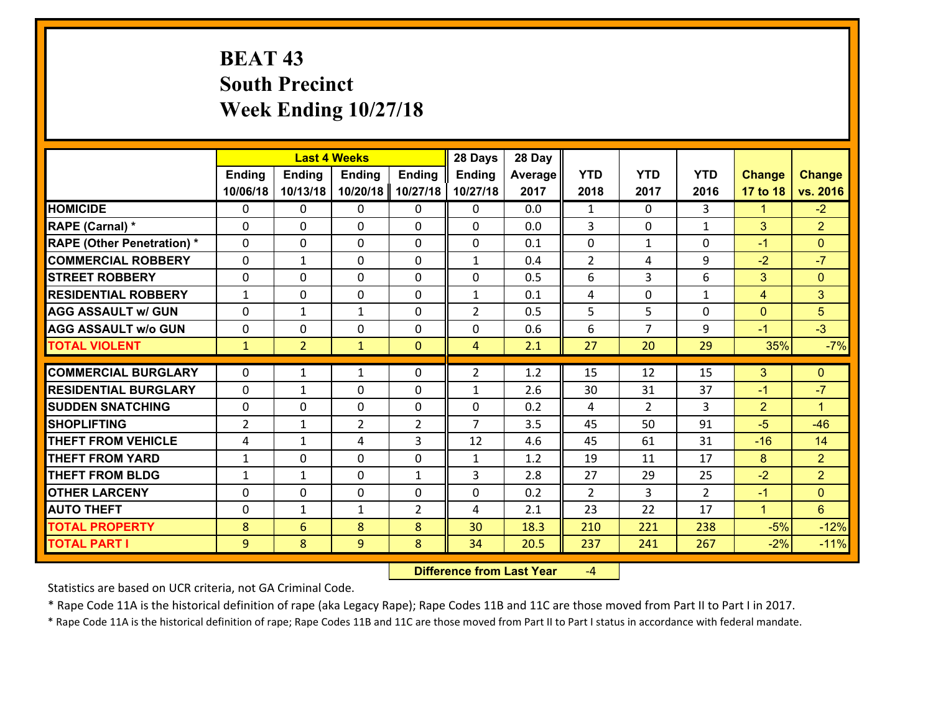# **BEAT 43 South Precinct Week Ending 10/27/18**

|                                              |                     | <b>Last 4 Weeks</b> |                |                | 28 Days        | 28 Day       |                |                |                |                              |                  |
|----------------------------------------------|---------------------|---------------------|----------------|----------------|----------------|--------------|----------------|----------------|----------------|------------------------------|------------------|
|                                              | <b>Ending</b>       | <b>Ending</b>       | <b>Ending</b>  | <b>Ending</b>  | <b>Ending</b>  | Average      | <b>YTD</b>     | <b>YTD</b>     | <b>YTD</b>     | <b>Change</b>                | <b>Change</b>    |
|                                              | 10/06/18            | 10/13/18            | 10/20/18       | 10/27/18       | 10/27/18       | 2017         | 2018           | 2017           | 2016           | 17 to 18                     | vs. 2016         |
| <b>HOMICIDE</b>                              | $\Omega$            | 0                   | $\Omega$       | 0              | 0              | 0.0          | 1              | $\Omega$       | 3              | 1                            | $-2$             |
| RAPE (Carnal) *                              | $\mathbf 0$         | 0                   | $\mathbf{0}$   | $\Omega$       | 0              | 0.0          | 3              | 0              | $\mathbf{1}$   | 3                            | 2 <sup>1</sup>   |
| <b>RAPE (Other Penetration) *</b>            | $\Omega$            | 0                   | $\mathbf{0}$   | $\Omega$       | 0              | 0.1          | $\mathbf{0}$   | $\mathbf{1}$   | 0              | $-1$                         | $\mathbf{0}$     |
| <b>COMMERCIAL ROBBERY</b>                    | $\mathbf 0$         | 1                   | $\mathbf{0}$   | $\Omega$       | $\mathbf{1}$   | 0.4          | $\overline{2}$ | 4              | 9              | $-2$                         | $-7$             |
| <b>STREET ROBBERY</b>                        | $\mathbf{0}$        | 0                   | $\mathbf{0}$   | $\Omega$       | 0              | 0.5          | 6              | 3              | 6              | 3                            | $\mathbf{0}$     |
| <b>RESIDENTIAL ROBBERY</b>                   | $\mathbf{1}$        | 0                   | $\mathbf 0$    | 0              | $\mathbf{1}$   | 0.1          | 4              | $\Omega$       | $\mathbf{1}$   | $\overline{4}$               | 3                |
| <b>AGG ASSAULT w/ GUN</b>                    | $\mathbf 0$         | 1                   | $\mathbf{1}$   | 0              | $\overline{2}$ | 0.5          | 5              | 5              | 0              | $\mathbf{0}$                 | 5                |
| <b>AGG ASSAULT W/o GUN</b>                   | $\mathbf 0$         | 0                   | $\mathbf 0$    | 0              | 0              | 0.6          | 6              | $\overline{7}$ | 9              | $-1$                         | $-3$             |
| <b>TOTAL VIOLENT</b>                         | $\mathbf{1}$        | $\overline{2}$      | $\mathbf{1}$   | $\mathbf{0}$   | 4              | 2.1          | 27             | 20             | 29             | 35%                          | $-7%$            |
| <b>COMMERCIAL BURGLARY</b>                   | $\Omega$            | 1                   | 1              | $\Omega$       | $\overline{2}$ | 1.2          | 15             | 12             | 15             | 3                            | $\mathbf{0}$     |
|                                              |                     |                     |                |                |                |              |                |                |                |                              |                  |
|                                              |                     |                     |                |                |                |              |                |                |                |                              |                  |
| <b>RESIDENTIAL BURGLARY</b>                  | $\Omega$            | $\mathbf{1}$        | $\mathbf{0}$   | $\Omega$       | $\mathbf{1}$   | 2.6          | 30             | 31             | 37             | $-1$                         | $-7$             |
| <b>SUDDEN SNATCHING</b>                      | $\mathbf{0}$        | 0                   | $\mathbf{0}$   | $\Omega$       | $\Omega$       | 0.2          | 4              | $\overline{2}$ | 3              | $\overline{2}$               | $\mathbf{1}$     |
| <b>SHOPLIFTING</b>                           | $\overline{2}$      | 1                   | $\overline{2}$ | $\overline{2}$ | $\overline{7}$ | 3.5          | 45             | 50             | 91             | $-5$                         | $-46$            |
| <b>THEFT FROM VEHICLE</b>                    | 4                   | $\mathbf{1}$        | 4              | 3              | 12             | 4.6          | 45             | 61             | 31             | $-16$                        | 14               |
| <b>THEFT FROM YARD</b>                       | $\mathbf{1}$        | 0                   | $\mathbf 0$    | 0              | $\mathbf{1}$   | 1.2          | 19             | 11             | 17             | 8                            | 2 <sup>1</sup>   |
| <b>THEFT FROM BLDG</b>                       | $\mathbf{1}$        | $\mathbf{1}$        | $\mathbf{0}$   | $\mathbf{1}$   | 3              | 2.8          | 27             | 29             | 25             | $-2$                         | $\overline{2}$   |
| <b>OTHER LARCENY</b>                         | $\mathbf 0$         | 0                   | $\mathbf 0$    | 0              | 0              | 0.2          | $\overline{2}$ | 3              | $\overline{2}$ | $-1$<br>$\blacktriangleleft$ | $\overline{0}$   |
| <b>AUTO THEFT</b>                            | $\mathbf 0$         | $\mathbf{1}$        | 1              | $\overline{2}$ | 4              | 2.1          | 23             | 22             | 17             |                              | 6 <sup>1</sup>   |
| <b>TOTAL PROPERTY</b><br><b>TOTAL PART I</b> | 8<br>$\overline{9}$ | 6<br>8              | 8<br>9         | 8<br>8         | 30<br>34       | 18.3<br>20.5 | 210<br>237     | 221<br>241     | 238<br>267     | $-5%$<br>$-2%$               | $-12%$<br>$-11%$ |

 **Difference from Last Year**‐4

Statistics are based on UCR criteria, not GA Criminal Code.

\* Rape Code 11A is the historical definition of rape (aka Legacy Rape); Rape Codes 11B and 11C are those moved from Part II to Part I in 2017.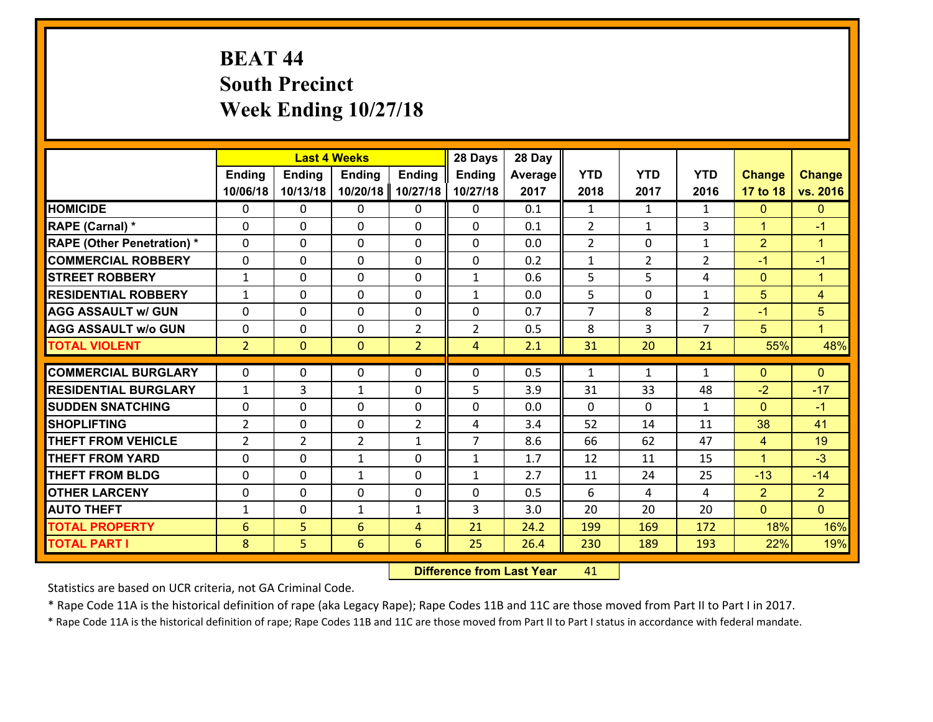# **BEAT 44 South Precinct Week Ending 10/27/18**

|                                   |                 |                | <b>Last 4 Weeks</b> |                | 28 Days        | 28 Day  |                |                |                |                |                      |
|-----------------------------------|-----------------|----------------|---------------------|----------------|----------------|---------|----------------|----------------|----------------|----------------|----------------------|
|                                   | Ending          | Ending         | <b>Ending</b>       | <b>Ending</b>  | <b>Ending</b>  | Average | <b>YTD</b>     | <b>YTD</b>     | <b>YTD</b>     | <b>Change</b>  | <b>Change</b>        |
|                                   | 10/06/18        | 10/13/18       | 10/20/18            | 10/27/18       | 10/27/18       | 2017    | 2018           | 2017           | 2016           | 17 to 18       | vs. 2016             |
| <b>HOMICIDE</b>                   | $\Omega$        | 0              | 0                   | $\Omega$       | 0              | 0.1     | $\mathbf{1}$   | $\mathbf{1}$   | $\mathbf{1}$   | $\mathbf{0}$   | $\mathbf{0}$         |
| RAPE (Carnal) *                   | 0               | 0              | $\mathbf{0}$        | 0              | $\Omega$       | 0.1     | $\overline{2}$ | $\mathbf{1}$   | 3              | $\mathbf{1}$   | $-1$                 |
| <b>RAPE (Other Penetration) *</b> | $\Omega$        | 0              | $\mathbf{0}$        | $\Omega$       | $\Omega$       | 0.0     | $\overline{2}$ | 0              | $\mathbf{1}$   | $\overline{2}$ | $\blacktriangleleft$ |
| <b>COMMERCIAL ROBBERY</b>         | 0               | 0              | $\mathbf{0}$        | $\Omega$       | $\Omega$       | 0.2     | $\mathbf{1}$   | $\overline{2}$ | $\overline{2}$ | $-1$           | $-1$                 |
| <b>STREET ROBBERY</b>             | $\mathbf{1}$    | 0              | $\mathbf{0}$        | $\Omega$       | $\mathbf{1}$   | 0.6     | 5              | 5              | 4              | $\mathbf{0}$   | $\blacktriangleleft$ |
| <b>RESIDENTIAL ROBBERY</b>        | $\mathbf{1}$    | $\Omega$       | $\mathbf 0$         | $\Omega$       | $\mathbf{1}$   | 0.0     | 5              | $\Omega$       | $\mathbf{1}$   | 5              | $\overline{4}$       |
| <b>AGG ASSAULT w/ GUN</b>         | $\Omega$        | 0              | $\mathbf 0$         | $\Omega$       | 0              | 0.7     | $\overline{7}$ | 8              | $\overline{2}$ | $-1$           | $\overline{5}$       |
| <b>AGG ASSAULT w/o GUN</b>        | 0               | 0              | $\mathbf 0$         | $\overline{2}$ | $\overline{2}$ | 0.5     | 8              | $\overline{3}$ | $\overline{7}$ | 5              | L                    |
| <b>TOTAL VIOLENT</b>              | 2 <sup>1</sup>  | $\overline{0}$ | $\mathbf{O}$        | $\overline{2}$ | $\overline{4}$ | 2.1     | 31             | 20             | 21             | 55%            | 48%                  |
| <b>COMMERCIAL BURGLARY</b>        |                 |                |                     |                |                |         |                |                |                |                |                      |
|                                   | $\Omega$        | 0              | $\mathbf{0}$        | 0              | $\Omega$       | 0.5     | 1              | $\mathbf{1}$   | $\mathbf{1}$   | $\mathbf{0}$   | $\mathbf{0}$         |
| <b>RESIDENTIAL BURGLARY</b>       | $\mathbf{1}$    | 3              | $\mathbf{1}$        | 0              | 5              | 3.9     | 31             | 33             | 48             | $-2$           | $-17$                |
| <b>SUDDEN SNATCHING</b>           | 0               | 0              | 0                   | 0              | 0              | 0.0     | $\Omega$       | $\Omega$       | $\mathbf{1}$   | $\mathbf{0}$   | $-1$                 |
| <b>SHOPLIFTING</b>                | $\overline{2}$  | $\Omega$       | $\mathbf 0$         | $\overline{2}$ | 4              | 3.4     | 52             | 14             | 11             | 38             | 41                   |
| <b>THEFT FROM VEHICLE</b>         | $\overline{2}$  | $\overline{2}$ | $\overline{2}$      | $\mathbf{1}$   | $\overline{7}$ | 8.6     | 66             | 62             | 47             | $\overline{4}$ | 19                   |
| <b>THEFT FROM YARD</b>            | 0               | 0              | $\mathbf{1}$        | $\Omega$       | $\mathbf{1}$   | 1.7     | 12             | 11             | 15             | $\mathbf{1}$   | $-3$                 |
| <b>THEFT FROM BLDG</b>            | 0               | 0              | 1                   | 0              | $\mathbf{1}$   | 2.7     | 11             | 24             | 25             | $-13$          | $-14$                |
| <b>OTHER LARCENY</b>              | $\mathbf 0$     | 0              | $\mathbf 0$         | 0              | 0              | 0.5     | 6              | 4              | 4              | $\overline{2}$ | $\overline{2}$       |
| <b>AUTO THEFT</b>                 | $\mathbf{1}$    | 0              | 1                   | $\mathbf{1}$   | 3              | 3.0     | 20             | 20             | 20             | $\overline{0}$ | $\overline{0}$       |
| <b>TOTAL PROPERTY</b>             | $6\phantom{1}6$ | 5              | 6                   | 4              | 21             | 24.2    | 199            | 169            | 172            | 18%            | 16%                  |
| <b>TOTAL PART I</b>               | 8               | 5              | $6\phantom{1}$      | 6              | 25             | 26.4    | 230            | 189            | 193            | 22%            | 19%                  |

 **Difference from Last Year**r 41

Statistics are based on UCR criteria, not GA Criminal Code.

\* Rape Code 11A is the historical definition of rape (aka Legacy Rape); Rape Codes 11B and 11C are those moved from Part II to Part I in 2017.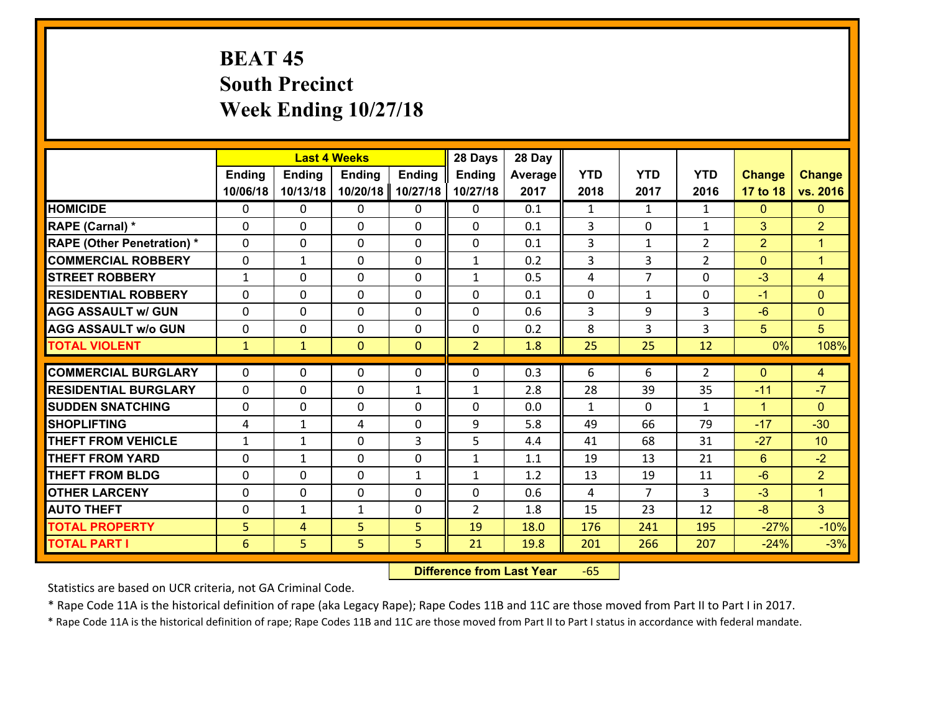# **BEAT 45 South Precinct Week Ending 10/27/18**

|                                   |               | <b>Last 4 Weeks</b> |               |               | 28 Days        | 28 Day  |              |                |                |                |                |
|-----------------------------------|---------------|---------------------|---------------|---------------|----------------|---------|--------------|----------------|----------------|----------------|----------------|
|                                   | <b>Ending</b> | <b>Ending</b>       | <b>Ending</b> | <b>Ending</b> | <b>Ending</b>  | Average | <b>YTD</b>   | <b>YTD</b>     | <b>YTD</b>     | <b>Change</b>  | <b>Change</b>  |
|                                   | 10/06/18      | 10/13/18            | 10/20/18      | 10/27/18      | 10/27/18       | 2017    | 2018         | 2017           | 2016           | 17 to 18       | vs. 2016       |
| <b>HOMICIDE</b>                   | $\Omega$      | 0                   | 0             | 0             | 0              | 0.1     | 1            | $\mathbf{1}$   | $\mathbf{1}$   | $\mathbf{0}$   | $\mathbf{0}$   |
| RAPE (Carnal) *                   | $\Omega$      | 0                   | $\mathbf{0}$  | $\Omega$      | $\Omega$       | 0.1     | 3            | $\Omega$       | $\mathbf{1}$   | 3              | $\overline{2}$ |
| <b>RAPE (Other Penetration) *</b> | $\Omega$      | 0                   | $\mathbf 0$   | 0             | 0              | 0.1     | 3            | $\mathbf{1}$   | $\overline{2}$ | $\overline{2}$ | $\mathbf{1}$   |
| <b>COMMERCIAL ROBBERY</b>         | 0             | $\mathbf{1}$        | $\mathbf 0$   | 0             | $\mathbf{1}$   | 0.2     | 3            | 3              | $\overline{2}$ | $\mathbf{0}$   | $\mathbf{1}$   |
| <b>STREET ROBBERY</b>             | $\mathbf{1}$  | 0                   | $\mathbf 0$   | 0             | $\mathbf{1}$   | 0.5     | 4            | $\overline{7}$ | 0              | $-3$           | $\overline{4}$ |
| <b>RESIDENTIAL ROBBERY</b>        | $\Omega$      | 0                   | $\mathbf 0$   | 0             | 0              | 0.1     | $\mathbf 0$  | $\mathbf{1}$   | 0              | $-1$           | $\overline{0}$ |
| <b>AGG ASSAULT w/ GUN</b>         | 0             | 0                   | $\mathbf 0$   | 0             | 0              | 0.6     | 3            | 9              | 3              | $-6$           | $\overline{0}$ |
| <b>AGG ASSAULT w/o GUN</b>        | 0             | 0                   | $\mathbf 0$   | $\Omega$      | $\mathbf 0$    | 0.2     | 8            | 3              | 3              | 5              | 5              |
| <b>TOTAL VIOLENT</b>              | $\mathbf{1}$  | $\mathbf{1}$        | $\mathbf{O}$  | $\mathbf{0}$  | $\overline{2}$ | 1.8     | 25           | 25             | 12             | 0%             | 108%           |
|                                   |               |                     |               |               |                |         |              |                |                |                |                |
| <b>COMMERCIAL BURGLARY</b>        | $\Omega$      | 0                   | $\mathbf{0}$  | 0             | $\Omega$       | 0.3     | 6            | 6              | $\overline{2}$ | $\mathbf{0}$   | $\overline{4}$ |
| <b>RESIDENTIAL BURGLARY</b>       | 0             | 0                   | 0             | $\mathbf{1}$  | $\mathbf{1}$   | 2.8     | 28           | 39             | 35             | $-11$          | $-7$           |
| <b>SUDDEN SNATCHING</b>           | 0             | 0                   | $\mathbf 0$   | 0             | 0              | 0.0     | $\mathbf{1}$ | $\mathbf{0}$   | $\mathbf{1}$   | $\mathbf{1}$   | $\overline{0}$ |
| <b>SHOPLIFTING</b>                | 4             | $\mathbf{1}$        | 4             | 0             | 9              | 5.8     | 49           | 66             | 79             | $-17$          | $-30$          |
| <b>THEFT FROM VEHICLE</b>         | $\mathbf{1}$  | 1                   | $\mathbf 0$   | 3             | 5              | 4.4     | 41           | 68             | 31             | $-27$          | 10             |
| <b>THEFT FROM YARD</b>            | $\mathbf 0$   | $\mathbf{1}$        | $\mathbf 0$   | 0             | $\mathbf{1}$   | 1.1     | 19           | 13             | 21             | $6\phantom{1}$ | $-2$           |
| <b>THEFT FROM BLDG</b>            | 0             | 0                   | $\mathbf 0$   | $\mathbf{1}$  | $\mathbf{1}$   | 1.2     | 13           | 19             | 11             | $-6$           | 2 <sup>1</sup> |
| <b>OTHER LARCENY</b>              | 0             | 0                   | $\mathbf 0$   | 0             | 0              | 0.6     | 4            | $\overline{7}$ | 3              | $-3$           | $\mathbf{1}$   |
| <b>AUTO THEFT</b>                 | 0             | 1                   | $\mathbf{1}$  | $\mathbf 0$   | $\overline{2}$ | 1.8     | 15           | 23             | 12             | $-8$           | 3              |
| <b>TOTAL PROPERTY</b>             | 5             | $\overline{4}$      | 5             | 5             | 19             | 18.0    | 176          | 241            | 195            | $-27%$         | $-10%$         |
| <b>TOTAL PART I</b>               | 6             | 5                   | 5             | 5             | 21             | 19.8    | 201          | 266            | 207            | $-24%$         | $-3%$          |

 **Difference from Last Year**r -65

Statistics are based on UCR criteria, not GA Criminal Code.

\* Rape Code 11A is the historical definition of rape (aka Legacy Rape); Rape Codes 11B and 11C are those moved from Part II to Part I in 2017.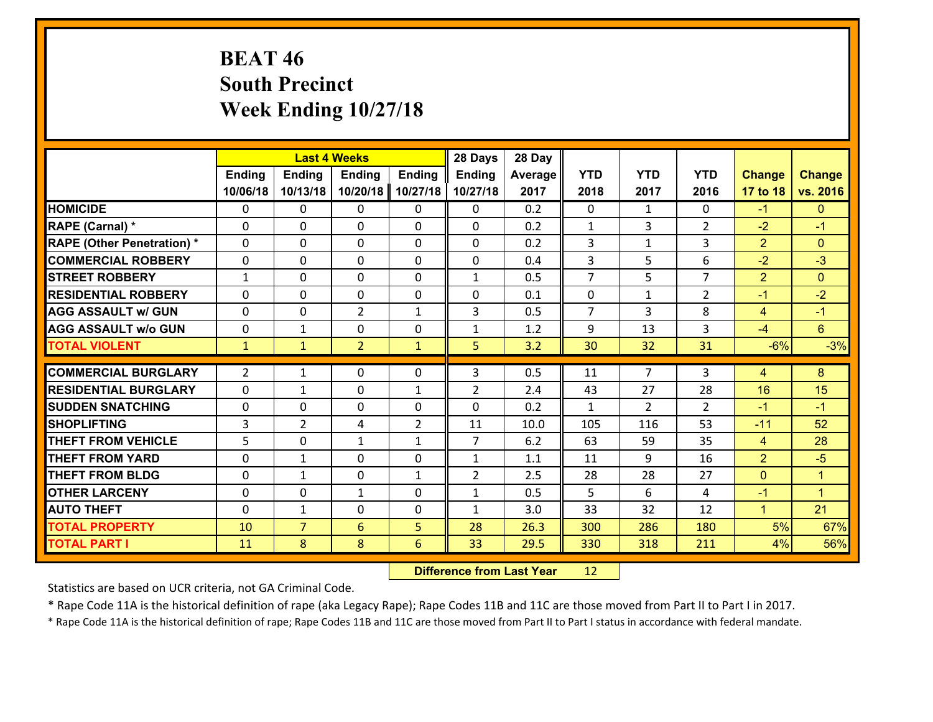# **BEAT 46 South Precinct Week Ending 10/27/18**

|                                   |                |                | <b>Last 4 Weeks</b> |                | 28 Days        | 28 Day  |                |                |                |                |                 |
|-----------------------------------|----------------|----------------|---------------------|----------------|----------------|---------|----------------|----------------|----------------|----------------|-----------------|
|                                   | <b>Ending</b>  | <b>Ending</b>  | <b>Ending</b>       | <b>Ending</b>  | <b>Ending</b>  | Average | <b>YTD</b>     | <b>YTD</b>     | <b>YTD</b>     | <b>Change</b>  | <b>Change</b>   |
|                                   | 10/06/18       | 10/13/18       | 10/20/18            | 10/27/18       | 10/27/18       | 2017    | 2018           | 2017           | 2016           | 17 to 18       | vs. 2016        |
| <b>HOMICIDE</b>                   | $\Omega$       | 0              | $\Omega$            | 0              | 0              | 0.2     | $\Omega$       | $\mathbf{1}$   | 0              | $-1$           | $\mathbf{0}$    |
| RAPE (Carnal) *                   | 0              | 0              | $\mathbf{0}$        | 0              | $\Omega$       | 0.2     | $\mathbf{1}$   | 3              | $\overline{2}$ | $-2$           | $-1$            |
| <b>RAPE (Other Penetration) *</b> | $\Omega$       | 0              | $\mathbf{0}$        | $\Omega$       | $\Omega$       | 0.2     | 3              | $\mathbf{1}$   | 3              | $\overline{2}$ | $\Omega$        |
| <b>COMMERCIAL ROBBERY</b>         | 0              | 0              | 0                   | 0              | 0              | 0.4     | 3              | 5              | 6              | $-2$           | $-3$            |
| <b>STREET ROBBERY</b>             | $\mathbf{1}$   | 0              | $\mathbf 0$         | 0              | $\mathbf{1}$   | 0.5     | $\overline{7}$ | 5              | $\overline{7}$ | $\overline{2}$ | $\mathbf{0}$    |
| <b>RESIDENTIAL ROBBERY</b>        | $\Omega$       | $\Omega$       | $\mathbf 0$         | $\Omega$       | 0              | 0.1     | $\mathbf 0$    | $\mathbf{1}$   | $\overline{2}$ | $-1$           | $-2$            |
| <b>AGG ASSAULT w/ GUN</b>         | $\Omega$       | 0              | $\overline{2}$      | $\mathbf{1}$   | 3              | 0.5     | $\overline{7}$ | 3              | 8              | $\overline{4}$ | $-1$            |
| <b>AGG ASSAULT w/o GUN</b>        | 0              | 1              | $\mathbf 0$         | 0              | $\mathbf{1}$   | 1.2     | 9              | 13             | 3              | $-4$           | $6\overline{6}$ |
| <b>TOTAL VIOLENT</b>              | $\mathbf{1}$   | $\mathbf{1}$   | $\overline{2}$      | $\mathbf{1}$   | 5              | 3.2     | 30             | 32             | 31             | $-6%$          | $-3%$           |
| <b>COMMERCIAL BURGLARY</b>        | $\overline{2}$ | 1              | $\mathbf{0}$        | $\Omega$       | 3              | 0.5     | 11             | $\overline{7}$ | 3              | 4              | 8               |
| <b>RESIDENTIAL BURGLARY</b>       | 0              | 1              | $\mathbf 0$         | $\mathbf{1}$   | $\overline{2}$ | 2.4     | 43             | 27             | 28             | 16             | 15              |
| <b>SUDDEN SNATCHING</b>           | 0              | 0              | $\mathbf 0$         | 0              | 0              | 0.2     | $\mathbf{1}$   | $\overline{2}$ | $\overline{2}$ | $-1$           | $-1$            |
| <b>SHOPLIFTING</b>                | 3              | $\overline{2}$ | 4                   | $\overline{2}$ | 11             | 10.0    | 105            | 116            | 53             | $-11$          | 52              |
| <b>THEFT FROM VEHICLE</b>         | 5              | 0              | 1                   | $\mathbf{1}$   | $\overline{7}$ | 6.2     | 63             | 59             | 35             | $\overline{4}$ | 28              |
| <b>THEFT FROM YARD</b>            | 0              | $\mathbf{1}$   | $\mathbf 0$         | 0              | $\mathbf{1}$   | 1.1     | 11             | 9              | 16             | $\overline{2}$ | $-5$            |
| <b>THEFT FROM BLDG</b>            | 0              | 1              | $\mathbf 0$         | $\mathbf{1}$   | $\overline{2}$ | 2.5     | 28             | 28             | 27             | $\mathbf{0}$   | $\mathbf{1}$    |
| <b>OTHER LARCENY</b>              | 0              | 0              | $\mathbf{1}$        | 0              | $\mathbf{1}$   | 0.5     | 5              | 6              | 4              | $-1$           | $\mathbf{1}$    |
| <b>AUTO THEFT</b>                 | 0              | 1              | $\mathbf{0}$        | 0              | $\mathbf{1}$   | 3.0     | 33             | 32             | 12             | $\mathbf{1}$   | 21              |
| <b>TOTAL PROPERTY</b>             | 10             | $\overline{7}$ | 6                   | 5              | 28             | 26.3    | 300            | 286            | 180            | 5%             | 67%             |
| <b>TOTAL PART I</b>               | 11             | 8              | 8                   | 6              | 33             | 29.5    | 330            | 318            | 211            | 4%             | 56%             |
|                                   |                |                |                     |                |                |         |                |                |                |                |                 |

 **Difference from Last Year**r 12

Statistics are based on UCR criteria, not GA Criminal Code.

\* Rape Code 11A is the historical definition of rape (aka Legacy Rape); Rape Codes 11B and 11C are those moved from Part II to Part I in 2017.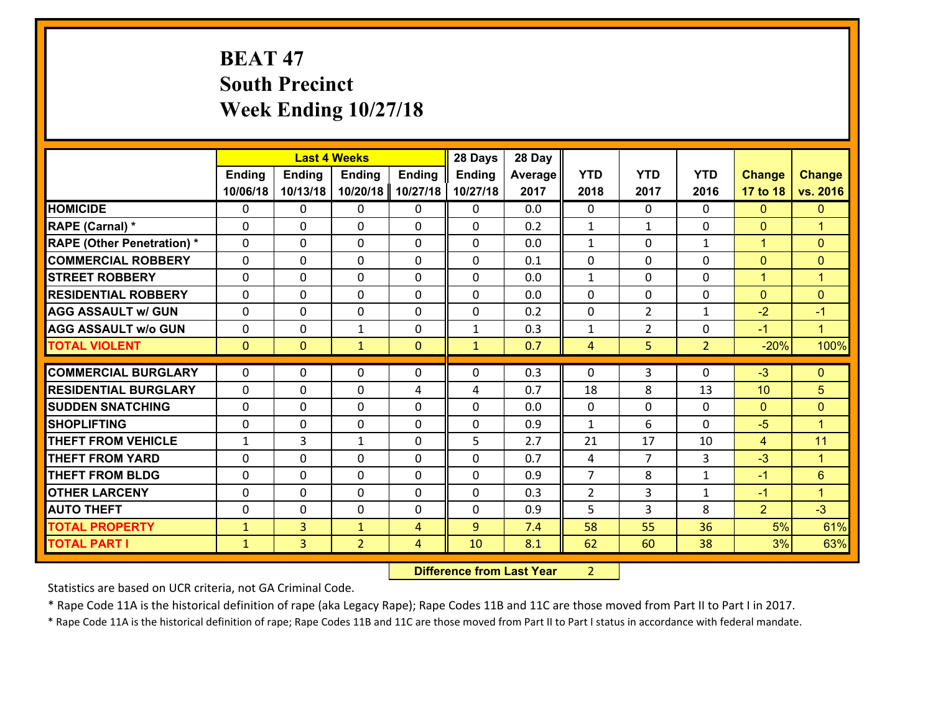# **BEAT 47 South Precinct Week Ending 10/27/18**

|                                   |               |                | <b>Last 4 Weeks</b> |                | 28 Days       | 28 Day  |                |                |                |                |                      |
|-----------------------------------|---------------|----------------|---------------------|----------------|---------------|---------|----------------|----------------|----------------|----------------|----------------------|
|                                   | <b>Ending</b> | <b>Ending</b>  | <b>Ending</b>       | <b>Ending</b>  | <b>Ending</b> | Average | <b>YTD</b>     | <b>YTD</b>     | <b>YTD</b>     | <b>Change</b>  | <b>Change</b>        |
|                                   | 10/06/18      | 10/13/18       | 10/20/18            | 10/27/18       | 10/27/18      | 2017    | 2018           | 2017           | 2016           | 17 to 18       | vs. 2016             |
| <b>HOMICIDE</b>                   | $\Omega$      | 0              | 0                   | 0              | 0             | 0.0     | $\Omega$       | $\Omega$       | 0              | $\mathbf{0}$   | $\mathbf{0}$         |
| RAPE (Carnal) *                   | 0             | 0              | $\mathbf 0$         | 0              | 0             | 0.2     | $\mathbf{1}$   | $\mathbf{1}$   | 0              | $\mathbf 0$    | $\overline{1}$       |
| <b>RAPE (Other Penetration) *</b> | $\Omega$      | 0              | $\mathbf 0$         | $\Omega$       | 0             | 0.0     | 1              | $\Omega$       | $\mathbf{1}$   | $\mathbf{1}$   | $\mathbf{0}$         |
| <b>COMMERCIAL ROBBERY</b>         | $\Omega$      | 0              | $\mathbf{0}$        | $\Omega$       | 0             | 0.1     | $\mathbf 0$    | $\Omega$       | $\Omega$       | $\mathbf{0}$   | $\mathbf{0}$         |
| <b>STREET ROBBERY</b>             | $\Omega$      | 0              | $\mathbf{0}$        | 0              | $\Omega$      | 0.0     | $\mathbf{1}$   | $\Omega$       | $\Omega$       | $\mathbf{1}$   | $\blacktriangleleft$ |
| <b>RESIDENTIAL ROBBERY</b>        | $\Omega$      | 0              | $\mathbf{0}$        | $\Omega$       | $\Omega$      | 0.0     | 0              | $\Omega$       | $\Omega$       | $\mathbf{0}$   | $\mathbf{0}$         |
| <b>AGG ASSAULT w/ GUN</b>         | $\Omega$      | 0              | $\Omega$            | $\Omega$       | $\Omega$      | 0.2     | $\Omega$       | $\overline{2}$ | $\mathbf{1}$   | $-2$           | $-1$                 |
| <b>AGG ASSAULT w/o GUN</b>        | 0             | 0              | $\mathbf{1}$        | 0              | $\mathbf{1}$  | 0.3     | $\mathbf{1}$   | $\overline{2}$ | 0              | $-1$           | $\blacktriangleleft$ |
| <b>TOTAL VIOLENT</b>              | $\mathbf{0}$  | $\mathbf{0}$   | $\mathbf{1}$        | $\mathbf{0}$   | $\mathbf{1}$  | 0.7     | 4              | 5              | $\overline{2}$ | $-20%$         | 100%                 |
|                                   |               |                |                     |                |               |         |                |                |                |                |                      |
| <b>COMMERCIAL BURGLARY</b>        | $\mathbf{0}$  | 0              | 0                   | 0              | 0             | 0.3     | $\mathbf{0}$   | 3              | 0              | $-3$           | $\mathbf{0}$         |
| <b>RESIDENTIAL BURGLARY</b>       | $\Omega$      | 0              | 0                   | 4              | 4             | 0.7     | 18             | 8              | 13             | 10             | 5                    |
| <b>SUDDEN SNATCHING</b>           | $\Omega$      | 0              | $\mathbf 0$         | $\Omega$       | 0             | 0.0     | $\mathbf{0}$   | $\Omega$       | $\Omega$       | $\mathbf{0}$   | $\mathbf{0}$         |
| <b>SHOPLIFTING</b>                | $\mathbf{0}$  | 0              | 0                   | 0              | 0             | 0.9     | $\mathbf{1}$   | 6              | $\Omega$       | $-5$           | $\blacktriangleleft$ |
| <b>THEFT FROM VEHICLE</b>         | 1             | 3              | 1                   | 0              | 5             | 2.7     | 21             | 17             | 10             | $\overline{4}$ | 11                   |
| <b>THEFT FROM YARD</b>            | 0             | 0              | $\mathbf 0$         | $\Omega$       | 0             | 0.7     | 4              | $\overline{7}$ | 3              | $-3$           | $\blacktriangleleft$ |
| <b>THEFT FROM BLDG</b>            | 0             | 0              | $\mathbf{0}$        | 0              | $\Omega$      | 0.9     | $\overline{7}$ | 8              | $\mathbf{1}$   | $-1$           | $6\phantom{1}$       |
| <b>OTHER LARCENY</b>              |               | 0              | $\mathbf{0}$        | 0              | $\Omega$      | 0.3     | 2              | 3              | $\mathbf{1}$   | $-1$           | $\blacktriangleleft$ |
|                                   | 0             |                |                     |                |               |         |                |                |                |                |                      |
| <b>AUTO THEFT</b>                 | $\Omega$      | 0              | $\mathbf{0}$        | $\Omega$       | $\Omega$      | 0.9     | 5              | 3              | 8              | $\overline{2}$ | $-3$                 |
| <b>TOTAL PROPERTY</b>             | $\mathbf{1}$  | 3 <sup>1</sup> | $\mathbf{1}$        | $\overline{4}$ | 9             | 7.4     | 58             | 55             | 36             | 5%             | 61%                  |
| <b>TOTAL PART I</b>               | $\mathbf{1}$  | 3              | $\overline{2}$      | 4              | 10            | 8.1     | 62             | 60             | 38             | 3%             | 63%                  |

 **Difference from Last Year**r 2

Statistics are based on UCR criteria, not GA Criminal Code.

\* Rape Code 11A is the historical definition of rape (aka Legacy Rape); Rape Codes 11B and 11C are those moved from Part II to Part I in 2017.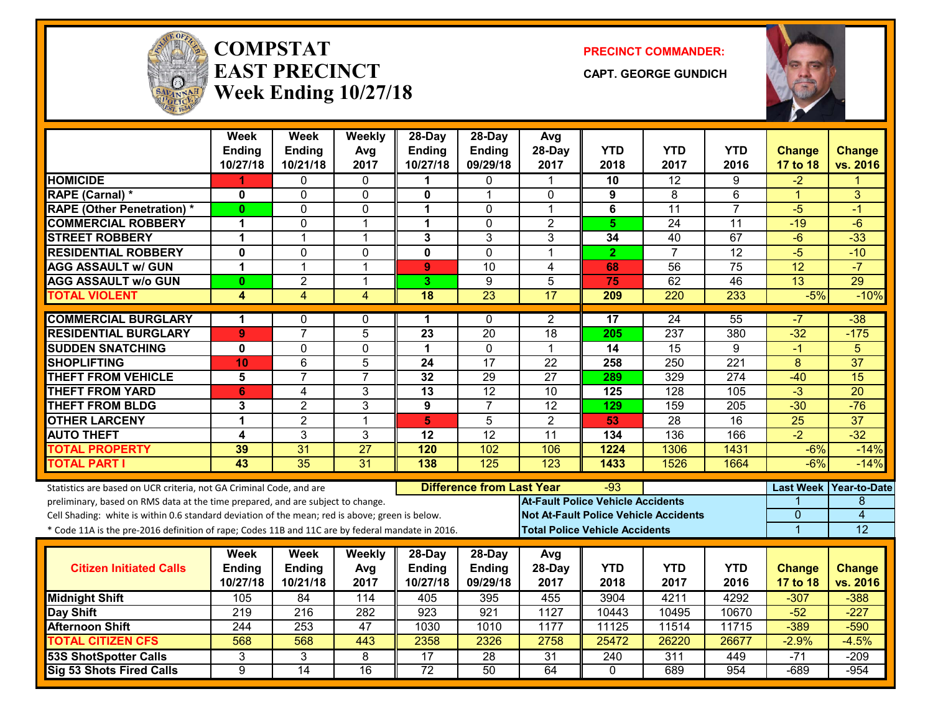

#### **COMPSTATEAST PRECINCTWeek Ending 10/27/18**

**PRECINCT COMMANDER:**

**CAPT. GEORGE GUNDICH**



|                                                                                                  | <b>Week</b><br><b>Ending</b> | <b>Week</b><br>Ending | Weekly<br>Avg   | 28-Day<br>Ending        | 28-Day<br>Ending                          | Avg<br>28-Day                                | <b>YTD</b>                            | <b>YTD</b>       | <b>YTD</b>       | Change          | <b>Change</b>            |
|--------------------------------------------------------------------------------------------------|------------------------------|-----------------------|-----------------|-------------------------|-------------------------------------------|----------------------------------------------|---------------------------------------|------------------|------------------|-----------------|--------------------------|
|                                                                                                  | 10/27/18                     | 10/21/18              | 2017            | 10/27/18                | 09/29/18                                  | 2017                                         | 2018                                  | 2017             | 2016             | 17 to 18        | vs. 2016                 |
| <b>HOMICIDE</b>                                                                                  |                              | 0                     | $\Omega$        | 1                       | $\mathbf{0}$                              |                                              | 10                                    | $\overline{12}$  | 9                | $-2$            |                          |
| RAPE (Carnal) *                                                                                  | 0                            | 0                     | $\mathbf 0$     | 0                       | 1                                         | $\mathbf{0}$                                 | 9                                     | 8                | 6                | $\mathbf{1}$    | 3                        |
| <b>RAPE (Other Penetration) *</b>                                                                | $\bf{0}$                     | 0                     | $\mathbf 0$     | $\mathbf 1$             | $\mathbf{0}$                              | 1                                            | 6                                     | $\overline{11}$  | $\overline{7}$   | $-5$            | -1                       |
| <b>COMMERCIAL ROBBERY</b>                                                                        | $\mathbf 1$                  | 0                     | $\overline{1}$  | $\mathbf 1$             | $\mathbf{0}$                              | $\overline{2}$                               | 5 <sub>5</sub>                        | 24               | 11               | $-19$           | $-6$                     |
| <b>STREET ROBBERY</b>                                                                            | 1                            | $\mathbf{1}$          | $\overline{1}$  | 3                       | 3                                         | 3                                            | 34                                    | 40               | 67               | $-6$            | $-33$                    |
| <b>RESIDENTIAL ROBBERY</b>                                                                       | $\mathbf 0$                  | $\Omega$              | $\mathbf 0$     | $\mathbf 0$             | $\Omega$                                  | $\mathbf 1$                                  | $\overline{2}$                        | $\overline{7}$   | 12               | $-5$            | $-10$                    |
| <b>AGG ASSAULT w/ GUN</b>                                                                        | 1                            | $\mathbf{1}$          | $\mathbf{1}$    | 9                       | 10                                        | 4                                            | 68                                    | 56               | 75               | 12              | $-7$                     |
| <b>AGG ASSAULT w/o GUN</b>                                                                       | $\mathbf{0}$                 | $\overline{2}$        | $\overline{1}$  | 3                       | 9                                         | $\overline{5}$                               | 75                                    | 62               | $\overline{46}$  | 13              | 29                       |
| <b>TOTAL VIOLENT</b>                                                                             | 4                            | $\overline{4}$        | $\overline{4}$  | $\overline{18}$         | 23                                        | 17                                           | 209                                   | 220              | 233              | $-5%$           | $-10%$                   |
| <b>COMMERCIAL BURGLARY</b>                                                                       | $\blacktriangleleft$         | 0                     | $\mathbf{0}$    | 1                       | $\mathbf{0}$                              | $\overline{2}$                               | $\overline{17}$                       | 24               | 55               | -7              | $-38$                    |
| <b>RESIDENTIAL BURGLARY</b>                                                                      | 9                            | $\overline{7}$        | $\overline{5}$  | $\overline{23}$         | $\overline{20}$                           | 18                                           | 205                                   | 237              | 380              | $-32$           | $-175$                   |
| <b>SUDDEN SNATCHING</b>                                                                          | 0                            | 0                     | 0               | 1                       | 0                                         | $\mathbf{1}$                                 | 14                                    | $\overline{15}$  | 9                | $-1$            | 5                        |
| <b>SHOPLIFTING</b>                                                                               | 10                           | 6                     | 5               | 24                      | $\overline{17}$                           | $\overline{22}$                              | 258                                   | 250              | 221              | 8               | $\overline{37}$          |
| <b>THEFT FROM VEHICLE</b>                                                                        | 5                            | $\overline{7}$        | $\overline{7}$  | $\overline{32}$         | $\overline{29}$                           | $\overline{27}$                              | 289                                   | 329              | $\overline{274}$ | $-40$           | $\overline{15}$          |
| <b>THEFT FROM YARD</b>                                                                           | $6\phantom{1}$               | 4                     | 3               | 13                      | 12                                        | 10                                           | $\overline{125}$                      | $\overline{128}$ | 105              | $-3$            | $\overline{20}$          |
| <b>THEFT FROM BLDG</b>                                                                           | 3                            | $\overline{2}$        | 3               | 9                       | $\overline{7}$                            | 12                                           | 129                                   | 159              | 205              | $-30$           | $-76$                    |
| <b>OTHER LARCENY</b>                                                                             | 1                            | $\overline{2}$        | $\overline{1}$  | $\overline{\mathbf{5}}$ | $\overline{5}$                            | $\overline{2}$                               | 53.                                   | $\overline{28}$  | 16               | $\overline{25}$ | $\overline{37}$          |
| <b>AUTO THEFT</b>                                                                                | 4                            | 3                     | 3               | 12                      | 12                                        | 11                                           | 134                                   | 136              | 166              | $-2$            | $-32$                    |
| <b>TOTAL PROPERTY</b>                                                                            | 39                           | 31                    | $\overline{27}$ | 120                     | 102                                       | 106                                          | 1224                                  | 1306             | 1431             | $-6%$           | $-14%$                   |
| <b>TOTAL PART I</b>                                                                              | 43                           | 35                    | 31              | 138                     | 125                                       | 123                                          | 1433                                  | 1526             | 1664             | $-6%$           | $-14%$                   |
| Statistics are based on UCR criteria, not GA Criminal Code, and are                              |                              |                       |                 |                         | <b>Difference from Last Year</b><br>$-93$ |                                              |                                       |                  |                  |                 | Last Week   Year-to-Date |
| preliminary, based on RMS data at the time prepared, and are subject to change.                  |                              |                       |                 |                         |                                           | <b>At-Fault Police Vehicle Accidents</b>     |                                       |                  |                  |                 | 8                        |
| Cell Shading: white is within 0.6 standard deviation of the mean; red is above; green is below.  |                              |                       |                 |                         |                                           | <b>Not At-Fault Police Vehicle Accidents</b> |                                       |                  |                  | 0               | $\overline{4}$           |
| * Code 11A is the pre-2016 definition of rape; Codes 11B and 11C are by federal mandate in 2016. |                              |                       |                 |                         |                                           |                                              | <b>Total Police Vehicle Accidents</b> |                  |                  | $\overline{1}$  | $\overline{12}$          |
|                                                                                                  | Week                         | Week                  | Weekly          | $28$ -Day               | 28-Day                                    | Avg                                          |                                       |                  |                  |                 |                          |
| <b>Citizen Initiated Calls</b>                                                                   | Ending                       | <b>Ending</b>         | Avg             | <b>Ending</b>           | Ending                                    | 28-Day                                       | <b>YTD</b>                            | <b>YTD</b>       | <b>YTD</b>       | <b>Change</b>   | <b>Change</b>            |
|                                                                                                  | 10/27/18                     | 10/21/18              | 2017            | 10/27/18                | 09/29/18                                  | 2017                                         | 2018                                  | 2017             | 2016             | 17 to 18        | vs. 2016                 |
| <b>Midnight Shift</b>                                                                            | 105                          | 84                    | 114             | 405                     | 395                                       | 455                                          | 3904                                  | 4211             | 4292             | $-307$          | $-388$                   |
| Day Shift                                                                                        | $\overline{219}$             | $\overline{216}$      | 282             | 923                     | 921                                       | 1127                                         | 10443                                 | 10495            | 10670            | $-52$           | $-227$                   |
| <b>Afternoon Shift</b>                                                                           | 244                          | 253                   | 47              | 1030                    | 1010                                      | 1177                                         | 11125                                 | 11514            | 11715            | $-389$          | $-590$                   |
| <b>TOTAL CITIZEN CFS</b>                                                                         | 568                          | 568                   | 443             | 2358                    | 2326                                      | 2758                                         | 25472                                 | 26220            | 26677            | $-2.9%$         | $-4.5%$                  |
| <b>53S ShotSpotter Calls</b>                                                                     | 3                            | 3                     | 8               | $\overline{17}$         | $\overline{28}$                           | 31                                           | 240                                   | 311              | 449              | $-71$           | $-209$                   |
| Sig 53 Shots Fired Calls                                                                         | 9                            | $\overline{14}$       | $\overline{16}$ | $\overline{72}$         | $\overline{50}$                           | 64                                           | $\mathbf{0}$                          | 689              | 954              | $-689$          | $-954$                   |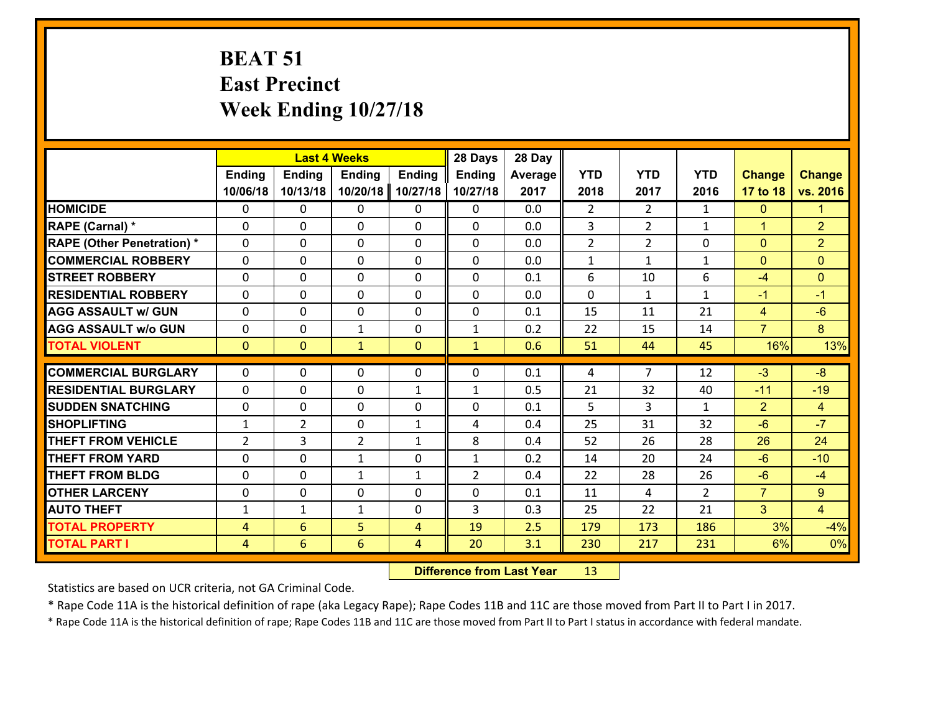# **BEAT 51 East Precinct Week Ending 10/27/18**

|                                   |                |                 |                | 28 Days<br><b>Last 4 Weeks</b> |                |         |                |                |                |                |                |
|-----------------------------------|----------------|-----------------|----------------|--------------------------------|----------------|---------|----------------|----------------|----------------|----------------|----------------|
|                                   | Ending         | <b>Ending</b>   | <b>Ending</b>  | <b>Ending</b>                  | <b>Ending</b>  | Average | <b>YTD</b>     | <b>YTD</b>     | <b>YTD</b>     | <b>Change</b>  | <b>Change</b>  |
|                                   | 10/06/18       | 10/13/18        | 10/20/18       | 10/27/18                       | 10/27/18       | 2017    | 2018           | 2017           | 2016           | 17 to 18       | vs. 2016       |
| <b>HOMICIDE</b>                   | $\mathbf{0}$   | 0               | 0              | $\mathbf{0}$                   | 0              | 0.0     | $\overline{2}$ | $\overline{2}$ | $\mathbf{1}$   | $\mathbf{0}$   | 1.             |
| <b>RAPE (Carnal)</b> *            | $\Omega$       | 0               | 0              | $\mathbf{0}$                   | 0              | 0.0     | 3              | $\overline{2}$ | $\mathbf{1}$   | $\mathbf{1}$   | $\overline{2}$ |
| <b>RAPE (Other Penetration) *</b> | $\Omega$       | 0               | $\Omega$       | $\Omega$                       | $\Omega$       | 0.0     | $\overline{2}$ | $\overline{2}$ | 0              | $\mathbf{0}$   | $\overline{2}$ |
| <b>COMMERCIAL ROBBERY</b>         | $\Omega$       | 0               | $\mathbf{0}$   | 0                              | $\Omega$       | 0.0     | $\mathbf{1}$   | $\mathbf{1}$   | $\mathbf{1}$   | $\mathbf{0}$   | $\Omega$       |
| <b>STREET ROBBERY</b>             | 0              | 0               | 0              | 0                              | 0              | 0.1     | 6              | 10             | 6              | $-4$           | $\overline{0}$ |
| <b>RESIDENTIAL ROBBERY</b>        | $\Omega$       | 0               | $\mathbf{0}$   | $\mathbf{0}$                   | 0              | 0.0     | $\mathbf 0$    | $\mathbf{1}$   | $\mathbf{1}$   | $-1$           | $-1$           |
| <b>AGG ASSAULT w/ GUN</b>         | 0              | 0               | 0              | 0                              | 0              | 0.1     | 15             | 11             | 21             | $\overline{4}$ | $-6$           |
| <b>AGG ASSAULT W/o GUN</b>        | 0              | 0               | $\mathbf{1}$   | 0                              | $\mathbf{1}$   | 0.2     | 22             | 15             | 14             | $\overline{7}$ | 8 <sup>°</sup> |
| <b>TOTAL VIOLENT</b>              | $\overline{0}$ | $\overline{0}$  | $\mathbf{1}$   | $\mathbf{0}$                   | $\mathbf{1}$   | 0.6     | 51             | 44             | 45             | 16%            | 13%            |
| <b>COMMERCIAL BURGLARY</b>        | $\Omega$       |                 |                |                                |                |         |                | $\overline{7}$ |                |                | $-8$           |
|                                   |                | 0               | 0              | $\mathbf{0}$                   | $\Omega$       | 0.1     | 4              |                | 12             | $-3$           |                |
| <b>RESIDENTIAL BURGLARY</b>       | $\Omega$       | 0               | $\mathbf{0}$   | $\mathbf{1}$                   | $\mathbf{1}$   | 0.5     | 21             | 32             | 40             | $-11$          | $-19$          |
| <b>SUDDEN SNATCHING</b>           | $\Omega$       | 0               | $\mathbf{0}$   | $\Omega$                       | $\Omega$       | 0.1     | 5              | 3              | $\mathbf{1}$   | $\overline{2}$ | $\overline{4}$ |
| <b>SHOPLIFTING</b>                | $\mathbf{1}$   | $\overline{2}$  | $\mathbf{0}$   | $\mathbf{1}$                   | 4              | 0.4     | 25             | 31             | 32             | $-6$           | $-7$           |
| <b>THEFT FROM VEHICLE</b>         | $\overline{2}$ | 3               | $\overline{2}$ | $\mathbf{1}$                   | 8              | 0.4     | 52             | 26             | 28             | 26             | 24             |
| <b>THEFT FROM YARD</b>            | 0              | 0               | $\mathbf{1}$   | 0                              | $\mathbf{1}$   | 0.2     | 14             | 20             | 24             | $-6$           | $-10$          |
| <b>THEFT FROM BLDG</b>            | 0              | 0               | $\mathbf{1}$   | $\mathbf{1}$                   | $\overline{2}$ | 0.4     | 22             | 28             | 26             | $-6$           | $-4$           |
| <b>OTHER LARCENY</b>              | 0              | 0               | 0              | 0                              | 0              | 0.1     | 11             | 4              | $\overline{2}$ | $\overline{7}$ | $9^{\circ}$    |
| <b>AUTO THEFT</b>                 | $\mathbf{1}$   | $\mathbf{1}$    | $\mathbf{1}$   | 0                              | 3              | 0.3     | 25             | 22             | 21             | 3              | $\overline{4}$ |
| <b>TOTAL PROPERTY</b>             | $\overline{4}$ | 6               | 5 <sup>1</sup> | $\overline{4}$                 | 19             | 2.5     | 179            | 173            | 186            | 3%             | $-4%$          |
| <b>TOTAL PART I</b>               | $\overline{4}$ | $6\overline{6}$ | $6\phantom{1}$ | $\overline{4}$                 | 20             | 3.1     | 230            | 217            | 231            | 6%             | 0%             |

 **Difference from Last Year**r 13

Statistics are based on UCR criteria, not GA Criminal Code.

\* Rape Code 11A is the historical definition of rape (aka Legacy Rape); Rape Codes 11B and 11C are those moved from Part II to Part I in 2017.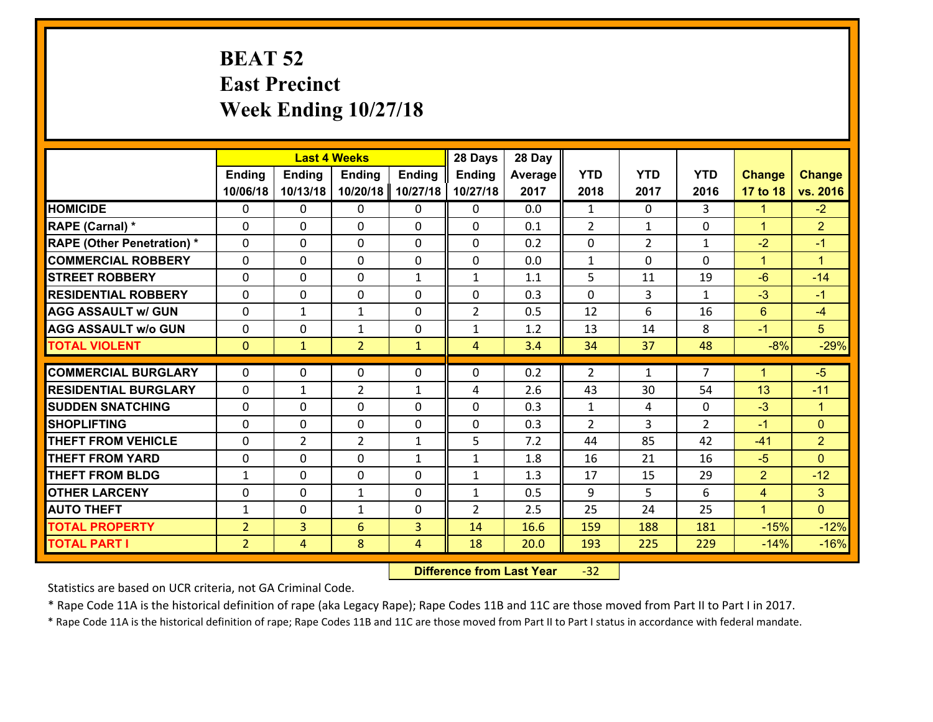# **BEAT 52 East Precinct Week Ending 10/27/18**

|                                   |                | 28 Days<br><b>Last 4 Weeks</b> |                |               |                | 28 Day     |                                |                |                     |                      |                |
|-----------------------------------|----------------|--------------------------------|----------------|---------------|----------------|------------|--------------------------------|----------------|---------------------|----------------------|----------------|
|                                   | <b>Ending</b>  | <b>Ending</b>                  | <b>Ending</b>  | <b>Ending</b> | <b>Ending</b>  | Average    | <b>YTD</b>                     | <b>YTD</b>     | <b>YTD</b>          | <b>Change</b>        | <b>Change</b>  |
|                                   | 10/06/18       | 10/13/18                       | 10/20/18       | 10/27/18      | 10/27/18       | 2017       | 2018                           | 2017           | 2016                | 17 to 18             | vs. 2016       |
| <b>HOMICIDE</b>                   | $\Omega$       | 0                              | $\Omega$       | 0             | 0              | 0.0        | 1                              | $\Omega$       | 3                   | $\mathbf{1}$         | $-2$           |
| RAPE (Carnal) *                   | 0              | 0                              | $\mathbf{0}$   | 0             | $\Omega$       | 0.1        | 2                              | $\mathbf{1}$   | $\Omega$            | $\mathbf{1}$         | $\overline{2}$ |
| <b>RAPE (Other Penetration) *</b> | $\Omega$       | 0                              | $\mathbf{0}$   | $\Omega$      | $\Omega$       | 0.2        | 0                              | $\overline{2}$ | $\mathbf{1}$        | $-2$                 | $-1$           |
| <b>COMMERCIAL ROBBERY</b>         | 0              | 0                              | 0              | 0             | 0              | 0.0        | $\mathbf{1}$                   | 0              | $\Omega$            | $\mathbf{1}$         | $\mathbf{1}$   |
| <b>STREET ROBBERY</b>             | $\Omega$       | 0                              | $\mathbf 0$    | $\mathbf{1}$  | $\mathbf{1}$   | 1.1        | 5                              | 11             | 19                  | $-6$                 | $-14$          |
| <b>RESIDENTIAL ROBBERY</b>        | $\Omega$       | $\Omega$                       | $\mathbf 0$    | $\Omega$      | 0              | 0.3        | $\Omega$                       | 3              | $\mathbf{1}$        | $-3$                 | $-1$           |
| <b>AGG ASSAULT w/ GUN</b>         | 0              | 1                              | $\mathbf{1}$   | 0             | $\overline{2}$ | 0.5        | 12                             | 6              | 16                  | $6^{\circ}$          | $-4$           |
| <b>AGG ASSAULT w/o GUN</b>        | 0              | 0                              | $\mathbf{1}$   | 0             | $\mathbf{1}$   | 1.2        | 13                             | 14             | 8                   | $-1$                 | 5 <sup>5</sup> |
| <b>TOTAL VIOLENT</b>              | $\mathbf{0}$   | $\mathbf{1}$                   | $\overline{2}$ | $\mathbf{1}$  | $\overline{4}$ | 3.4        | 34                             | 37             | 48                  | $-8%$                | $-29%$         |
| <b>COMMERCIAL BURGLARY</b>        | $\Omega$       | 0                              | $\mathbf{0}$   | $\Omega$      | $\Omega$       | 0.2        | 2                              | $\mathbf{1}$   | $\overline{7}$      | $\blacktriangleleft$ | $-5$           |
|                                   |                |                                |                |               |                |            |                                |                |                     |                      |                |
| <b>RESIDENTIAL BURGLARY</b>       | 0              | 1                              | $\overline{2}$ | $\mathbf{1}$  | 4              | 2.6        | 43                             | 30             | 54                  | 13                   | $-11$          |
| <b>SUDDEN SNATCHING</b>           | 0<br>$\Omega$  | 0                              | $\mathbf 0$    | 0             | 0              | 0.3<br>0.3 | $\mathbf{1}$<br>$\overline{2}$ | 4              | 0<br>$\overline{2}$ | $-3$                 | $\mathbf{1}$   |
| <b>SHOPLIFTING</b>                |                | 0                              | $\mathbf 0$    | 0             | 0              |            |                                | 3              |                     | $-1$                 | $\mathbf{0}$   |
| <b>THEFT FROM VEHICLE</b>         | $\Omega$       | $\overline{2}$                 | $\overline{2}$ | $\mathbf{1}$  | 5              | 7.2        | 44                             | 85             | 42                  | $-41$                | $\overline{2}$ |
| <b>THEFT FROM YARD</b>            | 0              | 0                              | $\mathbf 0$    | $\mathbf{1}$  | $\mathbf{1}$   | 1.8        | 16                             | 21             | 16                  | $-5$                 | $\overline{0}$ |
| <b>THEFT FROM BLDG</b>            | $\mathbf{1}$   | 0                              | $\mathbf 0$    | 0             | $\mathbf{1}$   | 1.3        | 17                             | 15             | 29                  | $\overline{2}$       | $-12$          |
| <b>OTHER LARCENY</b>              | 0              | 0                              | $\mathbf{1}$   | 0             | $\mathbf{1}$   | 0.5        | 9                              | 5              | 6                   | $\overline{4}$       | 3 <sup>1</sup> |
| <b>AUTO THEFT</b>                 | $\mathbf{1}$   | 0                              | $\mathbf{1}$   | 0             | $\overline{2}$ | 2.5        | 25                             | 24             | 25                  | $\mathbf{1}$         | $\overline{0}$ |
| <b>TOTAL PROPERTY</b>             | $\overline{2}$ | 3                              | 6              | 3             | 14             | 16.6       | 159                            | 188            | 181                 | $-15%$               | $-12%$         |
| <b>TOTAL PART I</b>               | $\overline{2}$ | $\overline{4}$                 | 8              | 4             | 18             | 20.0       | 193                            | 225            | 229                 | $-14%$               | $-16%$         |

 **Difference from Last Year**r -32

Statistics are based on UCR criteria, not GA Criminal Code.

\* Rape Code 11A is the historical definition of rape (aka Legacy Rape); Rape Codes 11B and 11C are those moved from Part II to Part I in 2017.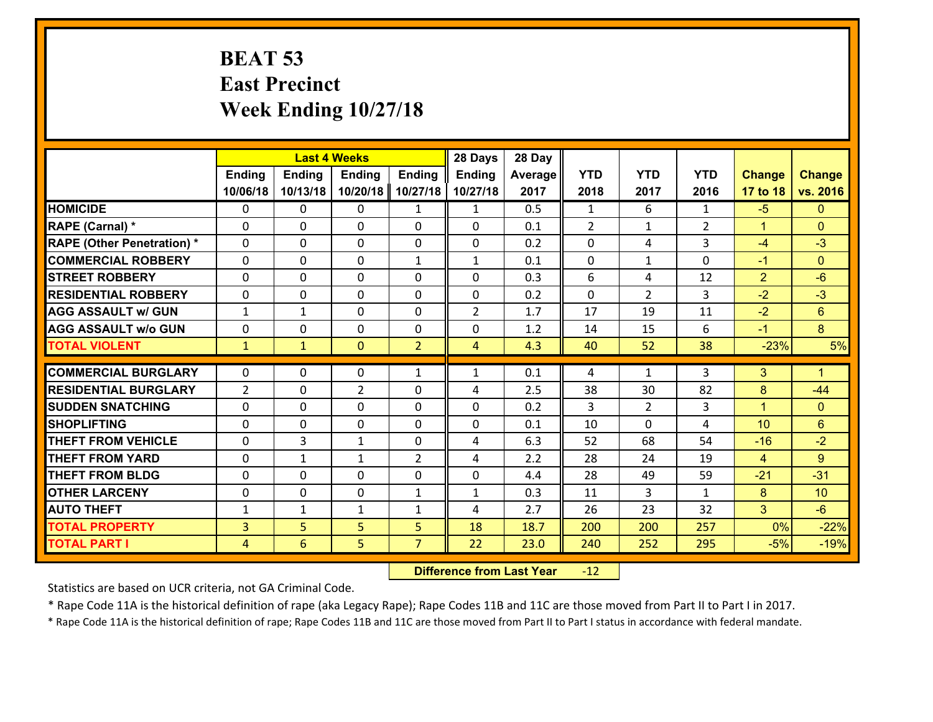### **BEAT 53 East Precinct Week Ending 10/27/18**

|                                   | <b>Last 4 Weeks</b> |               |                |                | 28 Days        | 28 Day  |               |                |                |                      |                |
|-----------------------------------|---------------------|---------------|----------------|----------------|----------------|---------|---------------|----------------|----------------|----------------------|----------------|
|                                   | <b>Ending</b>       | <b>Ending</b> | <b>Ending</b>  | <b>Ending</b>  | <b>Ending</b>  | Average | <b>YTD</b>    | <b>YTD</b>     | <b>YTD</b>     | <b>Change</b>        | <b>Change</b>  |
|                                   | 10/06/18            | 10/13/18      | 10/20/18       | 10/27/18       | 10/27/18       | 2017    | 2018          | 2017           | 2016           | 17 to 18             | vs. 2016       |
| <b>HOMICIDE</b>                   | $\Omega$            | 0             | $\Omega$       | $\mathbf{1}$   | $\mathbf{1}$   | 0.5     | $\mathbf{1}$  | 6              | $\mathbf{1}$   | $-5$                 | $\Omega$       |
| RAPE (Carnal) *                   | $\Omega$            | $\Omega$      | $\Omega$       | $\Omega$       | 0              | 0.1     | $\mathcal{L}$ | $\mathbf{1}$   | $\overline{2}$ | $\blacktriangleleft$ | $\Omega$       |
| <b>RAPE (Other Penetration) *</b> | $\mathbf 0$         | 0             | $\mathbf 0$    | 0              | 0              | 0.2     | 0             | 4              | 3              | $-4$                 | $-3$           |
| <b>COMMERCIAL ROBBERY</b>         | $\mathbf 0$         | 0             | $\mathbf 0$    | $\mathbf{1}$   | $\mathbf{1}$   | 0.1     | $\mathbf 0$   | $\mathbf{1}$   | 0              | $-1$                 | $\overline{0}$ |
| <b>STREET ROBBERY</b>             | $\mathbf 0$         | 0             | $\mathbf 0$    | 0              | 0              | 0.3     | 6             | 4              | 12             | $\overline{2}$       | $-6$           |
| <b>RESIDENTIAL ROBBERY</b>        | $\mathbf 0$         | 0             | $\mathbf 0$    | 0              | 0              | 0.2     | $\mathbf 0$   | $\overline{2}$ | 3              | $-2$                 | $-3$           |
| <b>AGG ASSAULT w/ GUN</b>         | $\mathbf{1}$        | $\mathbf{1}$  | $\mathbf 0$    | 0              | $\overline{2}$ | 1.7     | 17            | 19             | 11             | $-2$                 | 6 <sup>°</sup> |
| <b>AGG ASSAULT w/o GUN</b>        | $\mathbf 0$         | 0             | 0              | 0              | 0              | 1.2     | 14            | 15             | 6              | $-1$                 | 8              |
| <b>TOTAL VIOLENT</b>              | $\mathbf{1}$        | $\mathbf{1}$  | $\overline{0}$ | $\overline{2}$ | 4              | 4.3     | 40            | 52             | 38             | $-23%$               | 5%             |
| <b>COMMERCIAL BURGLARY</b>        | $\Omega$            | 0             | $\mathbf{0}$   | $\mathbf{1}$   | $\mathbf{1}$   | 0.1     | 4             | $\mathbf{1}$   | 3              | 3                    | $\mathbf{1}$   |
| <b>RESIDENTIAL BURGLARY</b>       | $\overline{2}$      | 0             | $\overline{2}$ | 0              | 4              | 2.5     | 38            | 30             | 82             | 8                    | $-44$          |
| <b>SUDDEN SNATCHING</b>           | $\mathbf 0$         | 0             | $\mathbf{0}$   | 0              | 0              | 0.2     | 3             | $\overline{2}$ | 3              | $\blacktriangleleft$ | $\mathbf{0}$   |
| <b>SHOPLIFTING</b>                | $\mathbf 0$         | 0             | $\mathbf 0$    | 0              | 0              | 0.1     | 10            | $\Omega$       | 4              | 10                   | 6 <sup>1</sup> |
| <b>THEFT FROM VEHICLE</b>         | $\mathbf 0$         | 3             | $\mathbf{1}$   | 0              | 4              | 6.3     | 52            | 68             | 54             | $-16$                | $-2$           |
| <b>THEFT FROM YARD</b>            | $\mathbf 0$         | 1             | 1              | $\overline{2}$ | 4              | 2.2     | 28            | 24             | 19             | $\overline{4}$       | 9              |
| <b>THEFT FROM BLDG</b>            | $\mathbf 0$         | 0             | $\mathbf 0$    | 0              | 0              | 4.4     | 28            | 49             | 59             | $-21$                | $-31$          |
| <b>OTHER LARCENY</b>              | $\mathbf 0$         | 0             | $\mathbf 0$    | $\mathbf{1}$   | $\mathbf{1}$   | 0.3     | 11            | 3              | $\mathbf{1}$   | 8                    | 10             |
| <b>AUTO THEFT</b>                 | $\mathbf{1}$        | $\mathbf{1}$  | $\mathbf{1}$   | $\mathbf{1}$   | 4              | 2.7     | 26            | 23             | 32             | $\mathbf{3}$         | $-6$           |
| <b>TOTAL PROPERTY</b>             | $\overline{3}$      | 5             | 5              | 5              | 18             | 18.7    | 200           | 200            | 257            | 0%                   | $-22%$         |
| <b>TOTAL PART I</b>               | $\overline{4}$      | 6             | 5              | $\overline{7}$ | 22             | 23.0    | 240           | 252            | 295            | $-5%$                | $-19%$         |
|                                   |                     |               |                |                |                |         |               |                |                |                      |                |

 **Difference from Last Year**r -12

Statistics are based on UCR criteria, not GA Criminal Code.

\* Rape Code 11A is the historical definition of rape (aka Legacy Rape); Rape Codes 11B and 11C are those moved from Part II to Part I in 2017.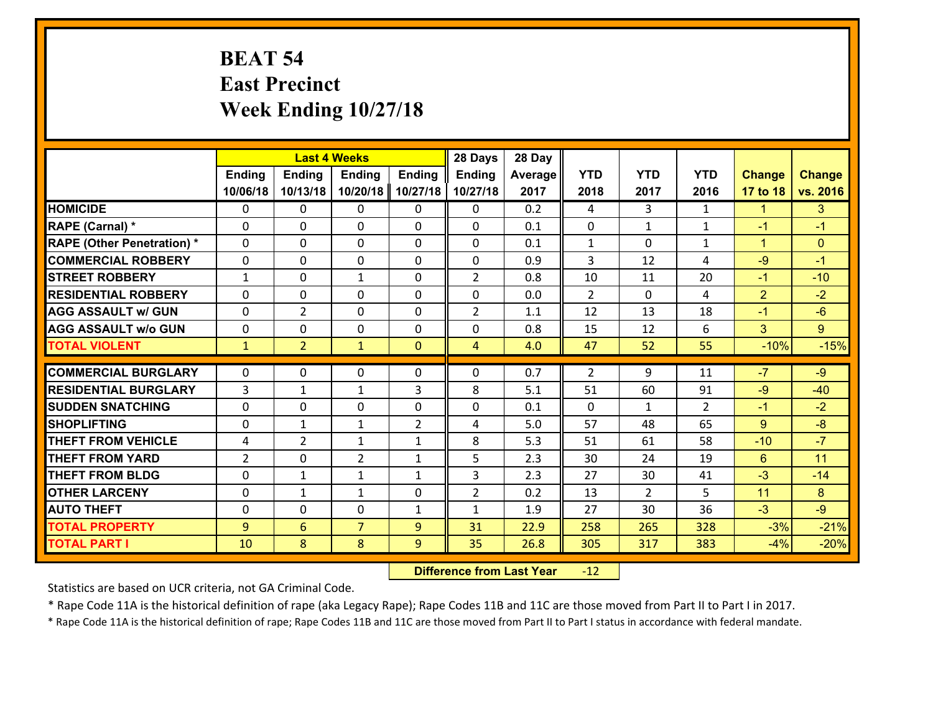# **BEAT 54 East Precinct Week Ending 10/27/18**

|                                   | <b>Last 4 Weeks</b> |                |                |                | 28 Days        | 28 Day  |              |                |                |                |                |
|-----------------------------------|---------------------|----------------|----------------|----------------|----------------|---------|--------------|----------------|----------------|----------------|----------------|
|                                   | <b>Ending</b>       | <b>Ending</b>  | <b>Ending</b>  | <b>Ending</b>  | <b>Ending</b>  | Average | <b>YTD</b>   | <b>YTD</b>     | <b>YTD</b>     | <b>Change</b>  | <b>Change</b>  |
|                                   | 10/06/18            | 10/13/18       | 10/20/18       | 10/27/18       | 10/27/18       | 2017    | 2018         | 2017           | 2016           | 17 to 18       | vs. 2016       |
| <b>HOMICIDE</b>                   | $\Omega$            | 0              | 0              | 0              | 0              | 0.2     | 4            | 3              | $\mathbf{1}$   | $\mathbf{1}$   | 3              |
| RAPE (Carnal) *                   | $\Omega$            | 0              | $\mathbf{0}$   | 0              | $\Omega$       | 0.1     | $\Omega$     | $\mathbf{1}$   | $\mathbf{1}$   | $-1$           | $-1$           |
| <b>RAPE (Other Penetration) *</b> | 0                   | 0              | $\mathbf 0$    | 0              | 0              | 0.1     | $\mathbf{1}$ | 0              | $\mathbf{1}$   | $\mathbf{1}$   | $\mathbf{0}$   |
| <b>COMMERCIAL ROBBERY</b>         | 0                   | 0              | $\mathbf 0$    | 0              | 0              | 0.9     | 3            | 12             | 4              | $-9$           | $-1$           |
| <b>STREET ROBBERY</b>             | $\mathbf{1}$        | 0              | $\mathbf{1}$   | 0              | $\overline{2}$ | 0.8     | 10           | 11             | 20             | $-1$           | $-10$          |
| <b>RESIDENTIAL ROBBERY</b>        | $\Omega$            | 0              | $\mathbf 0$    | 0              | 0              | 0.0     | 2            | $\mathbf{0}$   | 4              | $\overline{2}$ | $-2$           |
| <b>AGG ASSAULT w/ GUN</b>         | 0                   | $\overline{2}$ | $\mathbf 0$    | 0              | $\overline{2}$ | 1.1     | 12           | 13             | 18             | $-1$           | $-6$           |
| <b>AGG ASSAULT w/o GUN</b>        | 0                   | 0              | $\mathbf 0$    | $\Omega$       | 0              | 0.8     | 15           | 12             | 6              | 3              | $\overline{9}$ |
| <b>TOTAL VIOLENT</b>              | $\mathbf{1}$        | $\overline{2}$ | $\mathbf{1}$   | $\mathbf{0}$   | $\overline{4}$ | 4.0     | 47           | 52             | 55             | $-10%$         | $-15%$         |
| <b>COMMERCIAL BURGLARY</b>        | $\Omega$            | 0              | $\mathbf{0}$   | 0              | 0              | 0.7     | 2            | 9              | 11             | $-7$           | $-9$           |
| <b>RESIDENTIAL BURGLARY</b>       | 3                   | 1              | 1              | 3              | 8              | 5.1     | 51           | 60             | 91             | $-9$           | $-40$          |
| <b>SUDDEN SNATCHING</b>           | 0                   | 0              | $\mathbf 0$    | 0              | 0              | 0.1     | $\mathbf{0}$ | $\mathbf{1}$   | $\overline{2}$ | $-1$           | $-2$           |
| <b>SHOPLIFTING</b>                | 0                   | $\mathbf{1}$   | 1              | $\overline{2}$ | 4              | 5.0     | 57           | 48             | 65             | 9              | $-8$           |
| <b>THEFT FROM VEHICLE</b>         | 4                   | $\overline{2}$ | $\mathbf{1}$   | $\mathbf{1}$   | 8              | 5.3     | 51           | 61             | 58             | $-10$          | $-7$           |
| <b>THEFT FROM YARD</b>            | $\overline{2}$      | 0              | $\overline{2}$ | $\mathbf{1}$   | 5              | 2.3     | 30           | 24             | 19             | $6\phantom{1}$ | 11             |
| <b>THEFT FROM BLDG</b>            | 0                   | 1              | $\mathbf{1}$   | $\mathbf{1}$   | 3              | 2.3     | 27           | 30             | 41             | $-3$           | $-14$          |
| <b>OTHER LARCENY</b>              | 0                   | $\mathbf{1}$   | $\mathbf{1}$   | 0              | $\overline{2}$ | 0.2     | 13           | $\overline{2}$ | 5              | 11             | 8              |
| <b>AUTO THEFT</b>                 | 0                   | 0              | $\mathbf 0$    | $\mathbf{1}$   | $\mathbf{1}$   | 1.9     | 27           | 30             | 36             | $-3$           | $-9$           |
| <b>TOTAL PROPERTY</b>             | 9                   | 6              | $\overline{7}$ | 9              | 31             | 22.9    | 258          | 265            | 328            | $-3%$          | $-21%$         |
| <b>TOTAL PART I</b>               |                     | 8              | 8              |                | 35             | 26.8    |              |                |                | $-4%$          |                |
|                                   | 10                  |                |                | 9              |                |         | 305          | 317            | 383            |                | $-20%$         |

 **Difference from Last Year**r -12

Statistics are based on UCR criteria, not GA Criminal Code.

\* Rape Code 11A is the historical definition of rape (aka Legacy Rape); Rape Codes 11B and 11C are those moved from Part II to Part I in 2017.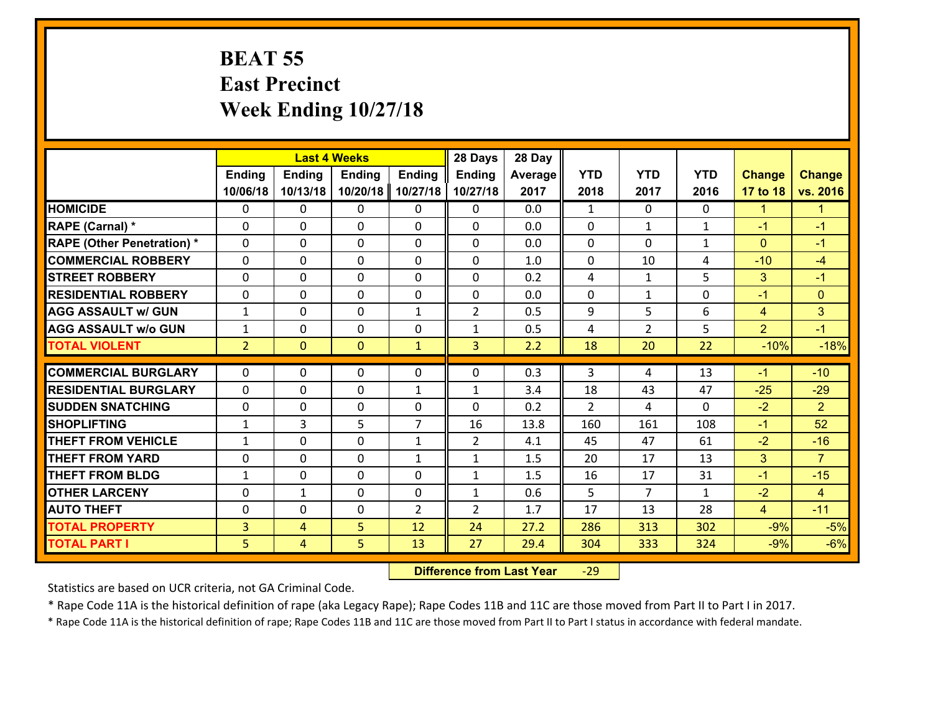#### **BEAT 55 East Precinct Week Ending 10/27/18**

|                                   |                | 28 Days<br><b>Last 4 Weeks</b> |                |                |                | 28 Day  |              |                |              |                |                      |
|-----------------------------------|----------------|--------------------------------|----------------|----------------|----------------|---------|--------------|----------------|--------------|----------------|----------------------|
|                                   | <b>Ending</b>  | <b>Ending</b>                  | <b>Ending</b>  | <b>Ending</b>  | <b>Ending</b>  | Average | <b>YTD</b>   | <b>YTD</b>     | <b>YTD</b>   | <b>Change</b>  | <b>Change</b>        |
|                                   | 10/06/18       | 10/13/18                       | 10/20/18       | 10/27/18       | 10/27/18       | 2017    | 2018         | 2017           | 2016         | 17 to 18       | vs. 2016             |
| <b>HOMICIDE</b>                   | $\Omega$       | 0                              | $\Omega$       | 0              | $\Omega$       | 0.0     | $\mathbf{1}$ | $\Omega$       | $\Omega$     | $\mathbf{1}$   | $\blacktriangleleft$ |
| <b>RAPE (Carnal)</b> *            | 0              | 0                              | $\mathbf{0}$   | 0              | $\Omega$       | 0.0     | $\mathbf{0}$ | $\mathbf{1}$   | $\mathbf{1}$ | $-1$           | $-1$                 |
| <b>RAPE (Other Penetration) *</b> | $\Omega$       | 0                              | $\mathbf{0}$   | $\Omega$       | $\Omega$       | 0.0     | $\Omega$     | $\Omega$       | $\mathbf{1}$ | $\mathbf{0}$   | $-1$                 |
| <b>COMMERCIAL ROBBERY</b>         | 0              | 0                              | 0              | 0              | $\Omega$       | 1.0     | $\mathbf{0}$ | 10             | 4            | $-10$          | $-4$                 |
| <b>STREET ROBBERY</b>             | $\Omega$       | 0                              | $\mathbf 0$    | $\Omega$       | 0              | 0.2     | 4            | $\mathbf{1}$   | 5            | 3              | $-1$                 |
| <b>RESIDENTIAL ROBBERY</b>        | $\Omega$       | $\Omega$                       | $\mathbf 0$    | $\Omega$       | 0              | 0.0     | $\Omega$     | $\mathbf{1}$   | $\Omega$     | $-1$           | $\mathbf{0}$         |
| <b>AGG ASSAULT w/ GUN</b>         | $\mathbf{1}$   | 0                              | $\mathbf 0$    | $\mathbf{1}$   | $\overline{2}$ | 0.5     | 9            | 5              | 6            | $\overline{4}$ | 3                    |
| <b>AGG ASSAULT w/o GUN</b>        | $\mathbf{1}$   | 0                              | $\mathbf 0$    | 0              | $\mathbf{1}$   | 0.5     | 4            | $\overline{2}$ | 5            | $\overline{2}$ | $-1$                 |
| <b>TOTAL VIOLENT</b>              | 2 <sup>1</sup> | $\overline{0}$                 | $\overline{0}$ | $\mathbf{1}$   | 3              | 2.2     | 18           | 20             | 22           | $-10%$         | $-18%$               |
| <b>COMMERCIAL BURGLARY</b>        | $\Omega$       | 0                              | $\mathbf{0}$   | $\Omega$       | $\Omega$       | 0.3     | 3            | 4              | 13           | $-1$           | $-10$                |
|                                   |                |                                |                |                |                |         |              |                |              |                |                      |
| <b>RESIDENTIAL BURGLARY</b>       | 0              | 0                              | $\mathbf 0$    | $\mathbf{1}$   | $\mathbf{1}$   | 3.4     | 18           | 43             | 47           | $-25$          | $-29$                |
| <b>SUDDEN SNATCHING</b>           | 0              | 0                              | $\mathbf 0$    | 0              | 0              | 0.2     | 2            | 4              | $\Omega$     | $-2$           | $\overline{2}$       |
| <b>SHOPLIFTING</b>                | $\mathbf{1}$   | 3                              | 5              | $\overline{7}$ | 16             | 13.8    | 160          | 161            | 108          | $-1$           | 52                   |
| <b>THEFT FROM VEHICLE</b>         | $\mathbf{1}$   | 0                              | $\mathbf 0$    | $\mathbf{1}$   | $\overline{2}$ | 4.1     | 45           | 47             | 61           | $-2$           | $-16$                |
| <b>THEFT FROM YARD</b>            | 0              | 0                              | $\mathbf 0$    | $\mathbf{1}$   | $\mathbf{1}$   | 1.5     | 20           | 17             | 13           | 3              | $\overline{7}$       |
| <b>THEFT FROM BLDG</b>            | $\mathbf{1}$   | 0                              | $\mathbf 0$    | 0              | $\mathbf{1}$   | 1.5     | 16           | 17             | 31           | $-1$           | $-15$                |
| <b>OTHER LARCENY</b>              | 0              | 1                              | $\mathbf 0$    | 0              | $\mathbf{1}$   | 0.6     | 5            | $\overline{7}$ | $\mathbf{1}$ | $-2$           | $\overline{4}$       |
| <b>AUTO THEFT</b>                 | $\mathbf{0}$   | 0                              | $\mathbf{0}$   | 2              | $\overline{2}$ | 1.7     | 17           | 13             | 28           | $\overline{4}$ | $-11$                |
| <b>TOTAL PROPERTY</b>             | $\overline{3}$ | 4                              | 5              | 12             | 24             | 27.2    | 286          | 313            | 302          | $-9%$          | $-5%$                |
| <b>TOTAL PART I</b>               | 5              | $\overline{4}$                 | 5              | 13             | 27             | 29.4    | 304          | 333            | 324          | $-9%$          | $-6%$                |

 **Difference from Last Year**r -29

Statistics are based on UCR criteria, not GA Criminal Code.

\* Rape Code 11A is the historical definition of rape (aka Legacy Rape); Rape Codes 11B and 11C are those moved from Part II to Part I in 2017.